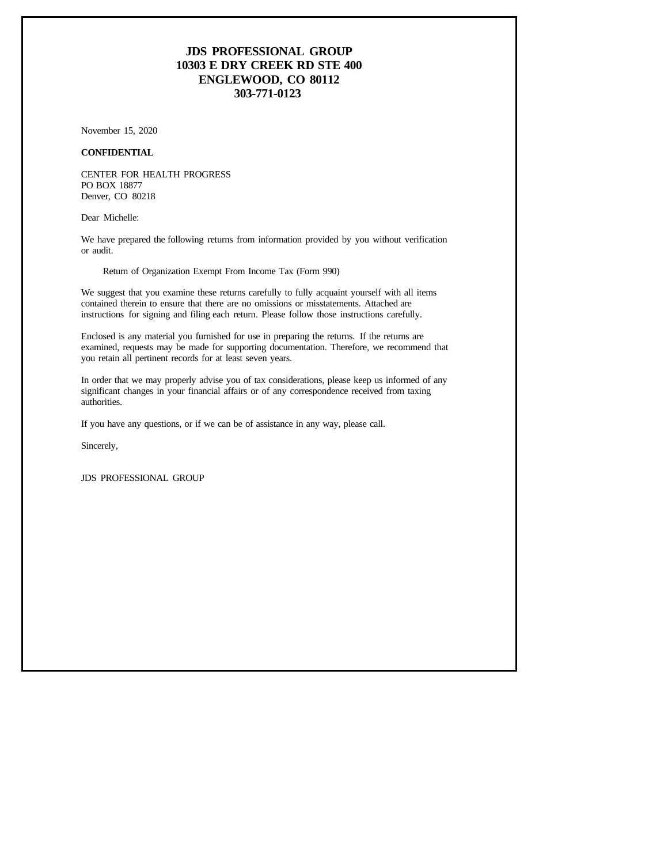## **JDS PROFESSIONAL GROUP 10303 E DRY CREEK RD STE 400 ENGLEWOOD, CO 80112 303-771-0123**

November 15, 2020

### **CONFIDENTIAL**

CENTER FOR HEALTH PROGRESS PO BOX 18877 Denver, CO 80218

Dear Michelle:

We have prepared the following returns from information provided by you without verification or audit.

Return of Organization Exempt From Income Tax (Form 990)

We suggest that you examine these returns carefully to fully acquaint yourself with all items contained therein to ensure that there are no omissions or misstatements. Attached are instructions for signing and filing each return. Please follow those instructions carefully.

Enclosed is any material you furnished for use in preparing the returns. If the returns are examined, requests may be made for supporting documentation. Therefore, we recommend that you retain all pertinent records for at least seven years.

In order that we may properly advise you of tax considerations, please keep us informed of any significant changes in your financial affairs or of any correspondence received from taxing authorities.

If you have any questions, or if we can be of assistance in any way, please call.

Sincerely,

JDS PROFESSIONAL GROUP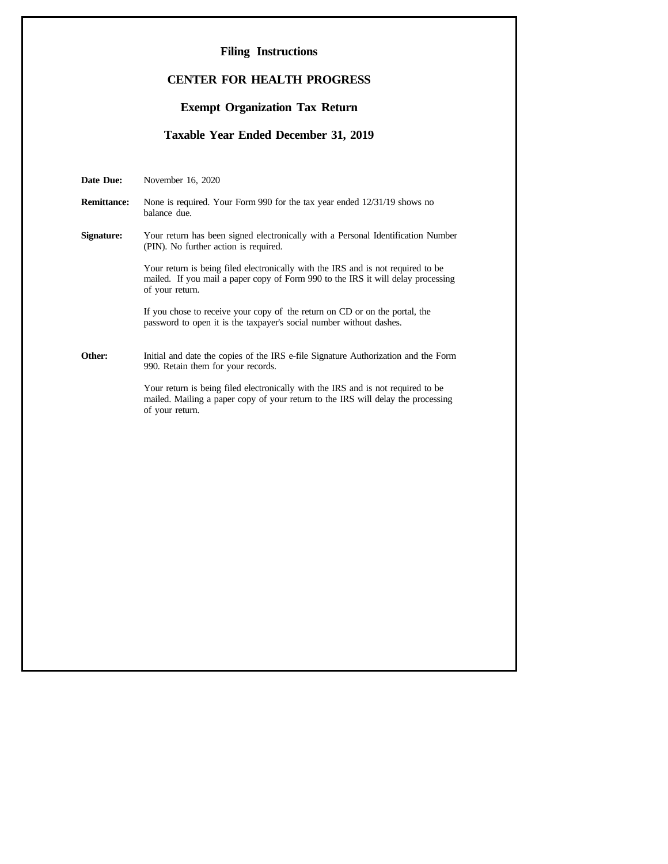# **Filing Instructions**

## **CENTER FOR HEALTH PROGRESS**

# **Exempt Organization Tax Return**

# **Taxable Year Ended December 31, 2019**

| Date Due:          | November 16, 2020                                                                                                                                                                       |
|--------------------|-----------------------------------------------------------------------------------------------------------------------------------------------------------------------------------------|
| <b>Remittance:</b> | None is required. Your Form 990 for the tax year ended 12/31/19 shows no<br>balance due.                                                                                                |
| Signature:         | Your return has been signed electronically with a Personal Identification Number<br>(PIN). No further action is required.                                                               |
|                    | Your return is being filed electronically with the IRS and is not required to be<br>mailed. If you mail a paper copy of Form 990 to the IRS it will delay processing<br>of your return. |
|                    | If you chose to receive your copy of the return on CD or on the portal, the<br>password to open it is the taxpayer's social number without dashes.                                      |
| Other:             | Initial and date the copies of the IRS e-file Signature Authorization and the Form<br>990. Retain them for your records.                                                                |
|                    | Your return is being filed electronically with the IRS and is not required to be<br>mailed. Mailing a paper copy of your return to the IRS will delay the processing<br>of your return. |
|                    |                                                                                                                                                                                         |
|                    |                                                                                                                                                                                         |
|                    |                                                                                                                                                                                         |
|                    |                                                                                                                                                                                         |
|                    |                                                                                                                                                                                         |
|                    |                                                                                                                                                                                         |
|                    |                                                                                                                                                                                         |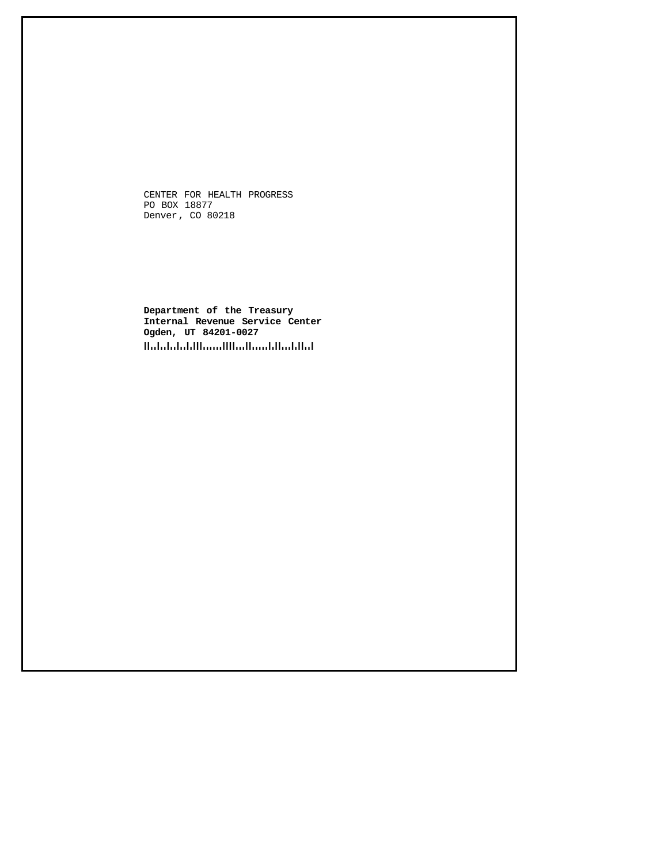CENTER FOR HEALTH PROGRESS PO BOX 18877 Denver, CO 80218

**Department of the Treasury Internal Revenue Service Center Ogden, UT 84201-0027**HalalalaldHamilHadhaaldhahlial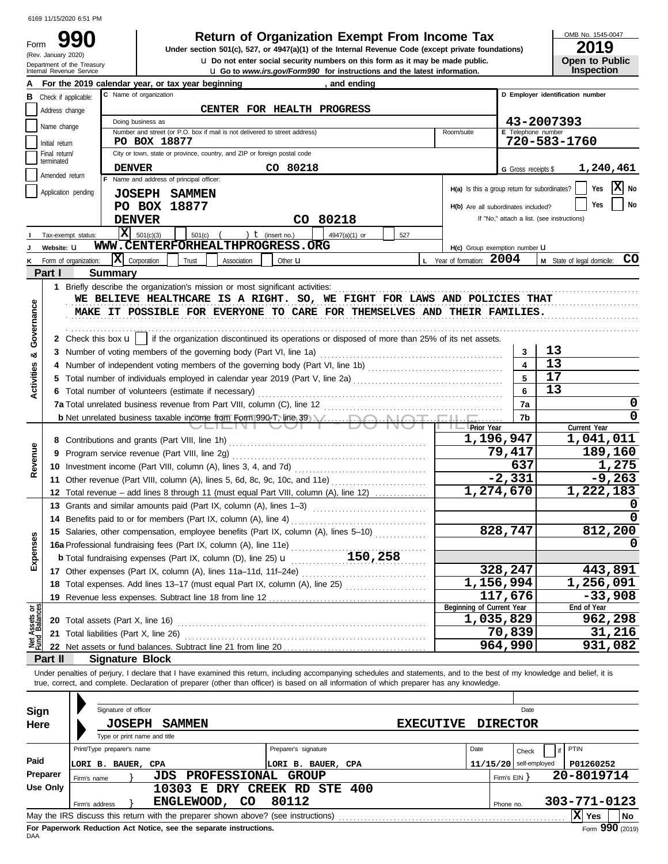Form 990

(Rev. January 2020)

## **Return of Organization Exempt From Income Tax**

**u** Do not enter social security numbers on this form as it may be made public.<br> **Open to Public** COV/Form 000, for instructions and the latest information **Under section 501(c), 527, or 4947(a)(1) of the Internal Revenue Code (except private foundations)** OMB No. 1545-0047

| ZU 1 J                |
|-----------------------|
| <b>Open to Public</b> |
| <b>Inspection</b>     |

|                                | Department of the Treasury<br>Internal Revenue Service |                                                                   |                                               |                                                                                                                                                                                                                                                                                                                          |                                    | <b>U</b> Do not enter social security numbers on this form as it may be made public.<br><b>u</b> Go to <i>www.irs.gov/Form990</i> for instructions and the latest information. |                           |                                                                                   | Open to Public<br><b>Inspection</b> |
|--------------------------------|--------------------------------------------------------|-------------------------------------------------------------------|-----------------------------------------------|--------------------------------------------------------------------------------------------------------------------------------------------------------------------------------------------------------------------------------------------------------------------------------------------------------------------------|------------------------------------|--------------------------------------------------------------------------------------------------------------------------------------------------------------------------------|---------------------------|-----------------------------------------------------------------------------------|-------------------------------------|
|                                |                                                        |                                                                   |                                               | For the 2019 calendar year, or tax year beginning                                                                                                                                                                                                                                                                        |                                    | , and ending                                                                                                                                                                   |                           |                                                                                   |                                     |
| в                              | Check if applicable:                                   |                                                                   | C Name of organization                        |                                                                                                                                                                                                                                                                                                                          |                                    |                                                                                                                                                                                |                           |                                                                                   | D Employer identification number    |
|                                | Address change                                         |                                                                   |                                               | CENTER FOR HEALTH PROGRESS                                                                                                                                                                                                                                                                                               |                                    |                                                                                                                                                                                |                           |                                                                                   |                                     |
|                                | Name change                                            |                                                                   | Doing business as                             |                                                                                                                                                                                                                                                                                                                          |                                    |                                                                                                                                                                                |                           | 43-2007393                                                                        |                                     |
|                                |                                                        |                                                                   |                                               | Number and street (or P.O. box if mail is not delivered to street address)                                                                                                                                                                                                                                               |                                    |                                                                                                                                                                                | Room/suite                | E Telephone number                                                                |                                     |
|                                | Initial return                                         |                                                                   | PO BOX 18877                                  |                                                                                                                                                                                                                                                                                                                          |                                    |                                                                                                                                                                                |                           |                                                                                   | 720-583-1760                        |
|                                | Final return/<br>terminated                            |                                                                   |                                               | City or town, state or province, country, and ZIP or foreign postal code                                                                                                                                                                                                                                                 |                                    |                                                                                                                                                                                |                           |                                                                                   |                                     |
|                                | Amended return                                         |                                                                   | <b>DENVER</b>                                 | F Name and address of principal officer:                                                                                                                                                                                                                                                                                 | CO 80218                           |                                                                                                                                                                                |                           | G Gross receipts \$                                                               | 1,240,461                           |
|                                | Application pending                                    |                                                                   |                                               |                                                                                                                                                                                                                                                                                                                          |                                    |                                                                                                                                                                                |                           | H(a) Is this a group return for subordinates?                                     | X No<br>Yes                         |
|                                |                                                        |                                                                   |                                               | <b>JOSEPH SAMMEN</b>                                                                                                                                                                                                                                                                                                     |                                    |                                                                                                                                                                                |                           |                                                                                   | No<br>Yes                           |
|                                |                                                        |                                                                   | PO BOX 18877                                  |                                                                                                                                                                                                                                                                                                                          |                                    |                                                                                                                                                                                |                           | H(b) Are all subordinates included?<br>If "No," attach a list. (see instructions) |                                     |
|                                |                                                        |                                                                   | <b>DENVER</b>                                 |                                                                                                                                                                                                                                                                                                                          |                                    | CO 80218                                                                                                                                                                       |                           |                                                                                   |                                     |
|                                | Tax-exempt status:                                     |                                                                   | $\overline{\mathbf{X}}$ 501(c)(3)             | 501(c)<br>WWW.CENTERFORHEALTHPROGRESS.ORG                                                                                                                                                                                                                                                                                | ) $t$ (insert no.)                 | 4947(a)(1) or<br>527                                                                                                                                                           |                           |                                                                                   |                                     |
|                                | Website: U                                             |                                                                   |                                               |                                                                                                                                                                                                                                                                                                                          |                                    |                                                                                                                                                                                |                           | H(c) Group exemption number LI                                                    |                                     |
|                                | Form of organization:<br>Part I                        |                                                                   | $ \mathbf{X} $ Corporation                    | Trust<br>Association                                                                                                                                                                                                                                                                                                     | Other <b>u</b>                     |                                                                                                                                                                                | L Year of formation: 2004 |                                                                                   | CO<br>M State of legal domicile:    |
|                                |                                                        | <b>Summary</b>                                                    |                                               |                                                                                                                                                                                                                                                                                                                          |                                    |                                                                                                                                                                                |                           |                                                                                   |                                     |
|                                |                                                        |                                                                   |                                               | 1 Briefly describe the organization's mission or most significant activities:<br>WE BELIEVE HEALTHCARE IS A RIGHT. SO, WE FIGHT FOR LAWS AND POLICIES THAT                                                                                                                                                               |                                    |                                                                                                                                                                                |                           |                                                                                   |                                     |
|                                |                                                        |                                                                   |                                               | MAKE IT POSSIBLE FOR EVERYONE TO CARE FOR THEMSELVES AND THEIR FAMILIES.                                                                                                                                                                                                                                                 |                                    |                                                                                                                                                                                |                           |                                                                                   |                                     |
| Governance                     |                                                        |                                                                   |                                               |                                                                                                                                                                                                                                                                                                                          |                                    |                                                                                                                                                                                |                           |                                                                                   |                                     |
|                                |                                                        |                                                                   |                                               | 2 Check this box $\mathbf{u}$   if the organization discontinued its operations or disposed of more than 25% of its net assets.                                                                                                                                                                                          |                                    |                                                                                                                                                                                |                           |                                                                                   |                                     |
|                                |                                                        |                                                                   |                                               | 3 Number of voting members of the governing body (Part VI, line 1a)                                                                                                                                                                                                                                                      |                                    |                                                                                                                                                                                |                           | 3                                                                                 | 13                                  |
| ೲ                              | 4                                                      |                                                                   |                                               |                                                                                                                                                                                                                                                                                                                          |                                    |                                                                                                                                                                                |                           |                                                                                   | 13                                  |
|                                | 5.                                                     |                                                                   |                                               |                                                                                                                                                                                                                                                                                                                          |                                    |                                                                                                                                                                                |                           | 5                                                                                 | 17                                  |
| Activities                     |                                                        |                                                                   |                                               | 6 Total number of volunteers (estimate if necessary)                                                                                                                                                                                                                                                                     |                                    |                                                                                                                                                                                |                           | 6                                                                                 | 13                                  |
|                                |                                                        |                                                                   |                                               |                                                                                                                                                                                                                                                                                                                          |                                    |                                                                                                                                                                                |                           | 7a                                                                                | 0                                   |
|                                |                                                        |                                                                   |                                               |                                                                                                                                                                                                                                                                                                                          |                                    |                                                                                                                                                                                |                           | 7b                                                                                | 0                                   |
|                                |                                                        |                                                                   |                                               |                                                                                                                                                                                                                                                                                                                          |                                    |                                                                                                                                                                                | <b>I I</b> Prior Year     |                                                                                   | Current Year                        |
|                                | 8                                                      |                                                                   |                                               | Contributions and grants (Part VIII, line 1h)                                                                                                                                                                                                                                                                            |                                    |                                                                                                                                                                                |                           | 1,196,947                                                                         | 1,041,011                           |
| Revenue                        | 9                                                      |                                                                   |                                               | 79,417                                                                                                                                                                                                                                                                                                                   | 189,160                            |                                                                                                                                                                                |                           |                                                                                   |                                     |
|                                |                                                        |                                                                   |                                               |                                                                                                                                                                                                                                                                                                                          |                                    |                                                                                                                                                                                |                           | 637                                                                               | 1,275                               |
|                                | 11                                                     |                                                                   |                                               |                                                                                                                                                                                                                                                                                                                          |                                    |                                                                                                                                                                                |                           | $-2,331$                                                                          | $-9,263$                            |
|                                | 12                                                     |                                                                   |                                               | Total revenue – add lines 8 through 11 (must equal Part VIII, column (A), line 12)                                                                                                                                                                                                                                       |                                    |                                                                                                                                                                                |                           | 1,274,670                                                                         | 1,222,183                           |
|                                | 13                                                     |                                                                   |                                               | Grants and similar amounts paid (Part IX, column (A), lines 1-3)                                                                                                                                                                                                                                                         |                                    |                                                                                                                                                                                |                           |                                                                                   |                                     |
|                                | 14                                                     |                                                                   |                                               | Benefits paid to or for members (Part IX, column (A), line 4)                                                                                                                                                                                                                                                            |                                    |                                                                                                                                                                                |                           |                                                                                   |                                     |
|                                |                                                        |                                                                   |                                               | 15 Salaries, other compensation, employee benefits (Part IX, column (A), lines 5-10)                                                                                                                                                                                                                                     |                                    |                                                                                                                                                                                |                           | 828,747                                                                           | 812,200                             |
| ses                            |                                                        | 16a Professional fundraising fees (Part IX, column (A), line 11e) |                                               |                                                                                                                                                                                                                                                                                                                          | 0                                  |                                                                                                                                                                                |                           |                                                                                   |                                     |
| Exper                          |                                                        |                                                                   |                                               |                                                                                                                                                                                                                                                                                                                          |                                    | 150,258                                                                                                                                                                        |                           |                                                                                   |                                     |
|                                |                                                        |                                                                   |                                               |                                                                                                                                                                                                                                                                                                                          |                                    |                                                                                                                                                                                |                           | 328,247                                                                           | 443,891                             |
|                                |                                                        |                                                                   |                                               | 18 Total expenses. Add lines 13-17 (must equal Part IX, column (A), line 25)                                                                                                                                                                                                                                             |                                    |                                                                                                                                                                                |                           | 1,156,994                                                                         | 1,256,091                           |
|                                | 19                                                     |                                                                   |                                               | Revenue less expenses. Subtract line 18 from line 12                                                                                                                                                                                                                                                                     |                                    |                                                                                                                                                                                |                           | 117,676                                                                           | $-33,908$                           |
| Net Assets or<br>Fund Balances |                                                        |                                                                   |                                               |                                                                                                                                                                                                                                                                                                                          |                                    |                                                                                                                                                                                | Beginning of Current Year |                                                                                   | End of Year                         |
|                                |                                                        | 20 Total assets (Part X, line 16)                                 |                                               |                                                                                                                                                                                                                                                                                                                          |                                    |                                                                                                                                                                                |                           | 1,035,829                                                                         | 962,298                             |
|                                | 21                                                     | Total liabilities (Part X, line 26)                               |                                               |                                                                                                                                                                                                                                                                                                                          |                                    |                                                                                                                                                                                |                           | 70,839                                                                            | 31,216                              |
|                                | 22                                                     |                                                                   |                                               |                                                                                                                                                                                                                                                                                                                          |                                    |                                                                                                                                                                                |                           | 964,990                                                                           | 931,082                             |
|                                | Part II                                                |                                                                   | <b>Signature Block</b>                        |                                                                                                                                                                                                                                                                                                                          |                                    |                                                                                                                                                                                |                           |                                                                                   |                                     |
|                                |                                                        |                                                                   |                                               | Under penalties of perjury, I declare that I have examined this return, including accompanying schedules and statements, and to the best of my knowledge and belief, it is<br>true, correct, and complete. Declaration of preparer (other than officer) is based on all information of which preparer has any knowledge. |                                    |                                                                                                                                                                                |                           |                                                                                   |                                     |
|                                |                                                        |                                                                   |                                               |                                                                                                                                                                                                                                                                                                                          |                                    |                                                                                                                                                                                |                           |                                                                                   |                                     |
|                                |                                                        | Signature of officer                                              |                                               |                                                                                                                                                                                                                                                                                                                          |                                    |                                                                                                                                                                                |                           | Date                                                                              |                                     |
| <b>Sign</b>                    |                                                        |                                                                   |                                               |                                                                                                                                                                                                                                                                                                                          |                                    |                                                                                                                                                                                |                           |                                                                                   |                                     |
| Here                           |                                                        |                                                                   | <b>JOSEPH</b><br>Type or print name and title | SAMMEN                                                                                                                                                                                                                                                                                                                   |                                    |                                                                                                                                                                                | <b>EXECUTIVE</b>          | <b>DIRECTOR</b>                                                                   |                                     |
|                                |                                                        | Print/Type preparer's name                                        |                                               |                                                                                                                                                                                                                                                                                                                          | Preparer's signature               |                                                                                                                                                                                | Date                      |                                                                                   | PTIN                                |
| Paid                           |                                                        |                                                                   |                                               |                                                                                                                                                                                                                                                                                                                          |                                    |                                                                                                                                                                                |                           | Check                                                                             | if                                  |
|                                | Preparer                                               | LORI B. BAUER, CPA                                                |                                               | <b>PROFESSIONAL</b>                                                                                                                                                                                                                                                                                                      | LORI B. BAUER, CPA<br><b>GROUP</b> |                                                                                                                                                                                |                           | $11/15/20$ self-employed                                                          | P01260252<br>20-8019714             |
|                                | <b>Use Only</b>                                        | Firm's name                                                       | JDS                                           | 10303 E DRY CREEK RD STE 400                                                                                                                                                                                                                                                                                             |                                    |                                                                                                                                                                                |                           | Firm's EIN                                                                        |                                     |
|                                |                                                        |                                                                   |                                               | ENGLEWOOD,<br>CO                                                                                                                                                                                                                                                                                                         | 80112                              |                                                                                                                                                                                |                           |                                                                                   | 303-771-0123                        |
|                                |                                                        | Firm's address                                                    |                                               | May the IRS discuss this return with the preparer shown above? (see instructions)                                                                                                                                                                                                                                        |                                    |                                                                                                                                                                                |                           | Phone no.                                                                         | $ X $ Yes<br><b>No</b>              |
|                                |                                                        |                                                                   |                                               |                                                                                                                                                                                                                                                                                                                          |                                    |                                                                                                                                                                                |                           |                                                                                   |                                     |

|                                                                                              |                                                                                                | Signature of officer         |                            |                      |                          |                   | Date  |            |  |  |  |
|----------------------------------------------------------------------------------------------|------------------------------------------------------------------------------------------------|------------------------------|----------------------------|----------------------|--------------------------|-------------------|-------|------------|--|--|--|
| Sign                                                                                         |                                                                                                |                              |                            |                      |                          |                   |       |            |  |  |  |
| Here                                                                                         |                                                                                                | <b>JOSEPH</b>                | <b>SAMMEN</b>              |                      | <b>EXECUTIVE</b>         | <b>DIRECTOR</b>   |       |            |  |  |  |
|                                                                                              |                                                                                                | Type or print name and title |                            |                      |                          |                   |       |            |  |  |  |
|                                                                                              |                                                                                                | Print/Type preparer's name   |                            | Preparer's signature |                          | Date              | Check | PTIN       |  |  |  |
| Paid                                                                                         |                                                                                                | LORI B. BAUER, CPA           |                            | LORI B. BAUER, CPA   | $11/15/20$ self-employed |                   |       |            |  |  |  |
| Preparer                                                                                     | Firm's name                                                                                    |                              | <b>PROFESSIONAL</b><br>JDS | <b>GROUP</b>         |                          | Firm's $EIN$ $\}$ |       | 20-8019714 |  |  |  |
| Use Only                                                                                     |                                                                                                |                              | 10303 E                    | DRY CREEK RD STE 400 |                          |                   |       |            |  |  |  |
| $303 - 771 - 0123$<br>80112<br><b>CO</b><br>ENGLEWOOD,<br>Firm's address<br>Phone no.        |                                                                                                |                              |                            |                      |                          |                   |       |            |  |  |  |
|                                                                                              | No<br>May the IRS discuss this return with the preparer shown above? (see instructions)<br>Yes |                              |                            |                      |                          |                   |       |            |  |  |  |
| Form 990 (2019)<br>For Paperwork Reduction Act Notice, see the separate instructions.<br>DAA |                                                                                                |                              |                            |                      |                          |                   |       |            |  |  |  |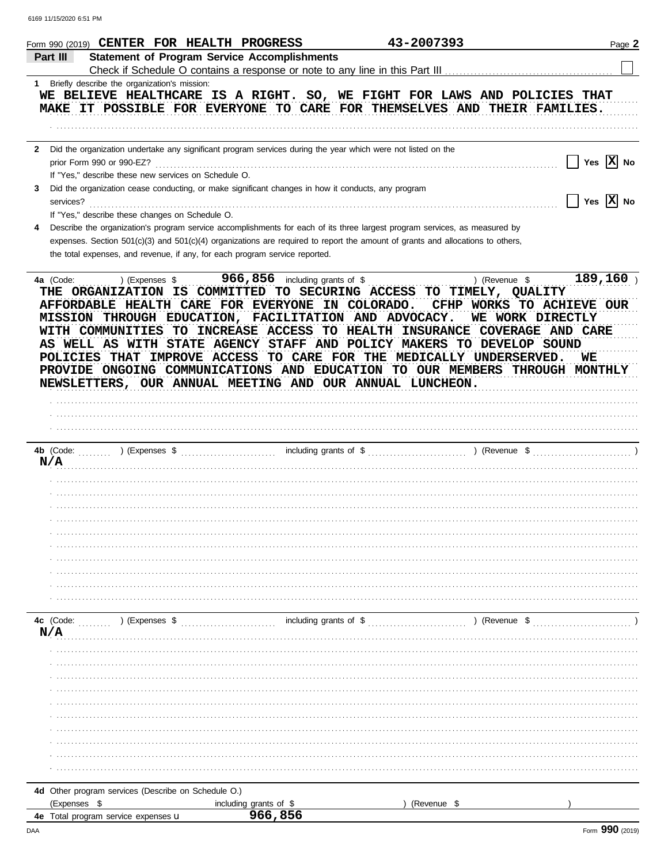| Form 990 (2019) CENTER FOR HEALTH PROGRESS                                                                                   |                                                                                                                                                                                                                                                              | 43-2007393    | Page 2                             |
|------------------------------------------------------------------------------------------------------------------------------|--------------------------------------------------------------------------------------------------------------------------------------------------------------------------------------------------------------------------------------------------------------|---------------|------------------------------------|
| Part III                                                                                                                     | <b>Statement of Program Service Accomplishments</b>                                                                                                                                                                                                          |               |                                    |
|                                                                                                                              |                                                                                                                                                                                                                                                              |               |                                    |
| 1 Briefly describe the organization's mission:                                                                               |                                                                                                                                                                                                                                                              |               |                                    |
| WE BELIEVE HEALTHCARE IS A RIGHT. SO, WE FIGHT FOR LAWS AND POLICIES THAT                                                    |                                                                                                                                                                                                                                                              |               |                                    |
| MAKE IT POSSIBLE FOR EVERYONE TO CARE FOR THEMSELVES AND THEIR FAMILIES.                                                     |                                                                                                                                                                                                                                                              |               |                                    |
|                                                                                                                              |                                                                                                                                                                                                                                                              |               |                                    |
|                                                                                                                              |                                                                                                                                                                                                                                                              |               |                                    |
| Did the organization undertake any significant program services during the year which were not listed on the<br>$\mathbf{2}$ |                                                                                                                                                                                                                                                              |               |                                    |
| prior Form 990 or 990-EZ?                                                                                                    |                                                                                                                                                                                                                                                              |               | Yes $\overline{X}$ No              |
| If "Yes," describe these new services on Schedule O.                                                                         |                                                                                                                                                                                                                                                              |               |                                    |
|                                                                                                                              | Did the organization cease conducting, or make significant changes in how it conducts, any program                                                                                                                                                           |               | $\Box$ Yes $\boxed{\mathrm{X}}$ No |
| services?                                                                                                                    |                                                                                                                                                                                                                                                              |               |                                    |
| If "Yes," describe these changes on Schedule O.                                                                              |                                                                                                                                                                                                                                                              |               |                                    |
|                                                                                                                              | Describe the organization's program service accomplishments for each of its three largest program services, as measured by<br>expenses. Section 501(c)(3) and 501(c)(4) organizations are required to report the amount of grants and allocations to others, |               |                                    |
| the total expenses, and revenue, if any, for each program service reported.                                                  |                                                                                                                                                                                                                                                              |               |                                    |
|                                                                                                                              |                                                                                                                                                                                                                                                              |               |                                    |
| ) (Expenses \$<br>4a (Code:                                                                                                  | 966,856 including grants of \$                                                                                                                                                                                                                               | ) (Revenue \$ | 189, 160                           |
| THE ORGANIZATION IS COMMITTED TO SECURING ACCESS TO TIMELY, QUALITY                                                          |                                                                                                                                                                                                                                                              |               |                                    |
| AFFORDABLE HEALTH CARE FOR EVERYONE IN COLORADO.                                                                             |                                                                                                                                                                                                                                                              |               | CFHP WORKS TO ACHIEVE OUR          |
| MISSION THROUGH EDUCATION, FACILITATION AND ADVOCACY.                                                                        |                                                                                                                                                                                                                                                              |               |                                    |
| WITH COMMUNITIES TO INCREASE ACCESS TO HEALTH INSURANCE COVERAGE AND CARE                                                    |                                                                                                                                                                                                                                                              |               | WE WORK DIRECTLY                   |
|                                                                                                                              |                                                                                                                                                                                                                                                              |               |                                    |
| AS WELL AS WITH STATE AGENCY STAFF AND POLICY MAKERS TO DEVELOP SOUND                                                        |                                                                                                                                                                                                                                                              |               |                                    |
| POLICIES THAT IMPROVE ACCESS TO CARE FOR THE MEDICALLY UNDERSERVED.                                                          |                                                                                                                                                                                                                                                              |               | WE                                 |
| PROVIDE ONGOING COMMUNICATIONS AND EDUCATION TO OUR MEMBERS THROUGH MONTHLY                                                  |                                                                                                                                                                                                                                                              |               |                                    |
| NEWSLETTERS, OUR ANNUAL MEETING AND OUR ANNUAL LUNCHEON.                                                                     |                                                                                                                                                                                                                                                              |               |                                    |
|                                                                                                                              |                                                                                                                                                                                                                                                              |               |                                    |
|                                                                                                                              |                                                                                                                                                                                                                                                              |               |                                    |
|                                                                                                                              |                                                                                                                                                                                                                                                              |               |                                    |
|                                                                                                                              |                                                                                                                                                                                                                                                              |               |                                    |
| 4b (Code: $\ldots$                                                                                                           |                                                                                                                                                                                                                                                              |               |                                    |
| N/A                                                                                                                          |                                                                                                                                                                                                                                                              |               |                                    |
|                                                                                                                              |                                                                                                                                                                                                                                                              |               |                                    |
|                                                                                                                              |                                                                                                                                                                                                                                                              |               |                                    |
|                                                                                                                              |                                                                                                                                                                                                                                                              |               |                                    |
|                                                                                                                              |                                                                                                                                                                                                                                                              |               |                                    |
|                                                                                                                              |                                                                                                                                                                                                                                                              |               |                                    |
|                                                                                                                              |                                                                                                                                                                                                                                                              |               |                                    |
|                                                                                                                              |                                                                                                                                                                                                                                                              |               |                                    |
|                                                                                                                              |                                                                                                                                                                                                                                                              |               |                                    |
|                                                                                                                              |                                                                                                                                                                                                                                                              |               |                                    |
|                                                                                                                              |                                                                                                                                                                                                                                                              |               |                                    |
|                                                                                                                              |                                                                                                                                                                                                                                                              |               |                                    |
|                                                                                                                              |                                                                                                                                                                                                                                                              |               |                                    |
| 4c (Code:<br>) (Expenses \$                                                                                                  | including grants of \$                                                                                                                                                                                                                                       | ) (Revenue \$ |                                    |
| N/A                                                                                                                          |                                                                                                                                                                                                                                                              |               |                                    |
|                                                                                                                              |                                                                                                                                                                                                                                                              |               |                                    |
|                                                                                                                              |                                                                                                                                                                                                                                                              |               |                                    |
|                                                                                                                              |                                                                                                                                                                                                                                                              |               |                                    |
|                                                                                                                              |                                                                                                                                                                                                                                                              |               |                                    |
|                                                                                                                              |                                                                                                                                                                                                                                                              |               |                                    |
|                                                                                                                              |                                                                                                                                                                                                                                                              |               |                                    |
|                                                                                                                              |                                                                                                                                                                                                                                                              |               |                                    |
|                                                                                                                              |                                                                                                                                                                                                                                                              |               |                                    |
|                                                                                                                              |                                                                                                                                                                                                                                                              |               |                                    |
|                                                                                                                              |                                                                                                                                                                                                                                                              |               |                                    |
|                                                                                                                              |                                                                                                                                                                                                                                                              |               |                                    |
| 4d Other program services (Describe on Schedule O.)                                                                          |                                                                                                                                                                                                                                                              |               |                                    |
| (Expenses \$                                                                                                                 |                                                                                                                                                                                                                                                              | (Revenue \$   |                                    |
| <b>4e</b> Total program service expenses $\mathbf u$                                                                         | including grants of \$<br>966,856                                                                                                                                                                                                                            |               |                                    |
|                                                                                                                              |                                                                                                                                                                                                                                                              |               |                                    |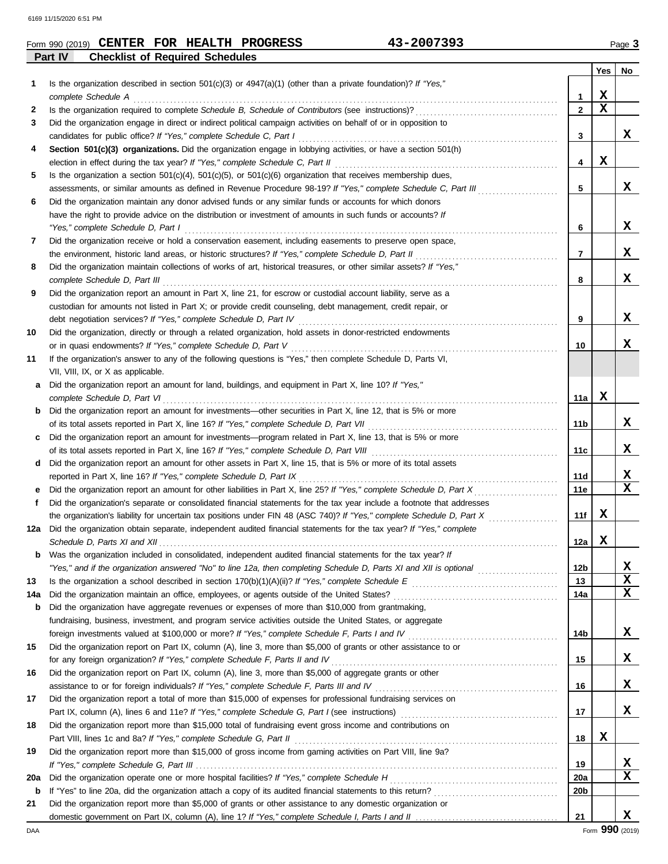| Form 990 (2019) |                                        |  | CENTER FOR HEALTH PROGRESS | 2007393- | Page |
|-----------------|----------------------------------------|--|----------------------------|----------|------|
| Part IV         | <b>Checklist of Required Schedules</b> |  |                            |          |      |

|     |                                                                                                                              |              | Yes         | No          |
|-----|------------------------------------------------------------------------------------------------------------------------------|--------------|-------------|-------------|
| 1   | Is the organization described in section $501(c)(3)$ or $4947(a)(1)$ (other than a private foundation)? If "Yes,"            |              |             |             |
|     | complete Schedule A                                                                                                          | 1            | X           |             |
| 2   |                                                                                                                              | $\mathbf{2}$ | X           |             |
| 3   | Did the organization engage in direct or indirect political campaign activities on behalf of or in opposition to             |              |             |             |
|     | candidates for public office? If "Yes," complete Schedule C, Part I                                                          | 3            |             | X           |
| 4   | Section 501(c)(3) organizations. Did the organization engage in lobbying activities, or have a section 501(h)                |              |             |             |
|     |                                                                                                                              | 4            | $\mathbf x$ |             |
| 5   | Is the organization a section $501(c)(4)$ , $501(c)(5)$ , or $501(c)(6)$ organization that receives membership dues,         |              |             |             |
|     | assessments, or similar amounts as defined in Revenue Procedure 98-19? If "Yes," complete Schedule C, Part III               | 5            |             | X           |
| 6   | Did the organization maintain any donor advised funds or any similar funds or accounts for which donors                      |              |             |             |
|     | have the right to provide advice on the distribution or investment of amounts in such funds or accounts? If                  |              |             |             |
|     | "Yes," complete Schedule D, Part I                                                                                           | 6            |             | x           |
| 7   | Did the organization receive or hold a conservation easement, including easements to preserve open space,                    |              |             |             |
|     | the environment, historic land areas, or historic structures? If "Yes," complete Schedule D, Part II                         | 7            |             | x           |
| 8   | Did the organization maintain collections of works of art, historical treasures, or other similar assets? If "Yes,"          |              |             |             |
|     |                                                                                                                              | 8            |             | X           |
| 9   | Did the organization report an amount in Part X, line 21, for escrow or custodial account liability, serve as a              |              |             |             |
|     | custodian for amounts not listed in Part X; or provide credit counseling, debt management, credit repair, or                 |              |             | x           |
| 10  | Did the organization, directly or through a related organization, hold assets in donor-restricted endowments                 | 9            |             |             |
|     |                                                                                                                              | 10           |             | X           |
| 11  | If the organization's answer to any of the following questions is "Yes," then complete Schedule D, Parts VI,                 |              |             |             |
|     | VII, VIII, IX, or X as applicable.                                                                                           |              |             |             |
| a   | Did the organization report an amount for land, buildings, and equipment in Part X, line 10? If "Yes,"                       |              |             |             |
|     | complete Schedule D, Part VI et al. (2008) and the complete Schedule D, Part VI et al. (2009) and the complete $\mathcal{S}$ | 11a          | X           |             |
|     | <b>b</b> Did the organization report an amount for investments—other securities in Part X, line 12, that is 5% or more       |              |             |             |
|     |                                                                                                                              | 11b          |             | X           |
| c.  | Did the organization report an amount for investments—program related in Part X, line 13, that is 5% or more                 |              |             |             |
|     |                                                                                                                              | 11c          |             | x           |
| d   | Did the organization report an amount for other assets in Part X, line 15, that is 5% or more of its total assets            |              |             |             |
|     | reported in Part X, line 16? If "Yes," complete Schedule D, Part IX                                                          | 11d          |             | x           |
| е   |                                                                                                                              | 11e          |             | $\mathbf x$ |
| f.  | Did the organization's separate or consolidated financial statements for the tax year include a footnote that addresses      |              |             |             |
|     | the organization's liability for uncertain tax positions under FIN 48 (ASC 740)? If "Yes," complete Schedule D, Part X       | 11f          | X           |             |
| 12a | Did the organization obtain separate, independent audited financial statements for the tax year? If "Yes," complete          |              |             |             |
|     |                                                                                                                              | 12a          | X           |             |
| b   | Was the organization included in consolidated, independent audited financial statements for the tax year? If                 |              |             |             |
|     |                                                                                                                              | 12b          |             | X           |
| 13  |                                                                                                                              | 13           |             | $\mathbf x$ |
| 14a |                                                                                                                              | 14a          |             | $\mathbf x$ |
| b   | Did the organization have aggregate revenues or expenses of more than \$10,000 from grantmaking,                             |              |             |             |
|     | fundraising, business, investment, and program service activities outside the United States, or aggregate                    |              |             | x           |
| 15  | Did the organization report on Part IX, column (A), line 3, more than \$5,000 of grants or other assistance to or            | 14b          |             |             |
|     |                                                                                                                              | 15           |             | X           |
| 16  | Did the organization report on Part IX, column (A), line 3, more than \$5,000 of aggregate grants or other                   |              |             |             |
|     |                                                                                                                              | 16           |             | X           |
| 17  | Did the organization report a total of more than \$15,000 of expenses for professional fundraising services on               |              |             |             |
|     |                                                                                                                              | 17           |             | x           |
| 18  | Did the organization report more than \$15,000 total of fundraising event gross income and contributions on                  |              |             |             |
|     |                                                                                                                              | 18           | X           |             |
| 19  | Did the organization report more than \$15,000 of gross income from gaming activities on Part VIII, line 9a?                 |              |             |             |
|     |                                                                                                                              | 19           |             | X           |
| 20a |                                                                                                                              | <b>20a</b>   |             | X           |
| b   |                                                                                                                              | 20b          |             |             |
| 21  | Did the organization report more than \$5,000 of grants or other assistance to any domestic organization or                  |              |             |             |
|     |                                                                                                                              | 21           |             | x           |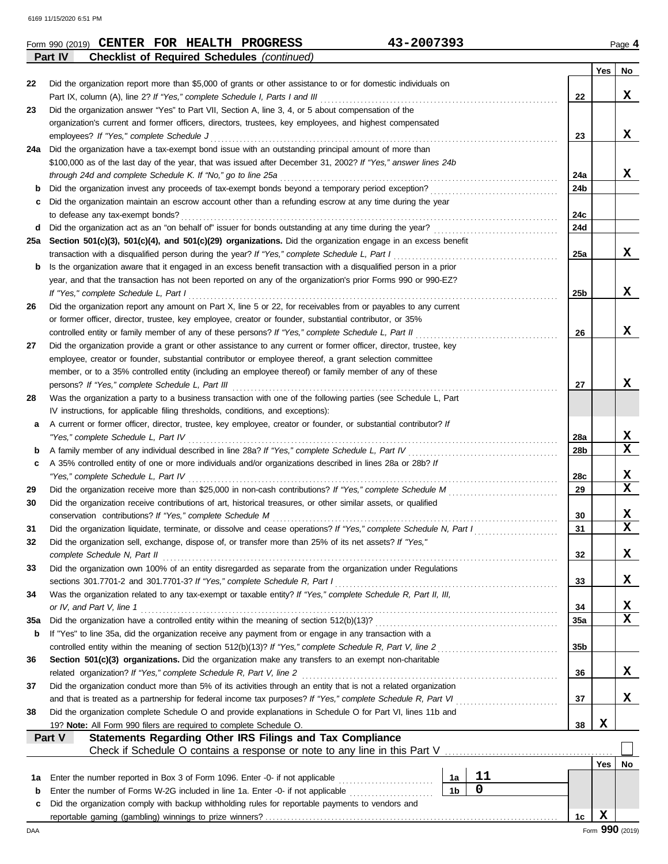**Part IV Checklist of Required Schedules** *(continued)*

| 22      | Did the organization report more than \$5,000 of grants or other assistance to or for domestic individuals on                                                                                                                    |                 |             |                         |
|---------|----------------------------------------------------------------------------------------------------------------------------------------------------------------------------------------------------------------------------------|-----------------|-------------|-------------------------|
|         | Part IX, column (A), line 2? If "Yes," complete Schedule I, Parts I and III                                                                                                                                                      | 22              |             | X                       |
| 23      | Did the organization answer "Yes" to Part VII, Section A, line 3, 4, or 5 about compensation of the                                                                                                                              |                 |             |                         |
|         | organization's current and former officers, directors, trustees, key employees, and highest compensated                                                                                                                          |                 |             |                         |
|         | employees? If "Yes," complete Schedule J                                                                                                                                                                                         | 23              |             | X                       |
| 24a     | Did the organization have a tax-exempt bond issue with an outstanding principal amount of more than                                                                                                                              |                 |             |                         |
|         | \$100,000 as of the last day of the year, that was issued after December 31, 2002? If "Yes," answer lines 24b                                                                                                                    |                 |             |                         |
|         | through 24d and complete Schedule K. If "No," go to line 25a                                                                                                                                                                     | 24a             |             | X                       |
| b       |                                                                                                                                                                                                                                  | 24b             |             |                         |
| c       | Did the organization maintain an escrow account other than a refunding escrow at any time during the year                                                                                                                        |                 |             |                         |
|         | to defease any tax-exempt bonds?                                                                                                                                                                                                 | 24c             |             |                         |
| d       |                                                                                                                                                                                                                                  | 24d             |             |                         |
| 25a     | Section 501(c)(3), 501(c)(4), and 501(c)(29) organizations. Did the organization engage in an excess benefit                                                                                                                     |                 |             | x                       |
|         | transaction with a disqualified person during the year? If "Yes," complete Schedule L, Part I                                                                                                                                    | 25a             |             |                         |
| b       | Is the organization aware that it engaged in an excess benefit transaction with a disqualified person in a prior<br>year, and that the transaction has not been reported on any of the organization's prior Forms 990 or 990-EZ? |                 |             |                         |
|         | If "Yes," complete Schedule L, Part I                                                                                                                                                                                            | 25 <sub>b</sub> |             | X                       |
| 26      | Did the organization report any amount on Part X, line 5 or 22, for receivables from or payables to any current                                                                                                                  |                 |             |                         |
|         | or former officer, director, trustee, key employee, creator or founder, substantial contributor, or 35%                                                                                                                          |                 |             |                         |
|         | controlled entity or family member of any of these persons? If "Yes," complete Schedule L, Part II                                                                                                                               | 26              |             | X                       |
| 27      | Did the organization provide a grant or other assistance to any current or former officer, director, trustee, key                                                                                                                |                 |             |                         |
|         | employee, creator or founder, substantial contributor or employee thereof, a grant selection committee                                                                                                                           |                 |             |                         |
|         | member, or to a 35% controlled entity (including an employee thereof) or family member of any of these                                                                                                                           |                 |             |                         |
|         | persons? If "Yes," complete Schedule L, Part III                                                                                                                                                                                 | 27              |             | X                       |
| 28      | Was the organization a party to a business transaction with one of the following parties (see Schedule L, Part                                                                                                                   |                 |             |                         |
|         | IV instructions, for applicable filing thresholds, conditions, and exceptions):                                                                                                                                                  |                 |             |                         |
| a       | A current or former officer, director, trustee, key employee, creator or founder, or substantial contributor? If                                                                                                                 |                 |             |                         |
|         | "Yes," complete Schedule L, Part IV                                                                                                                                                                                              | 28a             |             | X                       |
| b       | A family member of any individual described in line 28a? If "Yes," complete Schedule L, Part IV [[[[[[[[[[[[[                                                                                                                    | 28 <sub>b</sub> |             | $\overline{\mathbf{x}}$ |
| c       | A 35% controlled entity of one or more individuals and/or organizations described in lines 28a or 28b? If                                                                                                                        |                 |             |                         |
|         | "Yes," complete Schedule L, Part IV                                                                                                                                                                                              | 28c             |             | X                       |
| 29      |                                                                                                                                                                                                                                  | 29              |             | $\overline{\mathbf{x}}$ |
| 30      | Did the organization receive contributions of art, historical treasures, or other similar assets, or qualified                                                                                                                   |                 |             |                         |
|         | conservation contributions? If "Yes," complete Schedule M                                                                                                                                                                        | 30              |             | X                       |
| 31      | Did the organization liquidate, terminate, or dissolve and cease operations? If "Yes," complete Schedule N, Part I                                                                                                               | 31              |             | $\mathbf x$             |
| 32      | Did the organization sell, exchange, dispose of, or transfer more than 25% of its net assets? If "Yes,"                                                                                                                          |                 |             |                         |
|         | complete Schedule N, Part II                                                                                                                                                                                                     | 32              |             | X                       |
| 33      | Did the organization own 100% of an entity disregarded as separate from the organization under Regulations                                                                                                                       |                 |             |                         |
|         |                                                                                                                                                                                                                                  | 33              |             | X                       |
| 34      | Was the organization related to any tax-exempt or taxable entity? If "Yes," complete Schedule R, Part II, III,                                                                                                                   |                 |             |                         |
|         | or IV, and Part V, line 1                                                                                                                                                                                                        | 34              |             | X                       |
| 35a     |                                                                                                                                                                                                                                  | 35a             |             | X                       |
| b       | If "Yes" to line 35a, did the organization receive any payment from or engage in any transaction with a                                                                                                                          |                 |             |                         |
|         |                                                                                                                                                                                                                                  | 35 <sub>b</sub> |             |                         |
| 36      | Section 501(c)(3) organizations. Did the organization make any transfers to an exempt non-charitable                                                                                                                             |                 |             |                         |
|         |                                                                                                                                                                                                                                  | 36              |             | X                       |
| 37      | Did the organization conduct more than 5% of its activities through an entity that is not a related organization                                                                                                                 |                 |             |                         |
|         |                                                                                                                                                                                                                                  | 37              |             | X                       |
| 38      | Did the organization complete Schedule O and provide explanations in Schedule O for Part VI, lines 11b and                                                                                                                       |                 |             |                         |
|         | 19? Note: All Form 990 filers are required to complete Schedule O.                                                                                                                                                               | 38              | X           |                         |
|         | Statements Regarding Other IRS Filings and Tax Compliance<br>Part V                                                                                                                                                              |                 |             |                         |
|         |                                                                                                                                                                                                                                  |                 | Yes         | No                      |
|         | 11<br>1a                                                                                                                                                                                                                         |                 |             |                         |
| 1а<br>b | Enter the number reported in Box 3 of Form 1096. Enter -0- if not applicable<br>0<br>1 <sub>b</sub><br>Enter the number of Forms W-2G included in line 1a. Enter -0- if not applicable                                           |                 |             |                         |
| c       | Did the organization comply with backup withholding rules for reportable payments to vendors and                                                                                                                                 |                 |             |                         |
|         |                                                                                                                                                                                                                                  | 1c              | $\mathbf x$ |                         |
| DAA     |                                                                                                                                                                                                                                  |                 |             | Form 990 (2019)         |
|         |                                                                                                                                                                                                                                  |                 |             |                         |

**Yes No**

 $\overline{1}$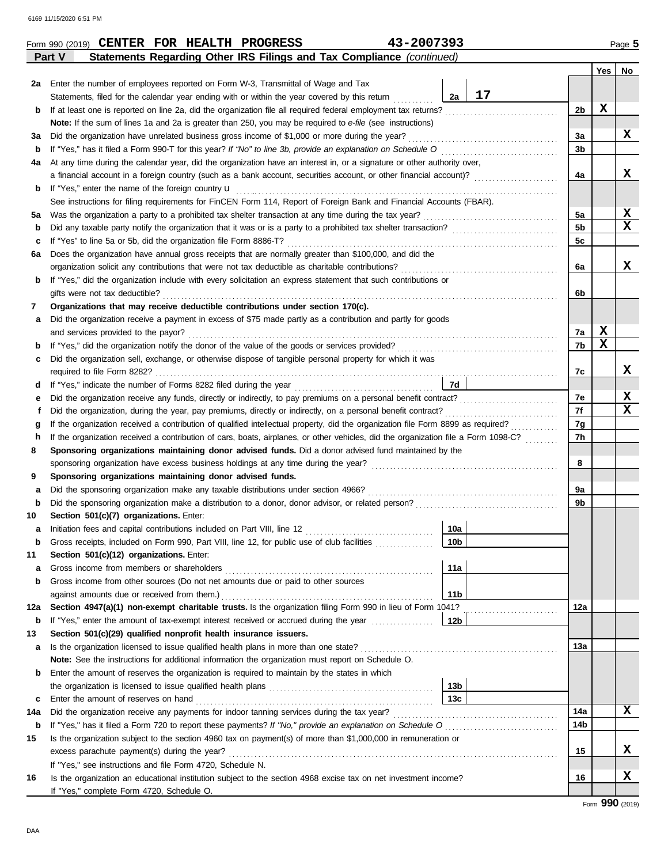|     | Part V<br>Statements Regarding Other IRS Filings and Tax Compliance (continued)                                                    |                |             |                         |
|-----|------------------------------------------------------------------------------------------------------------------------------------|----------------|-------------|-------------------------|
|     |                                                                                                                                    |                | Yes         | No                      |
| 2a  | Enter the number of employees reported on Form W-3, Transmittal of Wage and Tax                                                    |                |             |                         |
|     | 17<br>2a<br>Statements, filed for the calendar year ending with or within the year covered by this return                          |                |             |                         |
| b   |                                                                                                                                    | 2 <sub>b</sub> | $\mathbf x$ |                         |
|     | Note: If the sum of lines 1a and 2a is greater than 250, you may be required to e-file (see instructions)                          |                |             |                         |
| За  | Did the organization have unrelated business gross income of \$1,000 or more during the year?                                      | 3a             |             | X                       |
| b   |                                                                                                                                    | 3 <sub>b</sub> |             |                         |
| 4a  | At any time during the calendar year, did the organization have an interest in, or a signature or other authority over,            |                |             |                         |
|     | a financial account in a foreign country (such as a bank account, securities account, or other financial account)?                 | 4a             |             | x                       |
| b   | If "Yes," enter the name of the foreign country <b>u</b>                                                                           |                |             |                         |
|     | See instructions for filing requirements for FinCEN Form 114, Report of Foreign Bank and Financial Accounts (FBAR).                |                |             |                         |
| 5a  |                                                                                                                                    | 5a             |             | X                       |
| b   |                                                                                                                                    | 5 <sub>b</sub> |             | $\overline{\mathbf{x}}$ |
| c   | If "Yes" to line 5a or 5b, did the organization file Form 8886-T?                                                                  | 5 <sub>c</sub> |             |                         |
| 6а  | Does the organization have annual gross receipts that are normally greater than \$100,000, and did the                             |                |             |                         |
|     |                                                                                                                                    | 6a             |             | X                       |
| b   | If "Yes," did the organization include with every solicitation an express statement that such contributions or                     |                |             |                         |
|     | gifts were not tax deductible?                                                                                                     | 6b             |             |                         |
| 7   | Organizations that may receive deductible contributions under section 170(c).                                                      |                |             |                         |
| а   | Did the organization receive a payment in excess of \$75 made partly as a contribution and partly for goods                        |                |             |                         |
|     | and services provided to the payor?                                                                                                | 7a             | X           |                         |
| b   |                                                                                                                                    | 7b             | $\mathbf x$ |                         |
| c   | Did the organization sell, exchange, or otherwise dispose of tangible personal property for which it was                           |                |             |                         |
|     |                                                                                                                                    | 7c             |             | X                       |
| d   | 7d                                                                                                                                 |                |             |                         |
| е   |                                                                                                                                    | 7e             |             | $\overline{\mathbf{x}}$ |
|     |                                                                                                                                    | 7f             |             | $\overline{\mathbf{x}}$ |
| g   | If the organization received a contribution of qualified intellectual property, did the organization file Form 8899 as required?   | 7g             |             |                         |
| h   | If the organization received a contribution of cars, boats, airplanes, or other vehicles, did the organization file a Form 1098-C? | 7 <sub>h</sub> |             |                         |
| 8   | Sponsoring organizations maintaining donor advised funds. Did a donor advised fund maintained by the                               |                |             |                         |
|     |                                                                                                                                    | 8              |             |                         |
| 9   | Sponsoring organizations maintaining donor advised funds.                                                                          |                |             |                         |
| а   |                                                                                                                                    | 9a             |             |                         |
| b   |                                                                                                                                    | 9 <sub>b</sub> |             |                         |
| 10  | Section 501(c)(7) organizations. Enter:                                                                                            |                |             |                         |
| а   | 10a                                                                                                                                |                |             |                         |
| b   | Gross receipts, included on Form 990, Part VIII, line 12, for public use of club facilities<br>10b                                 |                |             |                         |
| 11  | Section 501(c)(12) organizations. Enter:                                                                                           |                |             |                         |
| а   | 11a<br>Gross income from members or shareholders                                                                                   |                |             |                         |
| b   | Gross income from other sources (Do not net amounts due or paid to other sources                                                   |                |             |                         |
|     | 11 <sub>b</sub><br>against amounts due or received from them.)                                                                     |                |             |                         |
| 12a | Section 4947(a)(1) non-exempt charitable trusts. Is the organization filing Form 990 in lieu of Form 1041?                         | 12a            |             |                         |
| b   | 12 <sub>b</sub><br>If "Yes," enter the amount of tax-exempt interest received or accrued during the year conservation              |                |             |                         |
| 13  | Section 501(c)(29) qualified nonprofit health insurance issuers.                                                                   |                |             |                         |
| a   | Is the organization licensed to issue qualified health plans in more than one state?                                               | 13а            |             |                         |
|     | Note: See the instructions for additional information the organization must report on Schedule O.                                  |                |             |                         |
| b   | Enter the amount of reserves the organization is required to maintain by the states in which                                       |                |             |                         |
|     | 13 <sub>b</sub>                                                                                                                    |                |             |                         |
| c   | 13 <sub>c</sub><br>Enter the amount of reserves on hand                                                                            |                |             |                         |
| 14a | Did the organization receive any payments for indoor tanning services during the tax year?                                         | 14a            |             | X                       |
| b   | If "Yes," has it filed a Form 720 to report these payments? If "No," provide an explanation on Schedule O                          | 14b            |             |                         |
| 15  | Is the organization subject to the section 4960 tax on payment(s) of more than \$1,000,000 in remuneration or                      |                |             |                         |
|     | excess parachute payment(s) during the year?                                                                                       | 15             |             | X                       |
|     | If "Yes," see instructions and file Form 4720, Schedule N.                                                                         |                |             |                         |
| 16  | Is the organization an educational institution subject to the section 4968 excise tax on net investment income?                    | 16             |             | X                       |
|     | If "Yes," complete Form 4720, Schedule O.                                                                                          |                |             |                         |
|     |                                                                                                                                    |                |             |                         |

Form **990** (2019)

DAA

**Form 990 (2019) CENTER FOR HEALTH PROGRESS** 43-2007393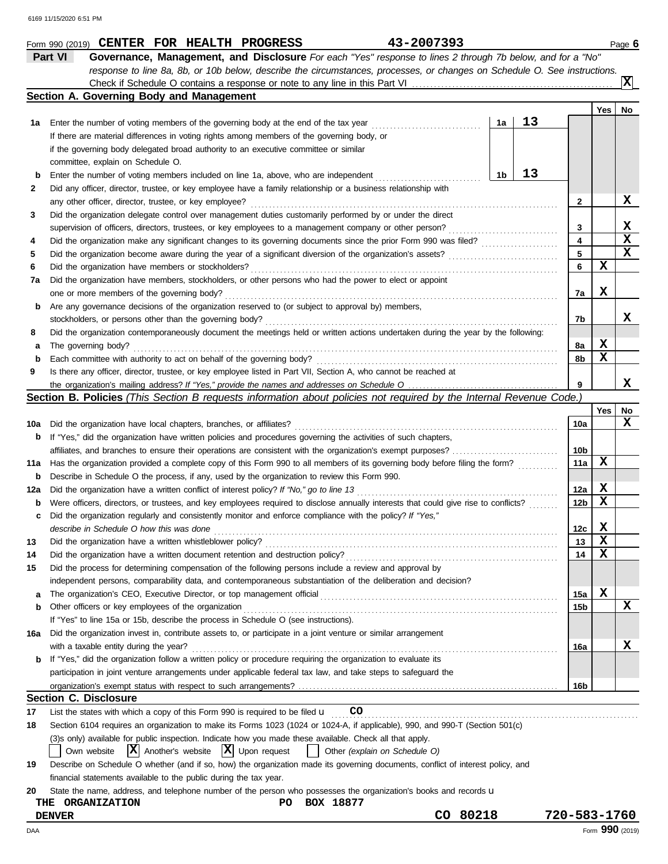|     | 43-2007393<br>Form 990 (2019) CENTER FOR HEALTH PROGRESS                                                                            |    |    |                         |             | Page $6$    |
|-----|-------------------------------------------------------------------------------------------------------------------------------------|----|----|-------------------------|-------------|-------------|
|     | Part VI<br>Governance, Management, and Disclosure For each "Yes" response to lines 2 through 7b below, and for a "No"               |    |    |                         |             |             |
|     | response to line 8a, 8b, or 10b below, describe the circumstances, processes, or changes on Schedule O. See instructions.           |    |    |                         |             |             |
|     |                                                                                                                                     |    |    |                         |             | lxl         |
|     | Section A. Governing Body and Management                                                                                            |    |    |                         |             |             |
|     |                                                                                                                                     |    |    |                         | Yes         | No          |
| 1а  | Enter the number of voting members of the governing body at the end of the tax year                                                 | 1a | 13 |                         |             |             |
|     | If there are material differences in voting rights among members of the governing body, or                                          |    |    |                         |             |             |
|     | if the governing body delegated broad authority to an executive committee or similar                                                |    |    |                         |             |             |
|     | committee, explain on Schedule O.                                                                                                   |    |    |                         |             |             |
| b   | Enter the number of voting members included on line 1a, above, who are independent                                                  | 1b | 13 |                         |             |             |
| 2   | Did any officer, director, trustee, or key employee have a family relationship or a business relationship with                      |    |    |                         |             |             |
|     | any other officer, director, trustee, or key employee?                                                                              |    |    | 2                       |             | X           |
| 3   | Did the organization delegate control over management duties customarily performed by or under the direct                           |    |    |                         |             |             |
|     | supervision of officers, directors, trustees, or key employees to a management company or other person?                             |    |    | 3                       |             | X           |
| 4   | Did the organization make any significant changes to its governing documents since the prior Form 990 was filed?                    |    |    | $\overline{\mathbf{4}}$ |             | $\mathbf x$ |
| 5   | Did the organization become aware during the year of a significant diversion of the organization's assets?                          |    |    | 5                       |             | $\mathbf x$ |
| 6   | Did the organization have members or stockholders?                                                                                  |    |    | 6                       | X           |             |
| 7a  | Did the organization have members, stockholders, or other persons who had the power to elect or appoint                             |    |    |                         |             |             |
|     | one or more members of the governing body?                                                                                          |    |    | 7a                      | X           |             |
| b   | Are any governance decisions of the organization reserved to (or subject to approval by) members,                                   |    |    |                         |             |             |
|     | stockholders, or persons other than the governing body?                                                                             |    |    | 7b                      |             | x           |
| 8   | Did the organization contemporaneously document the meetings held or written actions undertaken during the year by the following:   |    |    |                         |             |             |
| а   | The governing body?                                                                                                                 |    |    | 8a                      | Х           |             |
| b   | Each committee with authority to act on behalf of the governing body?                                                               |    |    | 8b                      | $\mathbf x$ |             |
| 9   | Is there any officer, director, trustee, or key employee listed in Part VII, Section A, who cannot be reached at                    |    |    |                         |             |             |
|     |                                                                                                                                     |    |    | 9                       |             | x           |
|     | <b>Section B. Policies</b> (This Section B requests information about policies not required by the Internal Revenue Code.)          |    |    |                         |             |             |
|     |                                                                                                                                     |    |    |                         | Yes         | No          |
| 10a | Did the organization have local chapters, branches, or affiliates?                                                                  |    |    | 10a                     |             | x           |
| b   | If "Yes," did the organization have written policies and procedures governing the activities of such chapters,                      |    |    |                         |             |             |
|     |                                                                                                                                     |    |    | 10b                     |             |             |
| 11a | Has the organization provided a complete copy of this Form 990 to all members of its governing body before filing the form?         |    |    | 11a                     | X           |             |
| b   | Describe in Schedule O the process, if any, used by the organization to review this Form 990.                                       |    |    |                         |             |             |
| 12a | Did the organization have a written conflict of interest policy? If "No," go to line 13                                             |    |    | 12a                     | X           |             |
| b   | Were officers, directors, or trustees, and key employees required to disclose annually interests that could give rise to conflicts? |    |    | 12 <sub>b</sub>         | X           |             |
| с   | Did the organization regularly and consistently monitor and enforce compliance with the policy? If "Yes,"                           |    |    |                         |             |             |
|     | describe in Schedule O how this was done                                                                                            |    |    | 12 <sub>c</sub>         | X           |             |
| 13  | Did the organization have a written whistleblower policy?                                                                           |    |    | 13                      | X           |             |
| 14  | Did the organization have a written document retention and destruction policy?                                                      |    |    | 14                      | х           |             |
| 15  | Did the process for determining compensation of the following persons include a review and approval by                              |    |    |                         |             |             |
|     | independent persons, comparability data, and contemporaneous substantiation of the deliberation and decision?                       |    |    |                         |             |             |
| а   | The organization's CEO, Executive Director, or top management official                                                              |    |    | 15a                     | X           |             |
| b   | Other officers or key employees of the organization                                                                                 |    |    | 15 <sub>b</sub>         |             | X           |
|     | If "Yes" to line 15a or 15b, describe the process in Schedule O (see instructions).                                                 |    |    |                         |             |             |
| 16a | Did the organization invest in, contribute assets to, or participate in a joint venture or similar arrangement                      |    |    |                         |             |             |
|     | with a taxable entity during the year?                                                                                              |    |    | 16a                     |             | X           |
| b   | If "Yes," did the organization follow a written policy or procedure requiring the organization to evaluate its                      |    |    |                         |             |             |
|     | participation in joint venture arrangements under applicable federal tax law, and take steps to safeguard the                       |    |    |                         |             |             |
|     |                                                                                                                                     |    |    | 16b                     |             |             |
|     | <b>Section C. Disclosure</b>                                                                                                        |    |    |                         |             |             |
| 17  | CO<br>List the states with which a copy of this Form 990 is required to be filed $\mathbf u$                                        |    |    |                         |             |             |
| 18  | Section 6104 requires an organization to make its Forms 1023 (1024 or 1024-A, if applicable), 990, and 990-T (Section 501(c)        |    |    |                         |             |             |
|     | (3)s only) available for public inspection. Indicate how you made these available. Check all that apply.                            |    |    |                         |             |             |
|     | $ \mathbf{X} $ Another's website $ \mathbf{X} $ Upon request<br>Other (explain on Schedule O)<br>Own website                        |    |    |                         |             |             |
| 19  | Describe on Schedule O whether (and if so, how) the organization made its governing documents, conflict of interest policy, and     |    |    |                         |             |             |
|     | financial statements available to the public during the tax year.                                                                   |    |    |                         |             |             |
| 20  | State the name, address, and telephone number of the person who possesses the organization's books and records u                    |    |    |                         |             |             |
|     | BOX 18877<br><b>ORGANIZATION</b><br>THE<br>PО                                                                                       |    |    |                         |             |             |
|     | CO 80218<br><b>DENVER</b>                                                                                                           |    |    | 720-583-1760            |             |             |
|     |                                                                                                                                     |    |    |                         |             |             |

DAA Form **990** (2019)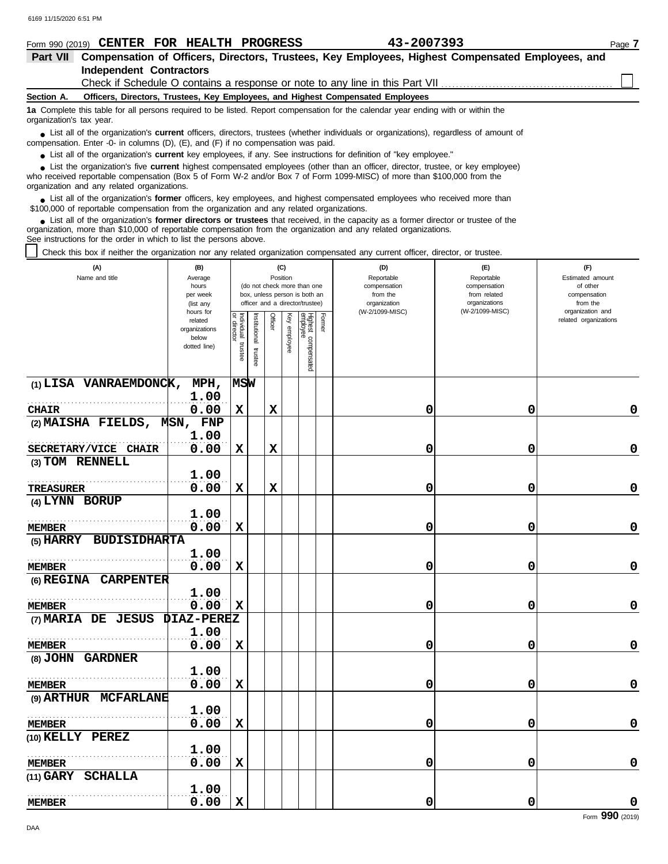|                          | Form 990 (2019) CENTER FOR HEALTH PROGRESS                                                                                                                                                                                                                                                                      | 43-2007393 | Page 7 |
|--------------------------|-----------------------------------------------------------------------------------------------------------------------------------------------------------------------------------------------------------------------------------------------------------------------------------------------------------------|------------|--------|
| Part VII                 | Compensation of Officers, Directors, Trustees, Key Employees, Highest Compensated Employees, and                                                                                                                                                                                                                |            |        |
|                          | <b>Independent Contractors</b>                                                                                                                                                                                                                                                                                  |            |        |
|                          |                                                                                                                                                                                                                                                                                                                 |            |        |
| Section A.               | Officers, Directors, Trustees, Key Employees, and Highest Compensated Employees                                                                                                                                                                                                                                 |            |        |
| organization's tax year. | 1a Complete this table for all persons required to be listed. Report compensation for the calendar year ending with or within the                                                                                                                                                                               |            |        |
|                          | • List all of the organization's <b>current</b> officers, directors, trustees (whether individuals or organizations), regardless of amount of<br>compensation. Enter -0- in columns $(D)$ , $(E)$ , and $(F)$ if no compensation was paid.                                                                      |            |        |
|                          | • List all of the organization's <b>current</b> key employees, if any. See instructions for definition of "key employee."                                                                                                                                                                                       |            |        |
|                          | <b>List the organization's five current highest compensated employees (other than an officer, director, trustee, or key employee)</b><br>who received reportable compensation (Box 5 of Form W-2 and/or Box 7 of Form 1099-MISC) of more than \$100,000 from the<br>organization and any related organizations. |            |        |
|                          | • List all of the organization's former officers, key employees, and highest compensated employees who received more than<br>\$100,000 of reportable compensation from the organization and any related organizations.                                                                                          |            |        |

List all of the organization's **former directors or trustees** that received, in the capacity as a former director or trustee of the organization, more than \$10,000 of reportable compensation from the organization and any related organizations. See instructions for the order in which to list the persons above. **•**

Check this box if neither the organization nor any related organization compensated any current officer, director, or trustee.

| (A)<br>Name and title         | (B)<br>Average<br>hours<br>per week<br>(list any               |                                      | (C)<br>Position<br>(do not check more than one<br>box, unless person is both an<br>officer and a director/trustee) |             |              |                                 |        | (D)<br>Reportable<br>compensation<br>from the<br>organization<br>(W-2/1099-MISC) | (E)<br>Reportable<br>compensation<br>from related<br>organizations<br>(W-2/1099-MISC) | (F)<br>Estimated amount<br>of other<br>compensation<br>from the<br>organization and |
|-------------------------------|----------------------------------------------------------------|--------------------------------------|--------------------------------------------------------------------------------------------------------------------|-------------|--------------|---------------------------------|--------|----------------------------------------------------------------------------------|---------------------------------------------------------------------------------------|-------------------------------------------------------------------------------------|
|                               | hours for<br>related<br>organizations<br>below<br>dotted line) | Individual<br>or director<br>trustee | Institutional<br>trustee                                                                                           | Officer     | Key employee | Highest compensated<br>employee | Former |                                                                                  |                                                                                       | related organizations                                                               |
| (1) LISA VANRAEMDONCK,        | MPH,                                                           | MSW                                  |                                                                                                                    |             |              |                                 |        |                                                                                  |                                                                                       |                                                                                     |
|                               | 1.00                                                           |                                      |                                                                                                                    |             |              |                                 |        |                                                                                  |                                                                                       |                                                                                     |
| <b>CHAIR</b>                  | 0.00                                                           | $\mathbf x$                          |                                                                                                                    | $\mathbf x$ |              |                                 |        | 0                                                                                | 0                                                                                     | 0                                                                                   |
| $(2)$ MAISHA FIELDS, MSN,     | FNP                                                            |                                      |                                                                                                                    |             |              |                                 |        |                                                                                  |                                                                                       |                                                                                     |
|                               | 1.00                                                           |                                      |                                                                                                                    |             |              |                                 |        |                                                                                  |                                                                                       |                                                                                     |
| SECRETARY/VICE CHAIR          | 0.00                                                           | $\mathbf x$                          |                                                                                                                    | $\mathbf x$ |              |                                 |        | 0                                                                                | 0                                                                                     | 0                                                                                   |
| (3) TOM RENNELL               |                                                                |                                      |                                                                                                                    |             |              |                                 |        |                                                                                  |                                                                                       |                                                                                     |
|                               | 1.00                                                           |                                      |                                                                                                                    |             |              |                                 |        |                                                                                  |                                                                                       |                                                                                     |
| <b>TREASURER</b>              | 0.00                                                           | $\mathbf x$                          |                                                                                                                    | $\mathbf x$ |              |                                 |        | 0                                                                                | 0                                                                                     | 0                                                                                   |
| (4) LYNN BORUP                |                                                                |                                      |                                                                                                                    |             |              |                                 |        |                                                                                  |                                                                                       |                                                                                     |
|                               | 1.00                                                           |                                      |                                                                                                                    |             |              |                                 |        |                                                                                  |                                                                                       |                                                                                     |
| <b>MEMBER</b>                 | 0.00                                                           | $\mathbf x$                          |                                                                                                                    |             |              |                                 |        | 0                                                                                | 0                                                                                     | 0                                                                                   |
| (5) HARRY BUDISIDHARTA        |                                                                |                                      |                                                                                                                    |             |              |                                 |        |                                                                                  |                                                                                       |                                                                                     |
|                               | 1.00                                                           |                                      |                                                                                                                    |             |              |                                 |        |                                                                                  |                                                                                       |                                                                                     |
| <b>MEMBER</b>                 | 0.00                                                           | X                                    |                                                                                                                    |             |              |                                 |        | 0                                                                                | 0                                                                                     | 0                                                                                   |
| (6) REGINA CARPENTER          |                                                                |                                      |                                                                                                                    |             |              |                                 |        |                                                                                  |                                                                                       |                                                                                     |
|                               | 1.00                                                           |                                      |                                                                                                                    |             |              |                                 |        |                                                                                  |                                                                                       |                                                                                     |
| <b>MEMBER</b>                 | 0.00                                                           | X                                    |                                                                                                                    |             |              |                                 |        | 0                                                                                | 0                                                                                     | 0                                                                                   |
| (7) MARIA DE JESUS DIAZ-PEREZ |                                                                |                                      |                                                                                                                    |             |              |                                 |        |                                                                                  |                                                                                       |                                                                                     |
|                               | 1.00                                                           |                                      |                                                                                                                    |             |              |                                 |        |                                                                                  |                                                                                       |                                                                                     |
| <b>MEMBER</b>                 | 0.00                                                           | $\mathbf x$                          |                                                                                                                    |             |              |                                 |        | 0                                                                                | 0                                                                                     | 0                                                                                   |
| (8) JOHN GARDNER              |                                                                |                                      |                                                                                                                    |             |              |                                 |        |                                                                                  |                                                                                       |                                                                                     |
|                               | 1.00                                                           |                                      |                                                                                                                    |             |              |                                 |        |                                                                                  |                                                                                       |                                                                                     |
| <b>MEMBER</b>                 | 0.00                                                           | $\mathbf x$                          |                                                                                                                    |             |              |                                 |        | 0                                                                                | 0                                                                                     | 0                                                                                   |
| (9) ARTHUR MCFARLANE          |                                                                |                                      |                                                                                                                    |             |              |                                 |        |                                                                                  |                                                                                       |                                                                                     |
|                               | 1.00                                                           |                                      |                                                                                                                    |             |              |                                 |        |                                                                                  |                                                                                       |                                                                                     |
| <b>MEMBER</b>                 | 0.00                                                           | X                                    |                                                                                                                    |             |              |                                 |        | 0                                                                                | 0                                                                                     | 0                                                                                   |
| (10) KELLY PEREZ              |                                                                |                                      |                                                                                                                    |             |              |                                 |        |                                                                                  |                                                                                       |                                                                                     |
|                               | 1.00                                                           |                                      |                                                                                                                    |             |              |                                 |        |                                                                                  |                                                                                       |                                                                                     |
| <b>MEMBER</b>                 | 0.00                                                           | $\mathbf x$                          |                                                                                                                    |             |              |                                 |        | 0                                                                                | 0                                                                                     | $\Omega$                                                                            |
| (11) GARY SCHALLA             |                                                                |                                      |                                                                                                                    |             |              |                                 |        |                                                                                  |                                                                                       |                                                                                     |
|                               | 1.00                                                           |                                      |                                                                                                                    |             |              |                                 |        |                                                                                  |                                                                                       |                                                                                     |
| MEMBER                        | 0.00                                                           | $\mathbf x$                          |                                                                                                                    |             |              |                                 |        | 0                                                                                | 0                                                                                     | 0                                                                                   |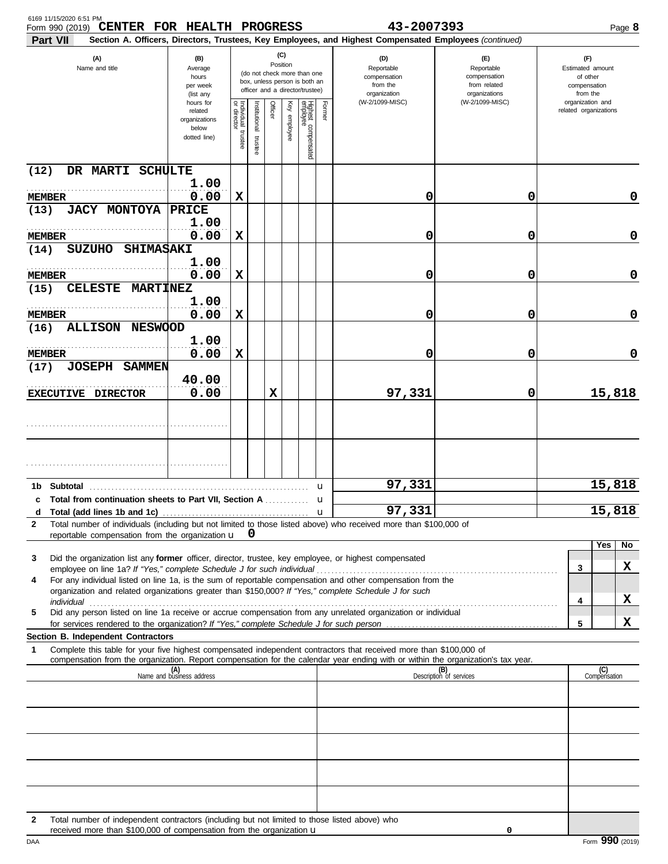| 6169 11/15/2020 6:51 PM<br>CENTER FOR HEALTH PROGRESS<br>Form 990 (2019)                                                                                                                                                                                                                                                                     |                                                                                                                                                                        |                                      |                         |         |                 |                                 |                                                               | 43-2007393                                                                                             |                                                                 | Page 8                                    |
|----------------------------------------------------------------------------------------------------------------------------------------------------------------------------------------------------------------------------------------------------------------------------------------------------------------------------------------------|------------------------------------------------------------------------------------------------------------------------------------------------------------------------|--------------------------------------|-------------------------|---------|-----------------|---------------------------------|---------------------------------------------------------------|--------------------------------------------------------------------------------------------------------|-----------------------------------------------------------------|-------------------------------------------|
| Part VII                                                                                                                                                                                                                                                                                                                                     |                                                                                                                                                                        |                                      |                         |         |                 |                                 |                                                               | Section A. Officers, Directors, Trustees, Key Employees, and Highest Compensated Employees (continued) |                                                                 |                                           |
| (A)<br>Name and title                                                                                                                                                                                                                                                                                                                        | (C)<br>(B)<br>Position<br>Average<br>(do not check more than one<br>hours<br>box, unless person is both an<br>per week<br>officer and a director/trustee)<br>(list any |                                      |                         |         |                 |                                 | (D)<br>Reportable<br>compensation<br>from the<br>organization | (E)<br>Reportable<br>compensation<br>from related<br>organizations                                     | (F)<br>Estimated amount<br>of other<br>compensation<br>from the |                                           |
|                                                                                                                                                                                                                                                                                                                                              | hours for<br>related<br>organizations<br>below<br>dotted line)                                                                                                         | Individual<br>or director<br>trustee | nstitutional<br>trustee | Officer | Ķey<br>employee | Highest compensated<br>employee | Former                                                        | (W-2/1099-MISC)                                                                                        | (W-2/1099-MISC)                                                 | organization and<br>related organizations |
| DR MARTI SCHULTE<br>(12)                                                                                                                                                                                                                                                                                                                     |                                                                                                                                                                        |                                      |                         |         |                 |                                 |                                                               |                                                                                                        |                                                                 |                                           |
| <b>MEMBER</b>                                                                                                                                                                                                                                                                                                                                | 1.00<br>0.00                                                                                                                                                           | X                                    |                         |         |                 |                                 |                                                               | 0                                                                                                      | 0                                                               | 0                                         |
| <b>JACY MONTOYA</b><br>(13)                                                                                                                                                                                                                                                                                                                  | <b>PRICE</b><br>1.00                                                                                                                                                   |                                      |                         |         |                 |                                 |                                                               |                                                                                                        |                                                                 |                                           |
| <b>MEMBER</b>                                                                                                                                                                                                                                                                                                                                | 0.00                                                                                                                                                                   | X                                    |                         |         |                 |                                 |                                                               | 0                                                                                                      | 0                                                               | 0                                         |
| <b>SUZUHO</b><br><b>SHIMASAKI</b><br>(14)                                                                                                                                                                                                                                                                                                    | 1.00                                                                                                                                                                   |                                      |                         |         |                 |                                 |                                                               |                                                                                                        |                                                                 |                                           |
| <b>MEMBER</b>                                                                                                                                                                                                                                                                                                                                | 0.00                                                                                                                                                                   | X                                    |                         |         |                 |                                 |                                                               | 0                                                                                                      | 0                                                               | 0                                         |
| <b>CELESTE</b><br><b>MARTINEZ</b><br>(15)                                                                                                                                                                                                                                                                                                    | 1.00                                                                                                                                                                   |                                      |                         |         |                 |                                 |                                                               |                                                                                                        |                                                                 |                                           |
| <b>MEMBER</b><br><b>ALLISON</b><br><b>NESWOOD</b><br>(16)                                                                                                                                                                                                                                                                                    | 0.00                                                                                                                                                                   | X                                    |                         |         |                 |                                 |                                                               | 0                                                                                                      | 0                                                               | 0                                         |
| <b>MEMBER</b>                                                                                                                                                                                                                                                                                                                                | 1.00<br>0.00                                                                                                                                                           | X                                    |                         |         |                 |                                 |                                                               | 0                                                                                                      | 0                                                               | 0                                         |
| <b>JOSEPH SAMMEN</b><br>(17)                                                                                                                                                                                                                                                                                                                 |                                                                                                                                                                        |                                      |                         |         |                 |                                 |                                                               |                                                                                                        |                                                                 |                                           |
| EXECUTIVE DIRECTOR                                                                                                                                                                                                                                                                                                                           | 40.00<br>0.00                                                                                                                                                          |                                      |                         | X       |                 |                                 |                                                               | 97,331                                                                                                 | 0                                                               | 15,818                                    |
|                                                                                                                                                                                                                                                                                                                                              |                                                                                                                                                                        |                                      |                         |         |                 |                                 |                                                               |                                                                                                        |                                                                 |                                           |
|                                                                                                                                                                                                                                                                                                                                              |                                                                                                                                                                        |                                      |                         |         |                 |                                 |                                                               |                                                                                                        |                                                                 |                                           |
|                                                                                                                                                                                                                                                                                                                                              |                                                                                                                                                                        |                                      |                         |         |                 |                                 | u                                                             | 97,331                                                                                                 |                                                                 | 15,818                                    |
| c Total from continuation sheets to Part VII, Section A<br>d                                                                                                                                                                                                                                                                                 |                                                                                                                                                                        |                                      |                         |         |                 |                                 | u                                                             | 97,331                                                                                                 |                                                                 | 15,818                                    |
| Total number of individuals (including but not limited to those listed above) who received more than \$100,000 of<br>2<br>reportable compensation from the organization u                                                                                                                                                                    |                                                                                                                                                                        |                                      | 0                       |         |                 |                                 |                                                               |                                                                                                        |                                                                 |                                           |
|                                                                                                                                                                                                                                                                                                                                              |                                                                                                                                                                        |                                      |                         |         |                 |                                 |                                                               |                                                                                                        |                                                                 | Yes<br>No                                 |
| Did the organization list any former officer, director, trustee, key employee, or highest compensated<br>3<br>employee on line 1a? If "Yes," complete Schedule J for such individual [1] [1] contains the succession of the succession of the succession of the succession of the succession of the succession of the succession of the succ |                                                                                                                                                                        |                                      |                         |         |                 |                                 |                                                               |                                                                                                        |                                                                 | X<br>3                                    |
| For any individual listed on line 1a, is the sum of reportable compensation and other compensation from the<br>4<br>organization and related organizations greater than \$150,000? If "Yes," complete Schedule J for such                                                                                                                    |                                                                                                                                                                        |                                      |                         |         |                 |                                 |                                                               |                                                                                                        |                                                                 | X                                         |
| Did any person listed on line 1a receive or accrue compensation from any unrelated organization or individual<br>5                                                                                                                                                                                                                           |                                                                                                                                                                        |                                      |                         |         |                 |                                 |                                                               |                                                                                                        |                                                                 | 4                                         |
| Section B. Independent Contractors                                                                                                                                                                                                                                                                                                           |                                                                                                                                                                        |                                      |                         |         |                 |                                 |                                                               |                                                                                                        |                                                                 | X<br>5                                    |
| 1<br>Complete this table for your five highest compensated independent contractors that received more than \$100,000 of<br>compensation from the organization. Report compensation for the calendar year ending with or within the organization's tax year.                                                                                  |                                                                                                                                                                        |                                      |                         |         |                 |                                 |                                                               |                                                                                                        |                                                                 |                                           |
|                                                                                                                                                                                                                                                                                                                                              | (A)<br>Name and business address                                                                                                                                       |                                      |                         |         |                 |                                 |                                                               |                                                                                                        | (B)<br>Description of services                                  | (C)<br>Compensation                       |
|                                                                                                                                                                                                                                                                                                                                              |                                                                                                                                                                        |                                      |                         |         |                 |                                 |                                                               |                                                                                                        |                                                                 |                                           |
|                                                                                                                                                                                                                                                                                                                                              |                                                                                                                                                                        |                                      |                         |         |                 |                                 |                                                               |                                                                                                        |                                                                 |                                           |
|                                                                                                                                                                                                                                                                                                                                              |                                                                                                                                                                        |                                      |                         |         |                 |                                 |                                                               |                                                                                                        |                                                                 |                                           |
|                                                                                                                                                                                                                                                                                                                                              |                                                                                                                                                                        |                                      |                         |         |                 |                                 |                                                               |                                                                                                        |                                                                 |                                           |
|                                                                                                                                                                                                                                                                                                                                              |                                                                                                                                                                        |                                      |                         |         |                 |                                 |                                                               |                                                                                                        |                                                                 |                                           |
| Total number of independent contractors (including but not limited to those listed above) who<br>2                                                                                                                                                                                                                                           |                                                                                                                                                                        |                                      |                         |         |                 |                                 |                                                               |                                                                                                        |                                                                 |                                           |

received more than \$100,000 of compensation from the organization  $\mathbf u$ 

**0**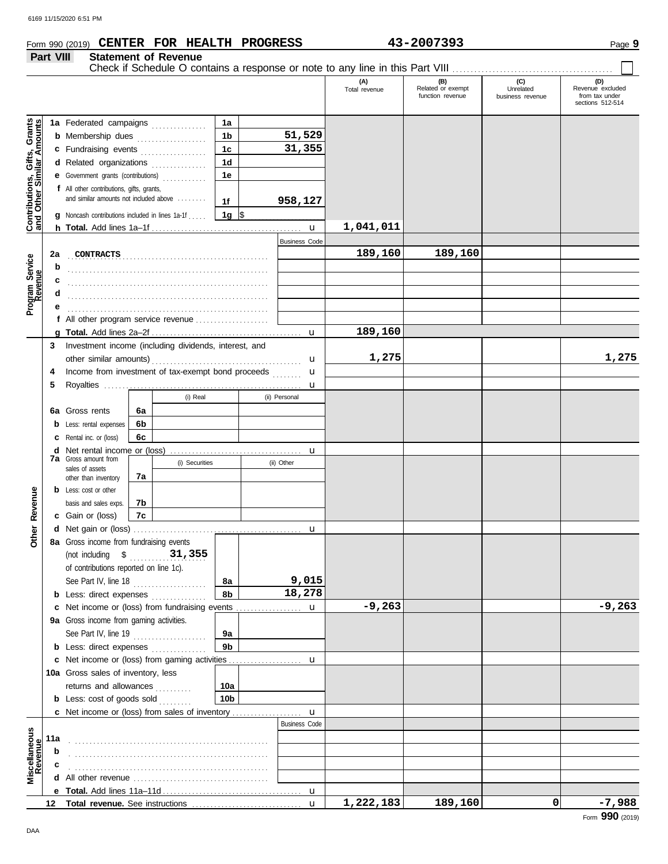## **Form 990 (2019) CENTER FOR HEALTH PROGRESS** 43-2007393

#### **Part VIII Statement of Revenue** Check if Schedule O contains a response or note to any line in this Part VIII. **(A) (B) (C) (D)** Total revenue Related or exempt Unrelated Revenue excluded function revenue business revenue from tax under sections 512-514 Contributions, Gifts, Grants<br>and Other Similar Amounts **Contributions, Gifts, Grants 1a and Other Similar Amounts 1a** Federated campaigns **. . . . . . . . . . . . 51,529 1b b** Membership dues . . . . . . . . . . . . . . . . **31,355 1c c** Fundraising events . . . . . . . . . . . . . . . . **1d d** Related organizations ............... **1e e** Government grants (contributions) . . . . . . . . . . . . **f** All other contributions, gifts, grants, and similar amounts not included above ........ **958,127 1f 1g g** Noncash contributions included in lines 1a-1f . . . . .  $\frac{\$}{\$}$ **1,041,011** u **h Total.** Add lines 1a–1f . . . . . . . . . . . . . . . . . . . . . . . . . . . . . . . . . . . . . . . . . Business Code . . . . . . . . . . . . . . . . . . . . . . . . . . . . . . . . . . . . . . . . . . . . . . . . . . . . . . . **2a CONTRACTS 189,160 189,160 Program Service Program Service b** . . . . . . . . . . . . . . . . . . . . . . . . . . . . . . . . . . . . . . . . . . . . . . . . . . . . . . . **c d** . . . . . . . . . . . . . . . . . . . . . . . . . . . . . . . . . . . . . . . . . . . . . . . . . . . . . . . **e** . . . . . . . . . . . . . . . . . . . . . . . . . . . . . . . . . . . . . . . . . . . . . . . . . . . . . . . **f** All other program service revenue . . . . . . . . . . . . . . . . . . . . **189,160 g Total.** Add lines 2a–2f . . . . . . . . . . . . . . . . . . . . . . . . . . . . . . . . . . . . . . . . . u **3** Investment income (including dividends, interest, and **1,275 1,275** other similar amounts) . . . . . . . . . . . . . . . . . . . . . . . . . . . . . . . . . . . . . . . . . u Income from investment of tax-exempt bond proceeds **4** u **5** Royalties ...... u (i) Real (ii) Personal **6a 6a** Gross rents **6b b** Less: rental expenses **6c c** Rental inc. or (loss) u **d** Net rental income or (loss) . . . . . . . . . . . . . . . . . . . . . . . . . . . . . . . . . . . . **7a** Gross amount from (i) Securities (ii) Other sales of assets **7a** other than inventory Revenue **b** Less: cost or other **Other Revenue** basis and sales exps. **7b 7c c** Gain or (loss) Other I **d** u Net gain or (loss) . . . . . . . . . . . . . . . . . . . . . . . . . . . . . . . . . . . . . . . . . . . . . . **8a** Gross income from fundraising events (not including \$ . . . . . . . . . . . . . . . . . . . . . **31,355** of contributions reported on line 1c). See Part IV, line 18 . . . . . . . . . . . . . . . . . . . . **9,015 8a 8b 18,278 b** Less: direct expenses ................ **-9,263 -9,263** u **c** Net income or (loss) from fundraising events . . . . . . . . . . . . . . . . 9a Gross income from gaming activities. See Part IV, line 19 . . . . . . . . . . . . . . . . . . . . **9a 9b b** Less: direct expenses ............... u Net income or (loss) from gaming activities . . . . . . . . . . . . . . . . . . . . **c** 10a Gross sales of inventory, less returns and allowances ........... **10a 10b b** Less:  $\cosh$  of goods  $\sinh$ Net income or (loss) from sales of inventory . . . . . . . . . . . . . . . . . . . **c** u Business Code **iscellaneous**<br>Revenue **Miscellaneous 11a b** . . . . . . . . . . . . . . . . . . . . . . . . . . . . . . . . . . . . . . . . . . . . . . . . . . . . . . **c d** All other revenue . . . . . . . . . . . . . . . . . . . . . . . . . . . . . . . . . . . . . **e Total.** Add lines 11a–11d . . . . . . . . . . . . . . . . . . . . . . . . . . . . . . . . . . . . . . u **1,222,183 189,160 0 -7,988 12 Total revenue.** See instructions u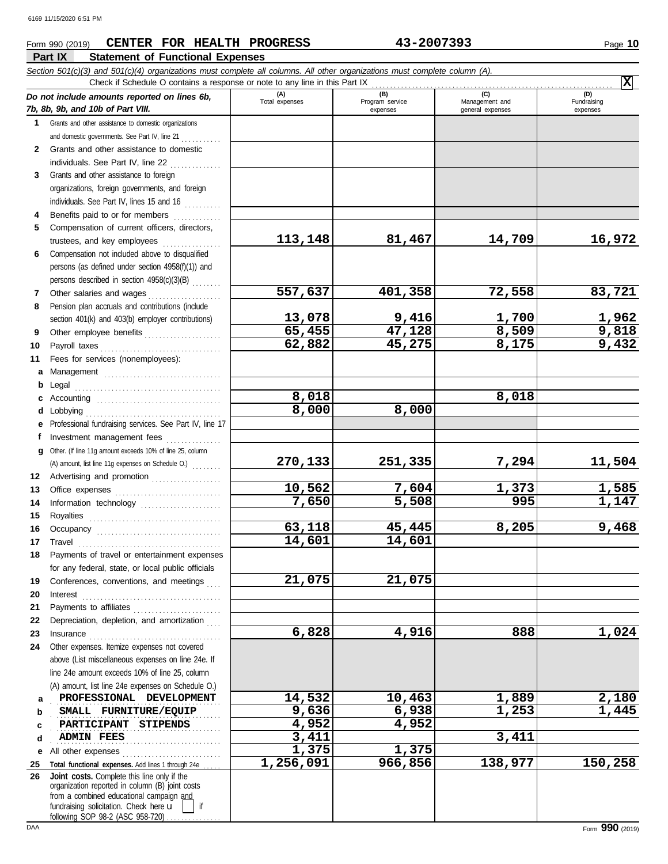## **Form 990 (2019) CENTER FOR HEALTH PROGRESS** 43-2007393 Page 10

|              | Part IX<br><b>Statement of Functional Expenses</b>                                                                                                                                                                                                                               |                |                                    |                                    |                         |
|--------------|----------------------------------------------------------------------------------------------------------------------------------------------------------------------------------------------------------------------------------------------------------------------------------|----------------|------------------------------------|------------------------------------|-------------------------|
|              | Section 501(c)(3) and 501(c)(4) organizations must complete all columns. All other organizations must complete column (A).                                                                                                                                                       |                |                                    |                                    |                         |
|              | Check if Schedule O contains a response or note to any line in this Part IX                                                                                                                                                                                                      | (A)            |                                    | (C)                                | $\mathbf{x}$<br>(D)     |
|              | Do not include amounts reported on lines 6b,<br>7b, 8b, 9b, and 10b of Part VIII.                                                                                                                                                                                                | Total expenses | (B)<br>Program service<br>expenses | Management and<br>general expenses | Fundraising<br>expenses |
| 1            | Grants and other assistance to domestic organizations                                                                                                                                                                                                                            |                |                                    |                                    |                         |
|              | and domestic governments. See Part IV, line 21                                                                                                                                                                                                                                   |                |                                    |                                    |                         |
| $\mathbf{2}$ | Grants and other assistance to domestic                                                                                                                                                                                                                                          |                |                                    |                                    |                         |
|              | individuals. See Part IV, line 22                                                                                                                                                                                                                                                |                |                                    |                                    |                         |
| 3            | Grants and other assistance to foreign                                                                                                                                                                                                                                           |                |                                    |                                    |                         |
|              | organizations, foreign governments, and foreign                                                                                                                                                                                                                                  |                |                                    |                                    |                         |
|              | individuals. See Part IV, lines 15 and 16                                                                                                                                                                                                                                        |                |                                    |                                    |                         |
| 4            | Benefits paid to or for members                                                                                                                                                                                                                                                  |                |                                    |                                    |                         |
| 5            | Compensation of current officers, directors,                                                                                                                                                                                                                                     |                |                                    |                                    |                         |
|              | trustees, and key employees                                                                                                                                                                                                                                                      | 113,148        | 81,467                             | 14,709                             | 16,972                  |
| 6            | Compensation not included above to disqualified                                                                                                                                                                                                                                  |                |                                    |                                    |                         |
|              | persons (as defined under section 4958(f)(1)) and                                                                                                                                                                                                                                |                |                                    |                                    |                         |
|              | persons described in section 4958(c)(3)(B)                                                                                                                                                                                                                                       |                |                                    |                                    |                         |
| 7            | Other salaries and wages                                                                                                                                                                                                                                                         | 557,637        | 401,358                            | 72,558                             | 83,721                  |
| 8            | Pension plan accruals and contributions (include                                                                                                                                                                                                                                 |                |                                    |                                    |                         |
|              | section 401(k) and 403(b) employer contributions)                                                                                                                                                                                                                                | 13,078         | 9,416                              | 1,700                              |                         |
| 9            | Other employee benefits                                                                                                                                                                                                                                                          | 65,455         | 47,128                             | 8,509                              | $\frac{1,962}{9,818}$   |
| 10           | Payroll taxes                                                                                                                                                                                                                                                                    | 62,882         | 45,275                             | 8,175                              | 9,432                   |
| 11           | Fees for services (nonemployees):                                                                                                                                                                                                                                                |                |                                    |                                    |                         |
| a            |                                                                                                                                                                                                                                                                                  |                |                                    |                                    |                         |
| b            | Legal                                                                                                                                                                                                                                                                            |                |                                    |                                    |                         |
|              |                                                                                                                                                                                                                                                                                  | 8,018          |                                    | 8,018                              |                         |
| d            | Lobbying                                                                                                                                                                                                                                                                         | 8,000          | 8,000                              |                                    |                         |
| е            | Professional fundraising services. See Part IV, line 17                                                                                                                                                                                                                          |                |                                    |                                    |                         |
| f            | Investment management fees                                                                                                                                                                                                                                                       |                |                                    |                                    |                         |
| g            | Other. (If line 11g amount exceeds 10% of line 25, column                                                                                                                                                                                                                        |                |                                    |                                    |                         |
|              | (A) amount, list line 11g expenses on Schedule O.)                                                                                                                                                                                                                               | 270,133        | 251,335                            | 7,294                              | <u>11,504</u>           |
| 12           | Advertising and promotion                                                                                                                                                                                                                                                        |                |                                    |                                    |                         |
| 13           |                                                                                                                                                                                                                                                                                  | 10,562         | 7,604                              | 1,373                              | 1,585                   |
| 14           | Information technology                                                                                                                                                                                                                                                           | 7,650          | 5,508                              | 995                                | 1,147                   |
| 15           | Royalties                                                                                                                                                                                                                                                                        |                |                                    |                                    |                         |
| 16           |                                                                                                                                                                                                                                                                                  | 63,118         | 45,445                             | 8,205                              | 9,468                   |
| 17           | Travel                                                                                                                                                                                                                                                                           | 14,601         | 14,601                             |                                    |                         |
| 18           | Payments of travel or entertainment expenses                                                                                                                                                                                                                                     |                |                                    |                                    |                         |
|              | for any federal, state, or local public officials                                                                                                                                                                                                                                |                |                                    |                                    |                         |
| 19           | Conferences, conventions, and meetings                                                                                                                                                                                                                                           | 21,075         | 21,075                             |                                    |                         |
| 20           | $\textbf{Interest} \hspace{0.05in} \ldots \hspace{0.05in} \ldots \hspace{0.05in} \ldots \hspace{0.05in} \ldots \hspace{0.05in} \ldots \hspace{0.05in} \ldots \hspace{0.05in} \ldots \hspace{0.05in} \ldots \hspace{0.05in} \ldots \hspace{0.05in} \ldots \hspace{0.05in} \ldots$ |                |                                    |                                    |                         |
| 21           |                                                                                                                                                                                                                                                                                  |                |                                    |                                    |                         |
| 22           | Depreciation, depletion, and amortization                                                                                                                                                                                                                                        |                |                                    |                                    |                         |
| 23           | Insurance <b>continuous</b>                                                                                                                                                                                                                                                      | 6,828          | 4,916                              | 888                                | 1,024                   |
| 24           | Other expenses. Itemize expenses not covered                                                                                                                                                                                                                                     |                |                                    |                                    |                         |
|              | above (List miscellaneous expenses on line 24e. If                                                                                                                                                                                                                               |                |                                    |                                    |                         |
|              | line 24e amount exceeds 10% of line 25, column                                                                                                                                                                                                                                   |                |                                    |                                    |                         |
|              | (A) amount, list line 24e expenses on Schedule O.)                                                                                                                                                                                                                               |                |                                    |                                    |                         |
| a            | PROFESSIONAL DEVELOPMENT                                                                                                                                                                                                                                                         | 14,532         | 10,463                             | 1,889                              | <u>2,180</u>            |
| b            | SMALL FURNITURE/EQUIP                                                                                                                                                                                                                                                            | 9,636          | 6,938                              | 1,253                              | 1,445                   |
| c            | PARTICIPANT STIPENDS                                                                                                                                                                                                                                                             | 4,952          | 4,952                              |                                    |                         |
| d            | <b>ADMIN FEES</b>                                                                                                                                                                                                                                                                | 3,411          |                                    | 3,411                              |                         |
| е            | All other expenses                                                                                                                                                                                                                                                               | 1,375          | 1,375                              |                                    |                         |
| 25           | Total functional expenses. Add lines 1 through 24e                                                                                                                                                                                                                               | 1,256,091      | 966,856                            | 138,977                            | 150,258                 |
| 26           | Joint costs. Complete this line only if the<br>organization reported in column (B) joint costs                                                                                                                                                                                   |                |                                    |                                    |                         |
|              | from a combined educational campaign and                                                                                                                                                                                                                                         |                |                                    |                                    |                         |
|              | fundraising solicitation. Check here u<br>if                                                                                                                                                                                                                                     |                |                                    |                                    |                         |
|              | following SOP 98-2 (ASC 958-720)                                                                                                                                                                                                                                                 |                |                                    |                                    |                         |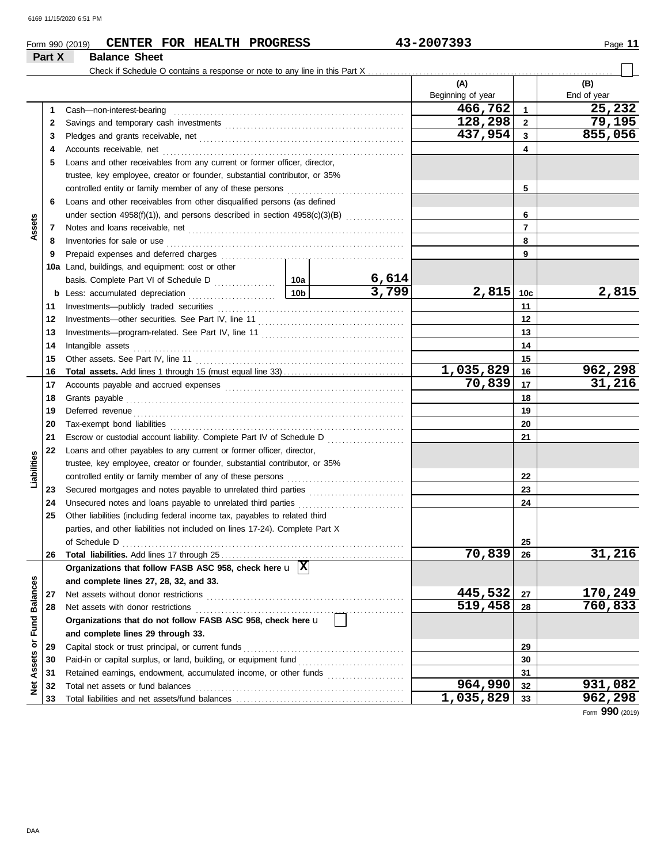> **23 24 25**

**Liabilities**

**26**

**27 28**

**Net Assets or Fund Balances**

Net Assets or Fund Balances

|        | CENTER FOR HEALTH PROGRESS<br>Form 990 (2019)                                                                                               |                 |                | 43-2007393               |                 | Page 11            |
|--------|---------------------------------------------------------------------------------------------------------------------------------------------|-----------------|----------------|--------------------------|-----------------|--------------------|
| Part X | <b>Balance Sheet</b>                                                                                                                        |                 |                |                          |                 |                    |
|        |                                                                                                                                             |                 |                | (A)<br>Beginning of year |                 | (B)<br>End of year |
| 1      | Cash-non-interest-bearing                                                                                                                   |                 |                | 466,762                  | 1               | 25,232             |
|        |                                                                                                                                             | 128,298         | $\overline{2}$ | 79,195                   |                 |                    |
| 3      |                                                                                                                                             | 437,954         | 3              | 855,056                  |                 |                    |
|        | Accounts receivable, net                                                                                                                    |                 | 4              |                          |                 |                    |
| 5      | Loans and other receivables from any current or former officer, director,                                                                   |                 |                |                          |                 |                    |
|        | trustee, key employee, creator or founder, substantial contributor, or 35%                                                                  |                 |                |                          |                 |                    |
|        | controlled entity or family member of any of these persons                                                                                  |                 | 5              |                          |                 |                    |
|        | Loans and other receivables from other disqualified persons (as defined                                                                     |                 |                |                          |                 |                    |
|        |                                                                                                                                             |                 | 6              |                          |                 |                    |
| Assets |                                                                                                                                             |                 |                |                          | 7               |                    |
|        | Inventories for sale or use <i>communication</i> and <i>members</i> for sale or use <i>communication</i> and <i>members</i> for sale or use |                 |                |                          | 8               |                    |
|        |                                                                                                                                             |                 |                |                          | 9               |                    |
|        | 10a Land, buildings, and equipment: cost or other                                                                                           |                 |                |                          |                 |                    |
|        |                                                                                                                                             |                 | 6,614          |                          |                 |                    |
|        |                                                                                                                                             | 10 <sub>b</sub> | 3,799          | 2,815                    | 10 <sub>c</sub> | 2,815              |
| 11     | Investments-publicly traded securities                                                                                                      |                 | 11             |                          |                 |                    |
| 12     |                                                                                                                                             |                 | 12             |                          |                 |                    |
| 13     |                                                                                                                                             |                 |                |                          | 13              |                    |
| 14     | Intangible assets                                                                                                                           |                 |                |                          | 14              |                    |

Other assets. See Part IV, line 11 . . . . . . . . . . . . . . . . . . . . . . . . . . . . . . . . . . . . . . . . . . . . . . . . . . . . . . . . . **Total assets.** Add lines 1 through 15 (must equal line 33) . . . . . . . . . . . . . . . . . . . . . . . . . . . . . . . . . Accounts payable and accrued expenses . . . . . . . . . . . . . . . . . . . . . . . . . . . . . . . . . . . . . . . . . . . . . . . . . Grants payable . . . . . . . . . . . . . . . . . . . . . . . . . . . . . . . . . . . . . . . . . . . . . . . . . . . . . . . . . . . . . . . . . . . . . . . . . . . . Deferred revenue . . . . . . . . . . . . . . . . . . . . . . . . . . . . . . . . . . . . . . . . . . . . . . . . . . . . . . . . . . . . . . . . . . . . . . . . . . Tax-exempt bond liabilities . . . . . . . . . . . . . . . . . . . . . . . . . . . . . . . . . . . . . . . . . . . . . . . . . . . . . . . . . . . . . . . . Escrow or custodial account liability. Complete Part IV of Schedule D ......................

controlled entity or family member of any of these persons . . . . . . . . . . . . . . . . . . . . . . . . . . . . . . . . Secured mortgages and notes payable to unrelated third parties ......................... Unsecured notes and loans payable to unrelated third parties . . . . . . . . . . . . . . . . . . . . . . . . . . . . .

of Schedule D . . . . . . . . . . . . . . . . . . . . . . . . . . . . . . . . . . . . . . . . . . . . . . . . . . . . . . . . . . . . . . . . . . . . . . . . . . . . .

Loans and other payables to any current or former officer, director, trustee, key employee, creator or founder, substantial contributor, or 35%

Other liabilities (including federal income tax, payables to related third

parties, and other liabilities not included on lines 17-24). Complete Part X

**Organizations that follow FASB ASC 958, check here** u **X**

Net assets with donor restrictions . . . . . . . . . . . . . . . . . . . . . . . . . . . . . . . . . . . . . . . . . . . . . . . . . . . . . . . . .

**Organizations that do not follow FASB ASC 958, check here** u

Net assets without donor restrictions . . . . . . . . . . . . . . . . . . . . . . . . . . . . . . . . . . . . . . . . . . . . . . . . . . . . . .

Capital stock or trust principal, or current funds . . . . . . . . . . . . . . . . . . . . . . . . . . . . . . . . . . . . . . . . . . . . Paid-in or capital surplus, or land, building, or equipment fund .................................. Retained earnings, endowment, accumulated income, or other funds . . . . . . . . . . . . . . . . . . . . . Total net assets or fund balances . . . . . . . . . . . . . . . . . . . . . . . . . . . . . . . . . . . . . . . . . . . . . . . . . . . . . . . . .

Total liabilities. Add lines 17 through 25

**and complete lines 27, 28, 32, and 33.**

**and complete lines 29 through 33.**

Total liabilities and net assets/fund balances .

**22**

**24 23**

**29**

**28 27**

**519,458 760,833**

**1,035,829 962,298**

**26 25**

**70,839 31,216**

**445,532** 27 170,249<br>519,458 28 760,833

**964,990** 32 931,082<br>035,829 33 962,298

**70,839 31,216**

**1,035,829 16 962,298**<br>70,839 **17 31,216** 

Form **990** (2019)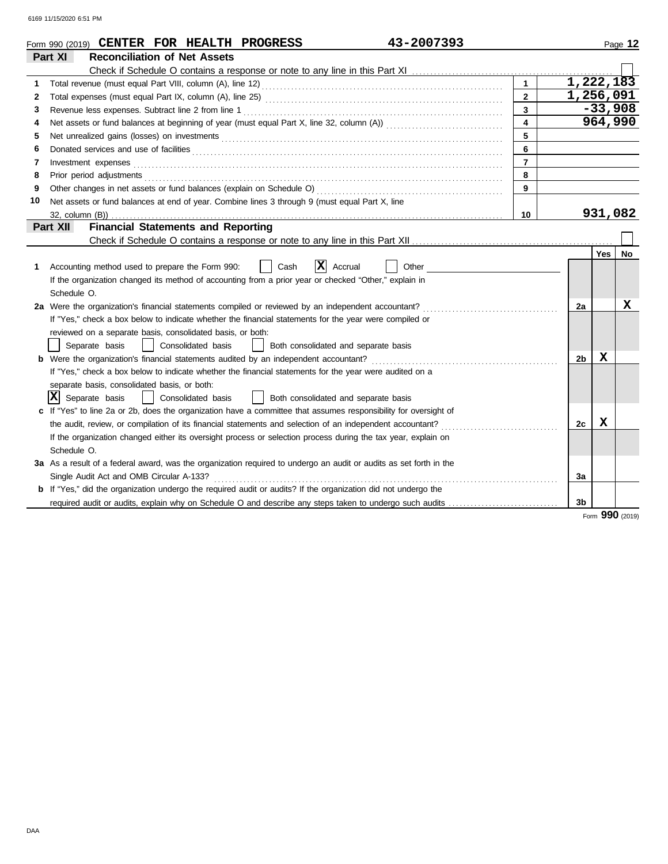|    | 43-2007393<br>Form 990 (2019) CENTER FOR HEALTH PROGRESS                                                                                                                                               |                         |                |           | Page 12 |
|----|--------------------------------------------------------------------------------------------------------------------------------------------------------------------------------------------------------|-------------------------|----------------|-----------|---------|
|    | Part XI<br><b>Reconciliation of Net Assets</b>                                                                                                                                                         |                         |                |           |         |
|    |                                                                                                                                                                                                        |                         |                |           |         |
| 1  |                                                                                                                                                                                                        | $\mathbf{1}$            | 1,222,183      |           |         |
| 2  |                                                                                                                                                                                                        | $\overline{2}$          | 1,256,091      |           |         |
| 3  |                                                                                                                                                                                                        | 3                       |                | $-33,908$ |         |
| 4  |                                                                                                                                                                                                        | $\overline{\mathbf{4}}$ |                | 964,990   |         |
| 5  |                                                                                                                                                                                                        | 5                       |                |           |         |
| 6  | Donated services and use of facilities <b>constants and interview of the service of the services</b> and use of facilities                                                                             | 6                       |                |           |         |
| 7  | Investment expenses <b>constant expenses</b>                                                                                                                                                           | $\overline{7}$          |                |           |         |
| 8  | Prior period adjustments <b>constructs constructs constructs constructs constructs constructs constructs constructs constructs constructs constructs constructs constructs constructs constructs c</b> | 8                       |                |           |         |
| 9  |                                                                                                                                                                                                        | 9                       |                |           |         |
| 10 | Net assets or fund balances at end of year. Combine lines 3 through 9 (must equal Part X, line                                                                                                         |                         |                |           |         |
|    |                                                                                                                                                                                                        | 10                      |                | 931,082   |         |
|    | Part XII<br><b>Financial Statements and Reporting</b>                                                                                                                                                  |                         |                |           |         |
|    |                                                                                                                                                                                                        |                         |                |           |         |
|    |                                                                                                                                                                                                        |                         |                | Yes       | No      |
| 1  | X Accrual<br>Accounting method used to prepare the Form 990:<br>Cash<br>Other                                                                                                                          |                         |                |           |         |
|    | If the organization changed its method of accounting from a prior year or checked "Other," explain in                                                                                                  |                         |                |           |         |
|    | Schedule O.                                                                                                                                                                                            |                         |                |           |         |
|    | 2a Were the organization's financial statements compiled or reviewed by an independent accountant?                                                                                                     |                         | 2a             |           | X       |
|    | If "Yes," check a box below to indicate whether the financial statements for the year were compiled or                                                                                                 |                         |                |           |         |
|    | reviewed on a separate basis, consolidated basis, or both:                                                                                                                                             |                         |                |           |         |
|    | Separate basis<br>Consolidated basis<br>Both consolidated and separate basis                                                                                                                           |                         |                |           |         |
|    |                                                                                                                                                                                                        |                         | 2 <sub>b</sub> | x         |         |
|    | If "Yes," check a box below to indicate whether the financial statements for the year were audited on a                                                                                                |                         |                |           |         |
|    | separate basis, consolidated basis, or both:                                                                                                                                                           |                         |                |           |         |
|    | xl<br>Separate basis<br>Consolidated basis<br>Both consolidated and separate basis                                                                                                                     |                         |                |           |         |
|    | c If "Yes" to line 2a or 2b, does the organization have a committee that assumes responsibility for oversight of                                                                                       |                         |                |           |         |
|    | the audit, review, or compilation of its financial statements and selection of an independent accountant?                                                                                              |                         | 2c             | X         |         |
|    | If the organization changed either its oversight process or selection process during the tax year, explain on                                                                                          |                         |                |           |         |
|    | Schedule O.                                                                                                                                                                                            |                         |                |           |         |
|    | 3a As a result of a federal award, was the organization required to undergo an audit or audits as set forth in the                                                                                     |                         |                |           |         |
|    | Single Audit Act and OMB Circular A-133?                                                                                                                                                               |                         | 3a             |           |         |
|    | b If "Yes," did the organization undergo the required audit or audits? If the organization did not undergo the                                                                                         |                         |                |           |         |
|    | required audit or audits, explain why on Schedule O and describe any steps taken to undergo such audits                                                                                                |                         | 3b             |           |         |

Form **990** (2019)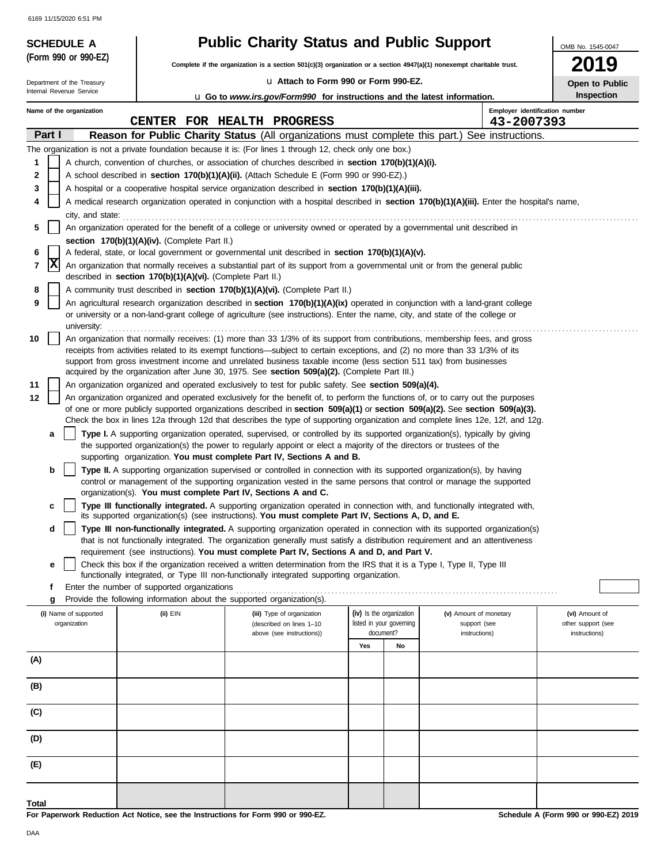| <b>SCHEDULE A</b>                     |                                                            | <b>Public Charity Status and Public Support</b>                                                                                                                                                                                                  |                                                      |                                                                                                                                                                                                                                                                        | OMB No. 1545-0047                    |
|---------------------------------------|------------------------------------------------------------|--------------------------------------------------------------------------------------------------------------------------------------------------------------------------------------------------------------------------------------------------|------------------------------------------------------|------------------------------------------------------------------------------------------------------------------------------------------------------------------------------------------------------------------------------------------------------------------------|--------------------------------------|
| (Form 990 or 990-EZ)                  |                                                            | Complete if the organization is a section $501(c)(3)$ organization or a section $4947(a)(1)$ nonexempt charitable trust.                                                                                                                         |                                                      |                                                                                                                                                                                                                                                                        | 9                                    |
| Department of the Treasury            |                                                            | La Attach to Form 990 or Form 990-EZ.                                                                                                                                                                                                            |                                                      |                                                                                                                                                                                                                                                                        | Open to Public                       |
| Internal Revenue Service              |                                                            | <b>u</b> Go to www.irs.gov/Form990 for instructions and the latest information.                                                                                                                                                                  |                                                      |                                                                                                                                                                                                                                                                        | Inspection                           |
| Name of the organization              |                                                            |                                                                                                                                                                                                                                                  |                                                      |                                                                                                                                                                                                                                                                        | Employer identification number       |
| Part I                                |                                                            | CENTER FOR HEALTH PROGRESS                                                                                                                                                                                                                       |                                                      | 43-2007393                                                                                                                                                                                                                                                             |                                      |
|                                       |                                                            | The organization is not a private foundation because it is: (For lines 1 through 12, check only one box.)                                                                                                                                        |                                                      | Reason for Public Charity Status (All organizations must complete this part.) See instructions.                                                                                                                                                                        |                                      |
| 1                                     |                                                            | A church, convention of churches, or association of churches described in <b>section 170(b)(1)(A)(i).</b>                                                                                                                                        |                                                      |                                                                                                                                                                                                                                                                        |                                      |
| 2                                     |                                                            | A school described in section 170(b)(1)(A)(ii). (Attach Schedule E (Form 990 or 990-EZ).)                                                                                                                                                        |                                                      |                                                                                                                                                                                                                                                                        |                                      |
| 3                                     |                                                            | A hospital or a cooperative hospital service organization described in section 170(b)(1)(A)(iii).                                                                                                                                                |                                                      |                                                                                                                                                                                                                                                                        |                                      |
| 4                                     |                                                            |                                                                                                                                                                                                                                                  |                                                      | A medical research organization operated in conjunction with a hospital described in section 170(b)(1)(A)(iii). Enter the hospital's name,                                                                                                                             |                                      |
|                                       |                                                            | city, and state:<br>$\ldots$                                                                                                                                                                                                                     |                                                      |                                                                                                                                                                                                                                                                        |                                      |
| 5                                     | section 170(b)(1)(A)(iv). (Complete Part II.)              | An organization operated for the benefit of a college or university owned or operated by a governmental unit described in                                                                                                                        |                                                      |                                                                                                                                                                                                                                                                        |                                      |
| 6                                     |                                                            | A federal, state, or local government or governmental unit described in section 170(b)(1)(A)(v).                                                                                                                                                 |                                                      |                                                                                                                                                                                                                                                                        |                                      |
| X<br>7                                |                                                            | An organization that normally receives a substantial part of its support from a governmental unit or from the general public                                                                                                                     |                                                      |                                                                                                                                                                                                                                                                        |                                      |
|                                       | described in section 170(b)(1)(A)(vi). (Complete Part II.) |                                                                                                                                                                                                                                                  |                                                      |                                                                                                                                                                                                                                                                        |                                      |
| 8<br>9                                |                                                            | A community trust described in section 170(b)(1)(A)(vi). (Complete Part II.)<br>An agricultural research organization described in section 170(b)(1)(A)(ix) operated in conjunction with a land-grant college                                    |                                                      |                                                                                                                                                                                                                                                                        |                                      |
| university:                           |                                                            | or university or a non-land-grant college of agriculture (see instructions). Enter the name, city, and state of the college or                                                                                                                   |                                                      |                                                                                                                                                                                                                                                                        |                                      |
| 10                                    |                                                            | An organization that normally receives: (1) more than 33 1/3% of its support from contributions, membership fees, and gross                                                                                                                      |                                                      |                                                                                                                                                                                                                                                                        |                                      |
|                                       |                                                            | receipts from activities related to its exempt functions—subject to certain exceptions, and (2) no more than 33 1/3% of its<br>support from gross investment income and unrelated business taxable income (less section 511 tax) from businesses |                                                      |                                                                                                                                                                                                                                                                        |                                      |
|                                       |                                                            | acquired by the organization after June 30, 1975. See section 509(a)(2). (Complete Part III.)                                                                                                                                                    |                                                      |                                                                                                                                                                                                                                                                        |                                      |
| 11                                    |                                                            | An organization organized and operated exclusively to test for public safety. See section 509(a)(4).                                                                                                                                             |                                                      |                                                                                                                                                                                                                                                                        |                                      |
| 12                                    |                                                            |                                                                                                                                                                                                                                                  |                                                      | An organization organized and operated exclusively for the benefit of, to perform the functions of, or to carry out the purposes                                                                                                                                       |                                      |
|                                       |                                                            |                                                                                                                                                                                                                                                  |                                                      | of one or more publicly supported organizations described in section $509(a)(1)$ or section $509(a)(2)$ . See section $509(a)(3)$ .<br>Check the box in lines 12a through 12d that describes the type of supporting organization and complete lines 12e, 12f, and 12g. |                                      |
| a                                     |                                                            | Type I. A supporting organization operated, supervised, or controlled by its supported organization(s), typically by giving                                                                                                                      |                                                      |                                                                                                                                                                                                                                                                        |                                      |
|                                       |                                                            | the supported organization(s) the power to regularly appoint or elect a majority of the directors or trustees of the<br>supporting organization. You must complete Part IV, Sections A and B.                                                    |                                                      |                                                                                                                                                                                                                                                                        |                                      |
| b                                     |                                                            | Type II. A supporting organization supervised or controlled in connection with its supported organization(s), by having                                                                                                                          |                                                      |                                                                                                                                                                                                                                                                        |                                      |
|                                       |                                                            | control or management of the supporting organization vested in the same persons that control or manage the supported                                                                                                                             |                                                      |                                                                                                                                                                                                                                                                        |                                      |
|                                       |                                                            | organization(s). You must complete Part IV, Sections A and C.                                                                                                                                                                                    |                                                      |                                                                                                                                                                                                                                                                        |                                      |
| c                                     |                                                            | its supported organization(s) (see instructions). You must complete Part IV, Sections A, D, and E.                                                                                                                                               |                                                      | Type III functionally integrated. A supporting organization operated in connection with, and functionally integrated with,                                                                                                                                             |                                      |
| d                                     |                                                            |                                                                                                                                                                                                                                                  |                                                      | Type III non-functionally integrated. A supporting organization operated in connection with its supported organization(s)                                                                                                                                              |                                      |
|                                       |                                                            |                                                                                                                                                                                                                                                  |                                                      | that is not functionally integrated. The organization generally must satisfy a distribution requirement and an attentiveness                                                                                                                                           |                                      |
| е                                     |                                                            | requirement (see instructions). You must complete Part IV, Sections A and D, and Part V.<br>Check this box if the organization received a written determination from the IRS that it is a Type I, Type II, Type III                              |                                                      |                                                                                                                                                                                                                                                                        |                                      |
|                                       |                                                            | functionally integrated, or Type III non-functionally integrated supporting organization.                                                                                                                                                        |                                                      |                                                                                                                                                                                                                                                                        |                                      |
| f                                     | Enter the number of supported organizations                |                                                                                                                                                                                                                                                  |                                                      |                                                                                                                                                                                                                                                                        |                                      |
| g                                     |                                                            | Provide the following information about the supported organization(s).                                                                                                                                                                           |                                                      |                                                                                                                                                                                                                                                                        |                                      |
| (i) Name of supported<br>organization | (ii) EIN                                                   | (iii) Type of organization<br>(described on lines 1-10                                                                                                                                                                                           | (iv) Is the organization<br>listed in your governing | (v) Amount of monetary<br>support (see                                                                                                                                                                                                                                 | (vi) Amount of<br>other support (see |
|                                       |                                                            | above (see instructions))                                                                                                                                                                                                                        | document?                                            | instructions)                                                                                                                                                                                                                                                          | instructions)                        |
|                                       |                                                            |                                                                                                                                                                                                                                                  | Yes<br>No                                            |                                                                                                                                                                                                                                                                        |                                      |
| (A)                                   |                                                            |                                                                                                                                                                                                                                                  |                                                      |                                                                                                                                                                                                                                                                        |                                      |
| (B)                                   |                                                            |                                                                                                                                                                                                                                                  |                                                      |                                                                                                                                                                                                                                                                        |                                      |
|                                       |                                                            |                                                                                                                                                                                                                                                  |                                                      |                                                                                                                                                                                                                                                                        |                                      |
| (C)                                   |                                                            |                                                                                                                                                                                                                                                  |                                                      |                                                                                                                                                                                                                                                                        |                                      |
| (D)                                   |                                                            |                                                                                                                                                                                                                                                  |                                                      |                                                                                                                                                                                                                                                                        |                                      |
|                                       |                                                            |                                                                                                                                                                                                                                                  |                                                      |                                                                                                                                                                                                                                                                        |                                      |
| (E)                                   |                                                            |                                                                                                                                                                                                                                                  |                                                      |                                                                                                                                                                                                                                                                        |                                      |
|                                       |                                                            |                                                                                                                                                                                                                                                  |                                                      |                                                                                                                                                                                                                                                                        |                                      |
|                                       |                                                            |                                                                                                                                                                                                                                                  |                                                      |                                                                                                                                                                                                                                                                        |                                      |
| Total                                 |                                                            |                                                                                                                                                                                                                                                  |                                                      |                                                                                                                                                                                                                                                                        |                                      |

**For Paperwork Reduction Act Notice, see the Instructions for Form 990 or 990-EZ.**

**Schedule A (Form 990 or 990-EZ) 2019**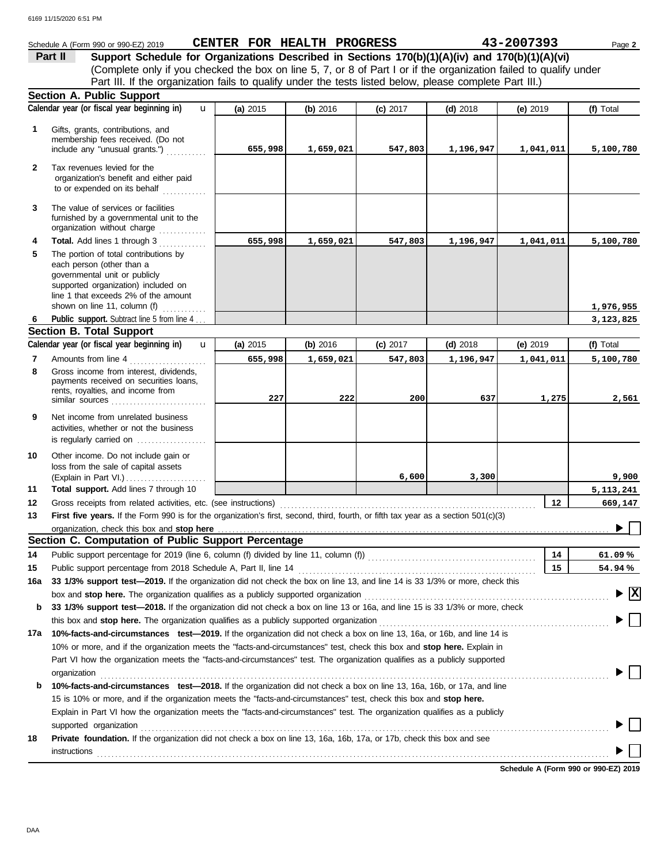#### Schedule A (Form 990 or 990-EZ) 2019 Page **2 CENTER FOR HEALTH PROGRESS 43-2007393 Part II Support Schedule for Organizations Described in Sections 170(b)(1)(A)(iv) and 170(b)(1)(A)(vi)** (Complete only if you checked the box on line 5, 7, or 8 of Part I or if the organization failed to qualify under Part III. If the organization fails to qualify under the tests listed below, please complete Part III.) **Section A. Public Support Calendar year (or fiscal year beginning in) (f)** Total u **(a)** 2015 **(b)** 2016 **(c)** 2017 **(d)** 2018 **(e)** 2019 Gifts, grants, contributions, and **1** membership fees received. (Do not include any "unusual grants.") . . . . . . . . . . . **655,998 1,659,021 547,803 1,196,947 1,041,011 5,100,780 2** Tax revenues levied for the organization's benefit and either paid to or expended on its behalf ............ **3** The value of services or facilities furnished by a governmental unit to the organization without charge .............. **4 Total.** Add lines 1 through 3 **655,998 1,659,021 547,803 1,196,947 1,041,011 5,100,780 5** The portion of total contributions by each person (other than a governmental unit or publicly supported organization) included on line 1 that exceeds 2% of the amount **1,976,955** shown on line 11, column (f)  $\ldots$ Public support. Subtract line 5 from line 4... **3,123,825 6 Section B. Total Support Calendar year (or fiscal year beginning in) (f)** Total u **(b)** 2016 **(c)** 2017 **(d)** 2018 **(e)** 2019 **(a)** 2015 Amounts from line 4 . . . . . . . . . . . . . . . . . . . . . **7 655,998 1,659,021 547,803 1,196,947 1,041,011 5,100,780** Gross income from interest, dividends, **8** payments received on securities loans. rents, royalties, and income from similar sources . . . . . . . . . . . . . . . . . . . . . . . . . . **227 222 200 637 1,275 2,561 9** Net income from unrelated business activities, whether or not the business is regularly carried on .................. **10** Other income. Do not include gain or loss from the sale of capital assets **6,600 3,300 9,900** (Explain in Part VI.) . . . . . . . . . . . . . . . . . . . . . . **11 Total support.** Add lines 7 through 10 **5,113,241 12 12 669,147** Gross receipts from related activities, etc. (see instructions) . . . . . . . . . . . . . . . . . . . . . . . . . . . . . . . . . . . . . . . . . . . . . . . . . . . . . . . . . . . . . . . . . . . . . . **13** First five years. If the Form 990 is for the organization's first, second, third, fourth, or fifth tax year as a section 501(c)(3) organization, check this box and stop here ь **Section C. Computation of Public Support Percentage 14 14** Public support percentage for 2019 (line 6, column (f) divided by line 11, column (f)) . . . . . . . . . . . . . . . . . . . . . . . . . . . . . . . . . . . . . . . . . . . . . . **% 61.09 15** Public support percentage from 2018 Schedule A, Part II, line 14 . . . . . . . . . . . . . . . . . . . . . . . . . . . . . . . . . . . . . . . . . . . . . . . . . . . . . . . . . . . . . . . . . **15 % 54.94 16a 33 1/3% support test—2019.** If the organization did not check the box on line 13, and line 14 is 33 1/3% or more, check this box and **stop here.** The organization qualifies as a publicly supported organization . . . . . . . . . . . . . . . . . . . . . . . . . . . . . . . . . . . . . . . . . . . . . . . . . . . . . . . . . . . . . . . . . . . **X b 33 1/3% support test—2018.** If the organization did not check a box on line 13 or 16a, and line 15 is 33 1/3% or more, check this box and **stop here.** The organization qualifies as a publicly supported organization . . . . . . . . . . . . . . . . . . . . . . . . . . . . . . . . . . . . . . . . . . . . . . . . . . . . . . . . . . . . . . . **17a 10%-facts-and-circumstances test—2019.** If the organization did not check a box on line 13, 16a, or 16b, and line 14 is 10% or more, and if the organization meets the "facts-and-circumstances" test, check this box and **stop here.** Explain in Part VI how the organization meets the "facts-and-circumstances" test. The organization qualifies as a publicly supported organization www.commutation.com/www.commutation.com/www.commutation.com/www.commutation.com/www.commutation.com **b 10%-facts-and-circumstances test—2018.** If the organization did not check a box on line 13, 16a, 16b, or 17a, and line 15 is 10% or more, and if the organization meets the "facts-and-circumstances" test, check this box and **stop here.** Explain in Part VI how the organization meets the "facts-and-circumstances" test. The organization qualifies as a publicly supported organization contains and contains a supported organization contains a supported organization contains a supported organization **18 Private foundation.** If the organization did not check a box on line 13, 16a, 16b, 17a, or 17b, check this box and see instructions . . . . . . . . . . . . . . . . . . . . . . . . . . . . . . . . . . . . . . . . . . . . . . . . . . . . . . . . . . . . . . . . . . . . . . . . . . . . . . . . . . . . . . . . . . . . . . . . . . . . . . . . . . . . . . . . . . . . . . . . . . . . . . . . . . . . . . . . . . . .

**Schedule A (Form 990 or 990-EZ) 2019**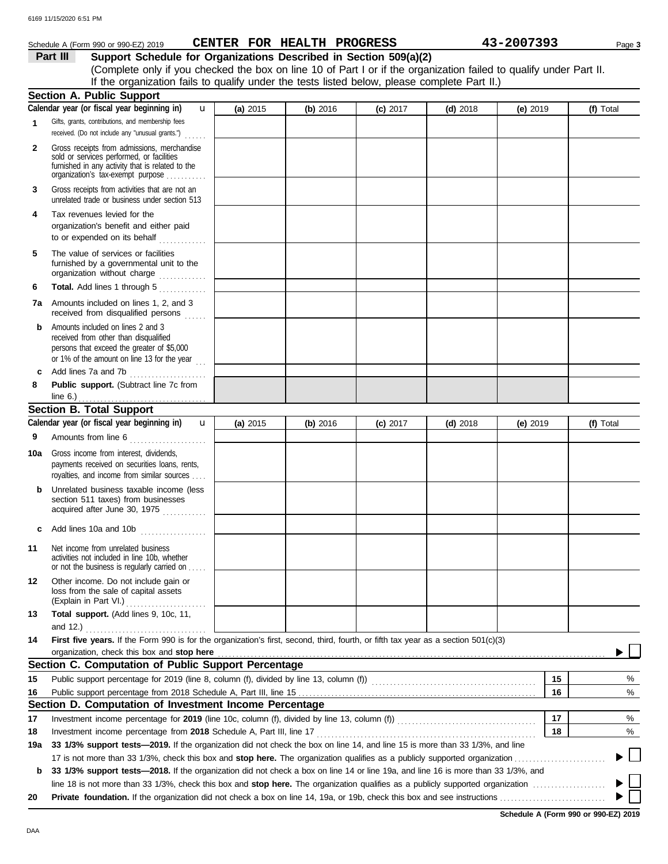|     | Schedule A (Form 990 or 990-EZ) 2019                                                                                                                                              |          | CENTER FOR HEALTH PROGRESS |            |            | 43-2007393 |    | Page 3       |
|-----|-----------------------------------------------------------------------------------------------------------------------------------------------------------------------------------|----------|----------------------------|------------|------------|------------|----|--------------|
|     | Support Schedule for Organizations Described in Section 509(a)(2)<br>Part III                                                                                                     |          |                            |            |            |            |    |              |
|     | (Complete only if you checked the box on line 10 of Part I or if the organization failed to qualify under Part II.                                                                |          |                            |            |            |            |    |              |
|     | If the organization fails to qualify under the tests listed below, please complete Part II.)                                                                                      |          |                            |            |            |            |    |              |
|     | <b>Section A. Public Support</b><br>Calendar year (or fiscal year beginning in)                                                                                                   |          |                            |            |            |            |    |              |
|     | $\mathbf{u}$<br>Gifts, grants, contributions, and membership fees                                                                                                                 | (a) 2015 | (b) 2016                   | $(c)$ 2017 | $(d)$ 2018 | (e) $2019$ |    | (f) Total    |
| 1   | received. (Do not include any "unusual grants.")                                                                                                                                  |          |                            |            |            |            |    |              |
| 2   | Gross receipts from admissions, merchandise<br>sold or services performed, or facilities<br>furnished in any activity that is related to the<br>organization's tax-exempt purpose |          |                            |            |            |            |    |              |
| 3   | Gross receipts from activities that are not an<br>unrelated trade or business under section 513                                                                                   |          |                            |            |            |            |    |              |
| 4   | Tax revenues levied for the<br>organization's benefit and either paid<br>to or expended on its behalf                                                                             |          |                            |            |            |            |    |              |
| 5   | The value of services or facilities<br>furnished by a governmental unit to the<br>organization without charge                                                                     |          |                            |            |            |            |    |              |
| 6   | Total. Add lines 1 through 5                                                                                                                                                      |          |                            |            |            |            |    |              |
|     | 7a Amounts included on lines 1, 2, and 3<br>received from disqualified persons                                                                                                    |          |                            |            |            |            |    |              |
| b   | Amounts included on lines 2 and 3<br>received from other than disqualified<br>persons that exceed the greater of \$5,000<br>or 1% of the amount on line 13 for the year $\ldots$  |          |                            |            |            |            |    |              |
| c   | Add lines 7a and 7b<br>                                                                                                                                                           |          |                            |            |            |            |    |              |
| 8   | Public support. (Subtract line 7c from                                                                                                                                            |          |                            |            |            |            |    |              |
|     | line $6$ .)<br><u>.</u><br><b>Section B. Total Support</b>                                                                                                                        |          |                            |            |            |            |    |              |
|     | Calendar year (or fiscal year beginning in)<br>$\mathbf{u}$                                                                                                                       | (a) 2015 | (b) 2016                   | $(c)$ 2017 | $(d)$ 2018 | (e) $2019$ |    | (f) Total    |
| 9   | Amounts from line 6                                                                                                                                                               |          |                            |            |            |            |    |              |
| 10a | Gross income from interest, dividends,                                                                                                                                            |          |                            |            |            |            |    |              |
|     | payments received on securities loans, rents,<br>royalties, and income from similar sources                                                                                       |          |                            |            |            |            |    |              |
| b   | Unrelated business taxable income (less<br>section 511 taxes) from businesses<br>acquired after June 30, 1975                                                                     |          |                            |            |            |            |    |              |
| c   | Add lines 10a and 10b<br>. <b>.</b> .                                                                                                                                             |          |                            |            |            |            |    |              |
| 11  | Net income from unrelated business<br>activities not included in line 10b, whether<br>or not the business is regularly carried on                                                 |          |                            |            |            |            |    |              |
| 12  | Other income. Do not include gain or<br>loss from the sale of capital assets<br>(Explain in Part VI.)                                                                             |          |                            |            |            |            |    |              |
| 13  | Total support. (Add lines 9, 10c, 11,                                                                                                                                             |          |                            |            |            |            |    |              |
| 14  | First five years. If the Form 990 is for the organization's first, second, third, fourth, or fifth tax year as a section $501(c)(3)$                                              |          |                            |            |            |            |    |              |
|     | Section C. Computation of Public Support Percentage                                                                                                                               |          |                            |            |            |            |    |              |
| 15  |                                                                                                                                                                                   |          |                            |            |            |            | 15 | %            |
| 16  |                                                                                                                                                                                   |          |                            |            |            |            | 16 | %            |
|     | Section D. Computation of Investment Income Percentage                                                                                                                            |          |                            |            |            |            |    |              |
| 17  |                                                                                                                                                                                   |          |                            |            |            |            | 17 | %            |
| 18  | Investment income percentage from 2018 Schedule A, Part III, line 17                                                                                                              |          |                            |            |            |            | 18 | %            |
| 19a | 33 1/3% support tests-2019. If the organization did not check the box on line 14, and line 15 is more than 33 1/3%, and line                                                      |          |                            |            |            |            |    |              |
|     |                                                                                                                                                                                   |          |                            |            |            |            |    | $\mathbf{L}$ |
| b   | 33 1/3% support tests—2018. If the organization did not check a box on line 14 or line 19a, and line 16 is more than 33 1/3%, and                                                 |          |                            |            |            |            |    |              |
|     |                                                                                                                                                                                   |          |                            |            |            |            |    |              |

**20 Private foundation.** If the organization did not check a box on line 14, 19a, or 19b, check this box and see instructions . . . . . . . . . . . . . . . . . . . . . . . . . . . . .

**Schedule A (Form 990 or 990-EZ) 2019**

٦  $\blacktriangleright$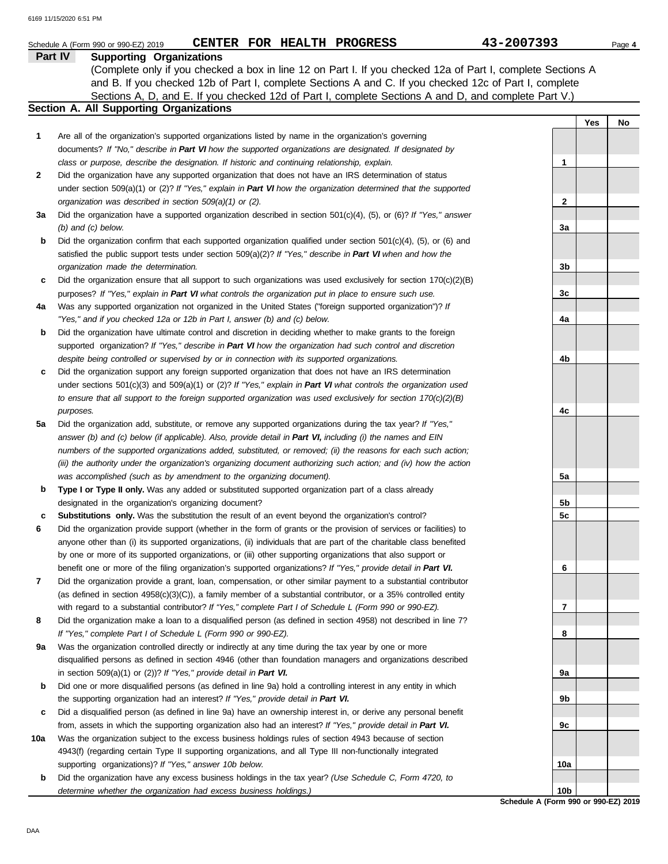|     | CENTER FOR HEALTH PROGRESS<br>Schedule A (Form 990 or 990-EZ) 2019                                                  | 43-2007393      | Page 4           |
|-----|---------------------------------------------------------------------------------------------------------------------|-----------------|------------------|
|     | Part IV<br><b>Supporting Organizations</b>                                                                          |                 |                  |
|     | (Complete only if you checked a box in line 12 on Part I. If you checked 12a of Part I, complete Sections A         |                 |                  |
|     | and B. If you checked 12b of Part I, complete Sections A and C. If you checked 12c of Part I, complete              |                 |                  |
|     | Sections A, D, and E. If you checked 12d of Part I, complete Sections A and D, and complete Part V.)                |                 |                  |
|     | Section A. All Supporting Organizations                                                                             |                 |                  |
|     |                                                                                                                     |                 | <b>Yes</b><br>No |
| 1   | Are all of the organization's supported organizations listed by name in the organization's governing                |                 |                  |
|     | documents? If "No," describe in Part VI how the supported organizations are designated. If designated by            |                 |                  |
|     | class or purpose, describe the designation. If historic and continuing relationship, explain.                       | 1               |                  |
| 2   | Did the organization have any supported organization that does not have an IRS determination of status              |                 |                  |
|     | under section 509(a)(1) or (2)? If "Yes," explain in Part VI how the organization determined that the supported     |                 |                  |
|     | organization was described in section 509(a)(1) or (2).                                                             | $\mathbf{2}$    |                  |
| За  | Did the organization have a supported organization described in section $501(c)(4)$ , (5), or (6)? If "Yes," answer |                 |                  |
|     | $(b)$ and $(c)$ below.                                                                                              | 3a              |                  |
| b   | Did the organization confirm that each supported organization qualified under section $501(c)(4)$ , (5), or (6) and |                 |                  |
|     | satisfied the public support tests under section $509(a)(2)?$ If "Yes," describe in Part VI when and how the        |                 |                  |
|     | organization made the determination.                                                                                | 3b              |                  |
| c   | Did the organization ensure that all support to such organizations was used exclusively for section $170(c)(2)(B)$  |                 |                  |
|     | purposes? If "Yes," explain in Part VI what controls the organization put in place to ensure such use.              | 3c              |                  |
| 4a  | Was any supported organization not organized in the United States ("foreign supported organization")? If            |                 |                  |
|     | "Yes," and if you checked 12a or 12b in Part I, answer (b) and (c) below.                                           | 4a              |                  |
| b   | Did the organization have ultimate control and discretion in deciding whether to make grants to the foreign         |                 |                  |
|     | supported organization? If "Yes," describe in Part VI how the organization had such control and discretion          |                 |                  |
|     | despite being controlled or supervised by or in connection with its supported organizations.                        | 4b              |                  |
| c   | Did the organization support any foreign supported organization that does not have an IRS determination             |                 |                  |
|     | under sections $501(c)(3)$ and $509(a)(1)$ or (2)? If "Yes," explain in Part VI what controls the organization used |                 |                  |
|     | to ensure that all support to the foreign supported organization was used exclusively for section $170(c)(2)(B)$    |                 |                  |
|     | purposes.                                                                                                           | 4c              |                  |
| 5a  | Did the organization add, substitute, or remove any supported organizations during the tax year? If "Yes,"          |                 |                  |
|     | answer (b) and (c) below (if applicable). Also, provide detail in Part VI, including (i) the names and EIN          |                 |                  |
|     | numbers of the supported organizations added, substituted, or removed; (ii) the reasons for each such action;       |                 |                  |
|     | (iii) the authority under the organization's organizing document authorizing such action; and (iv) how the action   |                 |                  |
|     | was accomplished (such as by amendment to the organizing document).                                                 | 5a              |                  |
| b   | Type I or Type II only. Was any added or substituted supported organization part of a class already                 |                 |                  |
|     | designated in the organization's organizing document?                                                               | 5b              |                  |
| c   | Substitutions only. Was the substitution the result of an event beyond the organization's control?                  | 5 <sub>c</sub>  |                  |
| 6   | Did the organization provide support (whether in the form of grants or the provision of services or facilities) to  |                 |                  |
|     | anyone other than (i) its supported organizations, (ii) individuals that are part of the charitable class benefited |                 |                  |
|     | by one or more of its supported organizations, or (iii) other supporting organizations that also support or         |                 |                  |
|     | benefit one or more of the filing organization's supported organizations? If "Yes," provide detail in Part VI.      | 6               |                  |
| 7   | Did the organization provide a grant, loan, compensation, or other similar payment to a substantial contributor     |                 |                  |
|     | (as defined in section $4958(c)(3)(C)$ ), a family member of a substantial contributor, or a 35% controlled entity  |                 |                  |
|     | with regard to a substantial contributor? If "Yes," complete Part I of Schedule L (Form 990 or 990-EZ).             | 7               |                  |
| 8   | Did the organization make a loan to a disqualified person (as defined in section 4958) not described in line 7?     |                 |                  |
|     | If "Yes," complete Part I of Schedule L (Form 990 or 990-EZ).                                                       | 8               |                  |
| 9a  | Was the organization controlled directly or indirectly at any time during the tax year by one or more               |                 |                  |
|     | disqualified persons as defined in section 4946 (other than foundation managers and organizations described         |                 |                  |
|     | in section 509(a)(1) or (2))? If "Yes," provide detail in Part VI.                                                  | 9а              |                  |
| b   | Did one or more disqualified persons (as defined in line 9a) hold a controlling interest in any entity in which     |                 |                  |
|     | the supporting organization had an interest? If "Yes," provide detail in Part VI.                                   | 9b              |                  |
| c   | Did a disqualified person (as defined in line 9a) have an ownership interest in, or derive any personal benefit     |                 |                  |
|     | from, assets in which the supporting organization also had an interest? If "Yes," provide detail in Part VI.        | 9c              |                  |
| 10a | Was the organization subject to the excess business holdings rules of section 4943 because of section               |                 |                  |
|     | 4943(f) (regarding certain Type II supporting organizations, and all Type III non-functionally integrated           |                 |                  |
|     | supporting organizations)? If "Yes," answer 10b below.                                                              | 10a             |                  |
| b   | Did the organization have any excess business holdings in the tax year? (Use Schedule C, Form 4720, to              |                 |                  |
|     | determine whether the organization had excess business holdings.)                                                   | 10 <sub>b</sub> |                  |

**Schedule A (Form 990 or 990-EZ) 2019**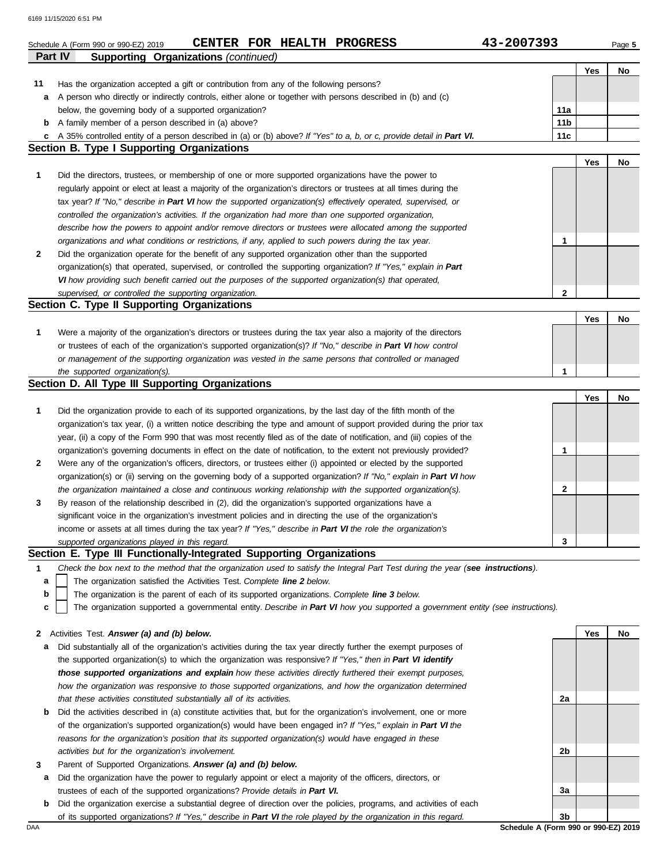|    | CENTER FOR HEALTH PROGRESS<br>Schedule A (Form 990 or 990-EZ) 2019                                                                                                                                                               | 43-2007393      |     | Page 5 |
|----|----------------------------------------------------------------------------------------------------------------------------------------------------------------------------------------------------------------------------------|-----------------|-----|--------|
|    | Part IV<br><b>Supporting Organizations (continued)</b>                                                                                                                                                                           |                 |     |        |
|    |                                                                                                                                                                                                                                  |                 | Yes | No     |
| 11 | Has the organization accepted a gift or contribution from any of the following persons?                                                                                                                                          |                 |     |        |
| а  | A person who directly or indirectly controls, either alone or together with persons described in (b) and (c)                                                                                                                     |                 |     |        |
|    | below, the governing body of a supported organization?                                                                                                                                                                           | 11a             |     |        |
|    | <b>b</b> A family member of a person described in (a) above?                                                                                                                                                                     | 11 <sub>b</sub> |     |        |
|    | c A 35% controlled entity of a person described in (a) or (b) above? If "Yes" to a, b, or c, provide detail in Part VI.<br><b>Section B. Type I Supporting Organizations</b>                                                     | 11c             |     |        |
|    |                                                                                                                                                                                                                                  |                 | Yes | No     |
| 1  | Did the directors, trustees, or membership of one or more supported organizations have the power to                                                                                                                              |                 |     |        |
|    | regularly appoint or elect at least a majority of the organization's directors or trustees at all times during the                                                                                                               |                 |     |        |
|    | tax year? If "No," describe in Part VI how the supported organization(s) effectively operated, supervised, or                                                                                                                    |                 |     |        |
|    | controlled the organization's activities. If the organization had more than one supported organization,                                                                                                                          |                 |     |        |
|    | describe how the powers to appoint and/or remove directors or trustees were allocated among the supported                                                                                                                        |                 |     |        |
|    | organizations and what conditions or restrictions, if any, applied to such powers during the tax year.                                                                                                                           | 1               |     |        |
| 2  | Did the organization operate for the benefit of any supported organization other than the supported                                                                                                                              |                 |     |        |
|    | organization(s) that operated, supervised, or controlled the supporting organization? If "Yes," explain in Part                                                                                                                  |                 |     |        |
|    | VI how providing such benefit carried out the purposes of the supported organization(s) that operated,                                                                                                                           |                 |     |        |
|    | supervised, or controlled the supporting organization.                                                                                                                                                                           | $\mathbf 2$     |     |        |
|    | Section C. Type II Supporting Organizations                                                                                                                                                                                      |                 |     |        |
|    |                                                                                                                                                                                                                                  |                 | Yes | No     |
| 1  | Were a majority of the organization's directors or trustees during the tax year also a majority of the directors                                                                                                                 |                 |     |        |
|    | or trustees of each of the organization's supported organization(s)? If "No," describe in Part VI how control                                                                                                                    |                 |     |        |
|    | or management of the supporting organization was vested in the same persons that controlled or managed                                                                                                                           |                 |     |        |
|    | the supported organization(s).                                                                                                                                                                                                   | 1               |     |        |
|    | Section D. All Type III Supporting Organizations                                                                                                                                                                                 |                 |     |        |
|    |                                                                                                                                                                                                                                  |                 | Yes | No     |
| 1  | Did the organization provide to each of its supported organizations, by the last day of the fifth month of the                                                                                                                   |                 |     |        |
|    | organization's tax year, (i) a written notice describing the type and amount of support provided during the prior tax                                                                                                            |                 |     |        |
|    | year, (ii) a copy of the Form 990 that was most recently filed as of the date of notification, and (iii) copies of the                                                                                                           |                 |     |        |
|    | organization's governing documents in effect on the date of notification, to the extent not previously provided?                                                                                                                 | 1               |     |        |
| 2  | Were any of the organization's officers, directors, or trustees either (i) appointed or elected by the supported                                                                                                                 |                 |     |        |
|    | organization(s) or (ii) serving on the governing body of a supported organization? If "No," explain in Part VI how                                                                                                               |                 |     |        |
|    | the organization maintained a close and continuous working relationship with the supported organization(s).                                                                                                                      | 2               |     |        |
| 3  | By reason of the relationship described in (2), did the organization's supported organizations have a                                                                                                                            |                 |     |        |
|    | significant voice in the organization's investment policies and in directing the use of the organization's                                                                                                                       |                 |     |        |
|    | income or assets at all times during the tax year? If "Yes," describe in Part VI the role the organization's                                                                                                                     |                 |     |        |
|    | supported organizations played in this regard.                                                                                                                                                                                   | 3               |     |        |
|    | Section E. Type III Functionally-Integrated Supporting Organizations                                                                                                                                                             |                 |     |        |
| 1  | Check the box next to the method that the organization used to satisfy the Integral Part Test during the year (see instructions).<br>The organization satisfied the Activities Test. Complete line 2 below.                      |                 |     |        |
| а  |                                                                                                                                                                                                                                  |                 |     |        |
| b  | The organization is the parent of each of its supported organizations. Complete line 3 below.<br>The organization supported a governmental entity. Describe in Part VI how you supported a government entity (see instructions). |                 |     |        |
| c  |                                                                                                                                                                                                                                  |                 |     |        |
|    | 2 Activities Test. Answer (a) and (b) below.                                                                                                                                                                                     |                 | Yes | No     |
| а  | Did substantially all of the organization's activities during the tax year directly further the exempt purposes of                                                                                                               |                 |     |        |
|    | the supported organization(s) to which the organization was responsive? If "Yes," then in Part VI identify                                                                                                                       |                 |     |        |
|    | those supported organizations and explain how these activities directly furthered their exempt purposes,                                                                                                                         |                 |     |        |
|    | how the organization was responsive to those supported organizations, and how the organization determined                                                                                                                        |                 |     |        |
|    | that these activities constituted substantially all of its activities.                                                                                                                                                           | 2a              |     |        |
| b  | Did the activities described in (a) constitute activities that, but for the organization's involvement, one or more                                                                                                              |                 |     |        |
|    | of the organization's supported organization(s) would have been engaged in? If "Yes," explain in Part VI the                                                                                                                     |                 |     |        |
|    | reasons for the organization's position that its supported organization(s) would have engaged in these                                                                                                                           |                 |     |        |
|    | activities but for the organization's involvement.                                                                                                                                                                               | 2b              |     |        |
| 3  | Parent of Supported Organizations. Answer (a) and (b) below.                                                                                                                                                                     |                 |     |        |
| а  | Did the organization have the power to regularly appoint or elect a majority of the officers, directors, or                                                                                                                      |                 |     |        |
|    | trustees of each of the supported organizations? Provide details in Part VI.                                                                                                                                                     | За              |     |        |
|    |                                                                                                                                                                                                                                  |                 |     |        |

**b** Did the organization exercise a substantial degree of direction over the policies, programs, and activities of each of its supported organizations? *If "Yes," describe in Part VI the role played by the organization in this regard.*

DAA **Schedule A (Form 990 or 990-EZ) 2019 3b**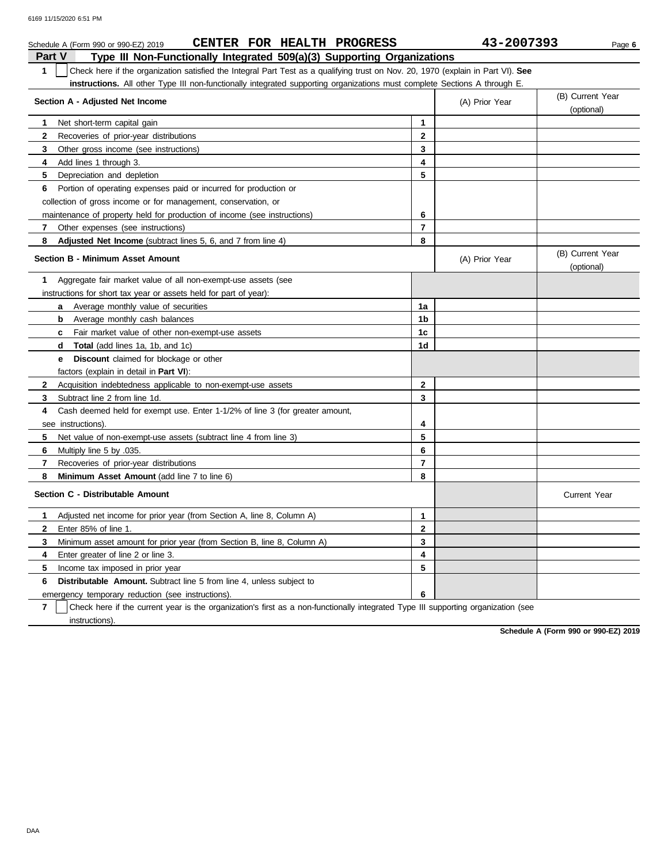| CENTER FOR HEALTH PROGRESS<br>Schedule A (Form 990 or 990-EZ) 2019                                                                               |                | 43-2007393     | Page 6                         |
|--------------------------------------------------------------------------------------------------------------------------------------------------|----------------|----------------|--------------------------------|
| Type III Non-Functionally Integrated 509(a)(3) Supporting Organizations<br>Part V                                                                |                |                |                                |
| $\mathbf{1}$<br>Check here if the organization satisfied the Integral Part Test as a qualifying trust on Nov. 20, 1970 (explain in Part VI). See |                |                |                                |
| instructions. All other Type III non-functionally integrated supporting organizations must complete Sections A through E.                        |                |                |                                |
| Section A - Adjusted Net Income                                                                                                                  |                | (A) Prior Year | (B) Current Year               |
|                                                                                                                                                  |                |                | (optional)                     |
| 1.<br>Net short-term capital gain                                                                                                                | 1              |                |                                |
| 2<br>Recoveries of prior-year distributions                                                                                                      | $\overline{2}$ |                |                                |
| 3<br>Other gross income (see instructions)                                                                                                       | 3              |                |                                |
| Add lines 1 through 3.<br>4                                                                                                                      | 4              |                |                                |
| 5<br>Depreciation and depletion                                                                                                                  | 5              |                |                                |
| Portion of operating expenses paid or incurred for production or<br>6                                                                            |                |                |                                |
| collection of gross income or for management, conservation, or                                                                                   |                |                |                                |
| maintenance of property held for production of income (see instructions)                                                                         | 6              |                |                                |
| 7<br>Other expenses (see instructions)                                                                                                           | $\overline{7}$ |                |                                |
| 8<br>Adjusted Net Income (subtract lines 5, 6, and 7 from line 4)                                                                                | 8              |                |                                |
| <b>Section B - Minimum Asset Amount</b>                                                                                                          |                | (A) Prior Year | (B) Current Year<br>(optional) |
| Aggregate fair market value of all non-exempt-use assets (see<br>1.                                                                              |                |                |                                |
| instructions for short tax year or assets held for part of year):                                                                                |                |                |                                |
| Average monthly value of securities<br>a                                                                                                         | 1a             |                |                                |
| b<br>Average monthly cash balances                                                                                                               | 1 <sub>b</sub> |                |                                |
| Fair market value of other non-exempt-use assets<br>c                                                                                            | 1 <sub>c</sub> |                |                                |
| <b>Total</b> (add lines 1a, 1b, and 1c)<br>d                                                                                                     | 1d             |                |                                |
| <b>Discount</b> claimed for blockage or other<br>e                                                                                               |                |                |                                |
| factors (explain in detail in <b>Part VI)</b> :                                                                                                  |                |                |                                |
| $\mathbf{2}$<br>Acquisition indebtedness applicable to non-exempt-use assets                                                                     | $\mathbf{2}$   |                |                                |
| 3<br>Subtract line 2 from line 1d.                                                                                                               | 3              |                |                                |
| 4<br>Cash deemed held for exempt use. Enter 1-1/2% of line 3 (for greater amount,                                                                |                |                |                                |
| see instructions).                                                                                                                               | 4              |                |                                |
| 5<br>Net value of non-exempt-use assets (subtract line 4 from line 3)                                                                            | 5              |                |                                |
| 6<br>Multiply line 5 by .035.                                                                                                                    | 6              |                |                                |
| 7<br>Recoveries of prior-year distributions                                                                                                      | $\overline{7}$ |                |                                |
| 8<br>Minimum Asset Amount (add line 7 to line 6)                                                                                                 | 8              |                |                                |
| Section C - Distributable Amount                                                                                                                 |                |                | <b>Current Year</b>            |
| Adjusted net income for prior year (from Section A, line 8, Column A)<br>1.                                                                      | 1              |                |                                |
| $\mathbf{2}$<br>Enter 85% of line 1.                                                                                                             | $\mathbf{2}$   |                |                                |
| 3<br>Minimum asset amount for prior year (from Section B, line 8, Column A)                                                                      | 3              |                |                                |
| 4<br>Enter greater of line 2 or line 3.                                                                                                          | 4              |                |                                |
| 5<br>Income tax imposed in prior year                                                                                                            | 5              |                |                                |
| <b>Distributable Amount.</b> Subtract line 5 from line 4, unless subject to<br>6                                                                 |                |                |                                |
| emergency temporary reduction (see instructions)                                                                                                 | 6              |                |                                |

**7** | Check here if the current year is the organization's first as a non-functionally integrated Type III supporting organization (see instructions).

**Schedule A (Form 990 or 990-EZ) 2019**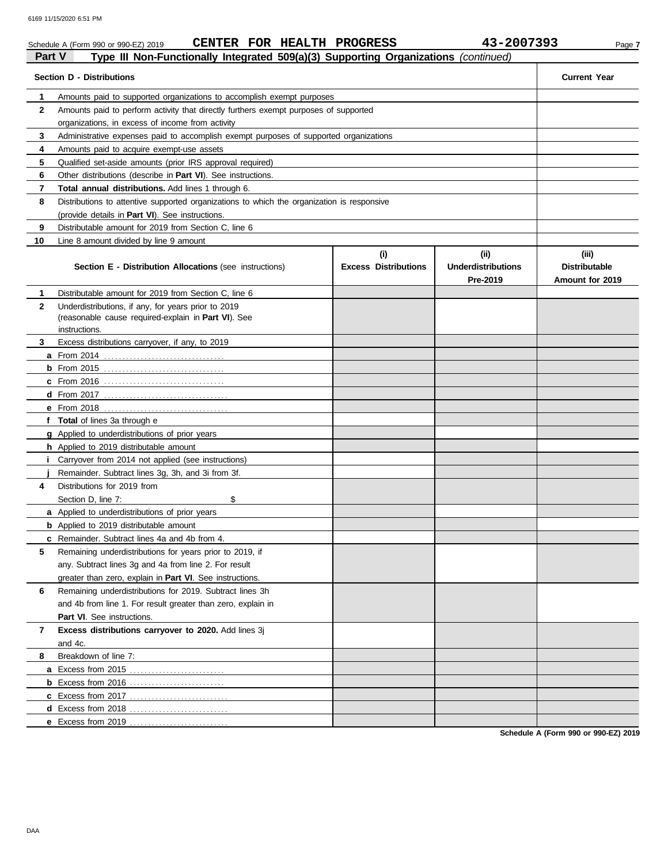|                | CENTER FOR HEALTH PROGRESS<br>Schedule A (Form 990 or 990-EZ) 2019                              |                             | 43-2007393                            | Page 7                                  |
|----------------|-------------------------------------------------------------------------------------------------|-----------------------------|---------------------------------------|-----------------------------------------|
| Part V         | Type III Non-Functionally Integrated 509(a)(3) Supporting Organizations (continued)             |                             |                                       |                                         |
|                | <b>Section D - Distributions</b>                                                                |                             |                                       | <b>Current Year</b>                     |
| 1              | Amounts paid to supported organizations to accomplish exempt purposes                           |                             |                                       |                                         |
| $\mathbf{2}$   | Amounts paid to perform activity that directly furthers exempt purposes of supported            |                             |                                       |                                         |
|                | organizations, in excess of income from activity                                                |                             |                                       |                                         |
| 3              | Administrative expenses paid to accomplish exempt purposes of supported organizations           |                             |                                       |                                         |
| 4              | Amounts paid to acquire exempt-use assets                                                       |                             |                                       |                                         |
| 5              | Qualified set-aside amounts (prior IRS approval required)                                       |                             |                                       |                                         |
| 6              | Other distributions (describe in Part VI). See instructions.                                    |                             |                                       |                                         |
| $\overline{7}$ | Total annual distributions. Add lines 1 through 6.                                              |                             |                                       |                                         |
| 8              | Distributions to attentive supported organizations to which the organization is responsive      |                             |                                       |                                         |
|                | (provide details in Part VI). See instructions.                                                 |                             |                                       |                                         |
| 9              | Distributable amount for 2019 from Section C, line 6                                            |                             |                                       |                                         |
| 10             | Line 8 amount divided by line 9 amount                                                          |                             |                                       |                                         |
|                |                                                                                                 | (i)                         | (ii)                                  | (iii)                                   |
|                | <b>Section E - Distribution Allocations (see instructions)</b>                                  | <b>Excess Distributions</b> | <b>Underdistributions</b><br>Pre-2019 | <b>Distributable</b><br>Amount for 2019 |
| 1              | Distributable amount for 2019 from Section C, line 6                                            |                             |                                       |                                         |
| $\mathbf{2}$   | Underdistributions, if any, for years prior to 2019                                             |                             |                                       |                                         |
|                | (reasonable cause required-explain in Part VI). See                                             |                             |                                       |                                         |
|                | instructions.                                                                                   |                             |                                       |                                         |
| 3              | Excess distributions carryover, if any, to 2019                                                 |                             |                                       |                                         |
|                | <b>a</b> From 2014                                                                              |                             |                                       |                                         |
|                |                                                                                                 |                             |                                       |                                         |
|                |                                                                                                 |                             |                                       |                                         |
|                |                                                                                                 |                             |                                       |                                         |
|                |                                                                                                 |                             |                                       |                                         |
|                | f Total of lines 3a through e                                                                   |                             |                                       |                                         |
|                | g Applied to underdistributions of prior years                                                  |                             |                                       |                                         |
|                | h Applied to 2019 distributable amount                                                          |                             |                                       |                                         |
| İ.             | Carryover from 2014 not applied (see instructions)                                              |                             |                                       |                                         |
|                | Remainder. Subtract lines 3g, 3h, and 3i from 3f.                                               |                             |                                       |                                         |
| 4              | Distributions for 2019 from<br>Section D. line 7:                                               |                             |                                       |                                         |
|                | \$                                                                                              |                             |                                       |                                         |
|                | a Applied to underdistributions of prior years<br><b>b</b> Applied to 2019 distributable amount |                             |                                       |                                         |
|                | c Remainder. Subtract lines 4a and 4b from 4.                                                   |                             |                                       |                                         |
| 5              | Remaining underdistributions for years prior to 2019, if                                        |                             |                                       |                                         |
|                | any. Subtract lines 3g and 4a from line 2. For result                                           |                             |                                       |                                         |
|                | greater than zero, explain in Part VI. See instructions.                                        |                             |                                       |                                         |
| 6              | Remaining underdistributions for 2019. Subtract lines 3h                                        |                             |                                       |                                         |
|                | and 4b from line 1. For result greater than zero, explain in                                    |                             |                                       |                                         |
|                | Part VI. See instructions.                                                                      |                             |                                       |                                         |
| 7              | Excess distributions carryover to 2020. Add lines 3j                                            |                             |                                       |                                         |
|                | and 4c.                                                                                         |                             |                                       |                                         |
| 8              | Breakdown of line 7:                                                                            |                             |                                       |                                         |
|                |                                                                                                 |                             |                                       |                                         |
|                |                                                                                                 |                             |                                       |                                         |
|                |                                                                                                 |                             |                                       |                                         |
|                | d Excess from 2018                                                                              |                             |                                       |                                         |

**Schedule A (Form 990 or 990-EZ) 2019**

**e** Excess from 2019 . . . . . . . . . . . . . . . . . . . . . . . . . . .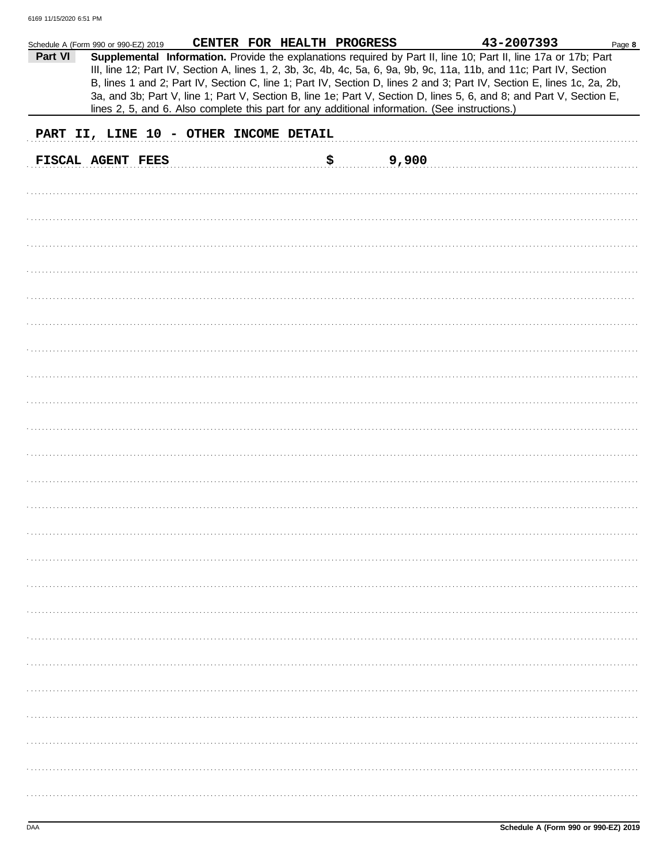|         | Schedule A (Form 990 or 990-EZ) 2019 |  | CENTER FOR HEALTH PROGRESS             |             | 43-2007393                                                                                                                                                                                                                                                                                                                                                                                                                                                                                                                                                                                  | Page 8 |
|---------|--------------------------------------|--|----------------------------------------|-------------|---------------------------------------------------------------------------------------------------------------------------------------------------------------------------------------------------------------------------------------------------------------------------------------------------------------------------------------------------------------------------------------------------------------------------------------------------------------------------------------------------------------------------------------------------------------------------------------------|--------|
| Part VI |                                      |  |                                        |             | Supplemental Information. Provide the explanations required by Part II, line 10; Part II, line 17a or 17b; Part<br>III, line 12; Part IV, Section A, lines 1, 2, 3b, 3c, 4b, 4c, 5a, 6, 9a, 9b, 9c, 11a, 11b, and 11c; Part IV, Section<br>B, lines 1 and 2; Part IV, Section C, line 1; Part IV, Section D, lines 2 and 3; Part IV, Section E, lines 1c, 2a, 2b,<br>3a, and 3b; Part V, line 1; Part V, Section B, line 1e; Part V, Section D, lines 5, 6, and 8; and Part V, Section E,<br>lines 2, 5, and 6. Also complete this part for any additional information. (See instructions.) |        |
|         |                                      |  | PART II, LINE 10 - OTHER INCOME DETAIL |             |                                                                                                                                                                                                                                                                                                                                                                                                                                                                                                                                                                                             |        |
|         | FISCAL AGENT FEES                    |  |                                        | \$<br>9,900 |                                                                                                                                                                                                                                                                                                                                                                                                                                                                                                                                                                                             |        |
|         |                                      |  |                                        |             |                                                                                                                                                                                                                                                                                                                                                                                                                                                                                                                                                                                             |        |
|         |                                      |  |                                        |             |                                                                                                                                                                                                                                                                                                                                                                                                                                                                                                                                                                                             |        |
|         |                                      |  |                                        |             |                                                                                                                                                                                                                                                                                                                                                                                                                                                                                                                                                                                             |        |
|         |                                      |  |                                        |             |                                                                                                                                                                                                                                                                                                                                                                                                                                                                                                                                                                                             |        |
|         |                                      |  |                                        |             |                                                                                                                                                                                                                                                                                                                                                                                                                                                                                                                                                                                             |        |
|         |                                      |  |                                        |             |                                                                                                                                                                                                                                                                                                                                                                                                                                                                                                                                                                                             |        |
|         |                                      |  |                                        |             |                                                                                                                                                                                                                                                                                                                                                                                                                                                                                                                                                                                             |        |
|         |                                      |  |                                        |             |                                                                                                                                                                                                                                                                                                                                                                                                                                                                                                                                                                                             |        |
|         |                                      |  |                                        |             |                                                                                                                                                                                                                                                                                                                                                                                                                                                                                                                                                                                             |        |
|         |                                      |  |                                        |             |                                                                                                                                                                                                                                                                                                                                                                                                                                                                                                                                                                                             |        |
|         |                                      |  |                                        |             |                                                                                                                                                                                                                                                                                                                                                                                                                                                                                                                                                                                             |        |
|         |                                      |  |                                        |             |                                                                                                                                                                                                                                                                                                                                                                                                                                                                                                                                                                                             |        |
|         |                                      |  |                                        |             |                                                                                                                                                                                                                                                                                                                                                                                                                                                                                                                                                                                             |        |
|         |                                      |  |                                        |             |                                                                                                                                                                                                                                                                                                                                                                                                                                                                                                                                                                                             |        |
|         |                                      |  |                                        |             |                                                                                                                                                                                                                                                                                                                                                                                                                                                                                                                                                                                             |        |
|         |                                      |  |                                        |             |                                                                                                                                                                                                                                                                                                                                                                                                                                                                                                                                                                                             |        |
|         |                                      |  |                                        |             |                                                                                                                                                                                                                                                                                                                                                                                                                                                                                                                                                                                             |        |
|         |                                      |  |                                        |             |                                                                                                                                                                                                                                                                                                                                                                                                                                                                                                                                                                                             |        |
|         |                                      |  |                                        |             |                                                                                                                                                                                                                                                                                                                                                                                                                                                                                                                                                                                             |        |
|         |                                      |  |                                        |             |                                                                                                                                                                                                                                                                                                                                                                                                                                                                                                                                                                                             |        |
|         |                                      |  |                                        |             |                                                                                                                                                                                                                                                                                                                                                                                                                                                                                                                                                                                             |        |
|         |                                      |  |                                        |             |                                                                                                                                                                                                                                                                                                                                                                                                                                                                                                                                                                                             |        |
|         |                                      |  |                                        |             |                                                                                                                                                                                                                                                                                                                                                                                                                                                                                                                                                                                             |        |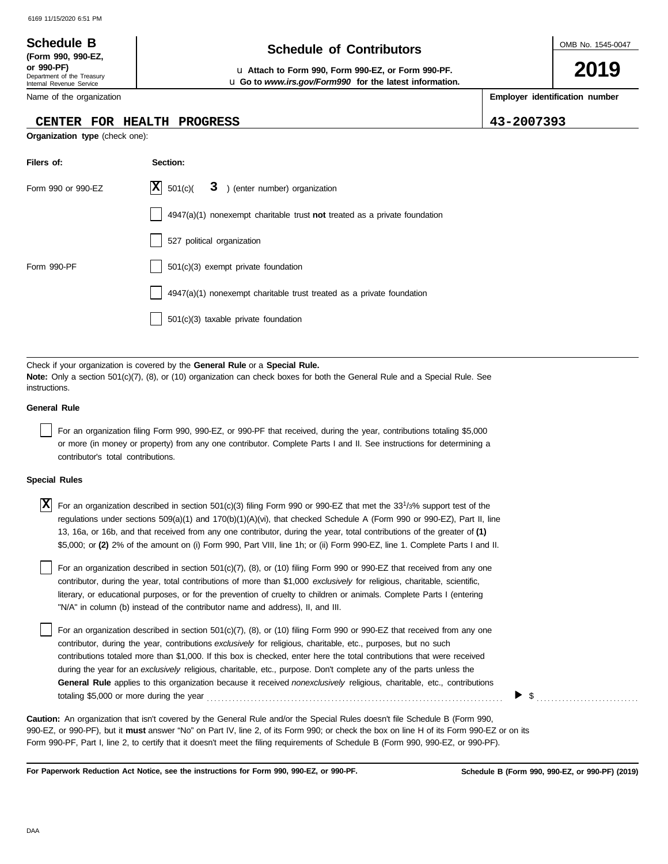Department of the Treasury Internal Revenue Service

**(Form 990, 990-EZ,**

# **Schedule of Contributors Schedule B**

**or 990-PF)** u **Attach to Form 990, Form 990-EZ, or Form 990-PF.** u **Go to** *www.irs.gov/Form990* **for the latest information.** OMB No. 1545-0047

**2019**

**Employer identification number**

|  |  |  | Name of the organization |  |
|--|--|--|--------------------------|--|
|--|--|--|--------------------------|--|

## **CENTER FOR HEALTH PROGRESS 43-2007393**

**Organization type** (check one):

| Filers of:         | Section:                                                                  |
|--------------------|---------------------------------------------------------------------------|
| Form 990 or 990-EZ | $ \mathbf{X} $ 501(c)( $3$ ) (enter number) organization                  |
|                    | 4947(a)(1) nonexempt charitable trust not treated as a private foundation |
|                    | 527 political organization                                                |
| Form 990-PF        | 501(c)(3) exempt private foundation                                       |
|                    | 4947(a)(1) nonexempt charitable trust treated as a private foundation     |
|                    | $501(c)(3)$ taxable private foundation                                    |

Check if your organization is covered by the **General Rule** or a **Special Rule. Note:** Only a section 501(c)(7), (8), or (10) organization can check boxes for both the General Rule and a Special Rule. See instructions.

### **General Rule**

For an organization filing Form 990, 990-EZ, or 990-PF that received, during the year, contributions totaling \$5,000 or more (in money or property) from any one contributor. Complete Parts I and II. See instructions for determining a contributor's total contributions.

### **Special Rules**

For an organization described in section 501(c)(3) filing Form 990 or 990-EZ that met the 33<sup>1</sup> /3% support test of the **X** regulations under sections 509(a)(1) and 170(b)(1)(A)(vi), that checked Schedule A (Form 990 or 990-EZ), Part II, line 13, 16a, or 16b, and that received from any one contributor, during the year, total contributions of the greater of **(1)** \$5,000; or **(2)** 2% of the amount on (i) Form 990, Part VIII, line 1h; or (ii) Form 990-EZ, line 1. Complete Parts I and II.

literary, or educational purposes, or for the prevention of cruelty to children or animals. Complete Parts I (entering For an organization described in section 501(c)(7), (8), or (10) filing Form 990 or 990-EZ that received from any one contributor, during the year, total contributions of more than \$1,000 *exclusively* for religious, charitable, scientific, "N/A" in column (b) instead of the contributor name and address), II, and III.

For an organization described in section 501(c)(7), (8), or (10) filing Form 990 or 990-EZ that received from any one contributor, during the year, contributions *exclusively* for religious, charitable, etc., purposes, but no such contributions totaled more than \$1,000. If this box is checked, enter here the total contributions that were received during the year for an *exclusively* religious, charitable, etc., purpose. Don't complete any of the parts unless the **General Rule** applies to this organization because it received *nonexclusively* religious, charitable, etc., contributions totaling \$5,000 or more during the year . . . . . . . . . . . . . . . . . . . . . . . . . . . . . . . . . . . . . . . . . . . . . . . . . . . . . . . . . . . . . . . . . . . . . . . . . . . . . . . . .

990-EZ, or 990-PF), but it **must** answer "No" on Part IV, line 2, of its Form 990; or check the box on line H of its Form 990-EZ or on its Form 990-PF, Part I, line 2, to certify that it doesn't meet the filing requirements of Schedule B (Form 990, 990-EZ, or 990-PF). **Caution:** An organization that isn't covered by the General Rule and/or the Special Rules doesn't file Schedule B (Form 990,

**For Paperwork Reduction Act Notice, see the instructions for Form 990, 990-EZ, or 990-PF.**

 $\blacktriangleright$  \$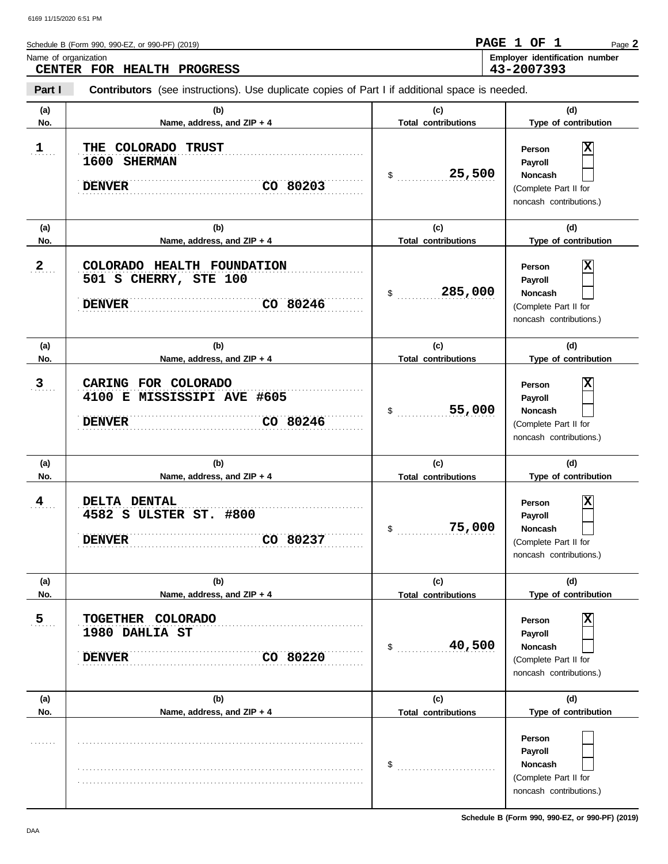| Schedule B (Form 990, 990-EZ, or 990-PF) (2019)                                                                 | PAGE 1 OF 1<br>Page 2                               |
|-----------------------------------------------------------------------------------------------------------------|-----------------------------------------------------|
| Name of organization<br>CENTER FOR HEALTH PROGRESS                                                              | <b>Employer identification number</b><br>43-2007393 |
| Part I<br><b>Contributors</b> (see instructions). Use duplicate copies of Part I if additional space is needed. |                                                     |

| (a)            | (b)                                                                              | (c)                               | (d)                                                                                          |
|----------------|----------------------------------------------------------------------------------|-----------------------------------|----------------------------------------------------------------------------------------------|
| No.            | Name, address, and ZIP + 4                                                       | <b>Total contributions</b>        | Type of contribution                                                                         |
| $\mathbf{1}$   | THE COLORADO TRUST<br>1600 SHERMAN                                               |                                   | х<br>Person<br>Payroll                                                                       |
|                | <b>DENVER</b><br>CO 80203                                                        | 25,500<br>\$                      | Noncash<br>(Complete Part II for                                                             |
|                |                                                                                  |                                   | noncash contributions.)                                                                      |
| (a)<br>No.     | (b)<br>Name, address, and ZIP + 4                                                | (c)<br><b>Total contributions</b> | (d)<br>Type of contribution                                                                  |
| $\overline{2}$ | COLORADO HEALTH FOUNDATION<br>501 S CHERRY, STE 100<br><b>DENVER</b><br>CO 80246 | 285,000<br>\$                     | X<br>Person<br>Payroll<br>Noncash<br>(Complete Part II for<br>noncash contributions.)        |
| (a)            | (b)                                                                              | (c)                               | (d)                                                                                          |
| No.            | Name, address, and ZIP + 4                                                       | <b>Total contributions</b>        | Type of contribution                                                                         |
| $\overline{3}$ | CARING FOR COLORADO<br>4100 E MISSISSIPI AVE #605<br>CO 80246<br><b>DENVER</b>   | 55,000<br>\$                      | X<br>Person<br>Payroll<br><b>Noncash</b><br>(Complete Part II for<br>noncash contributions.) |
|                |                                                                                  |                                   |                                                                                              |
| (a)            | (b)                                                                              | (c)                               | (d)                                                                                          |
| No.            | Name, address, and ZIP + 4                                                       | <b>Total contributions</b>        | Type of contribution                                                                         |
| 4              | DELTA DENTAL<br>4582 S ULSTER ST. #800<br>CO 80237<br><b>DENVER</b>              | 75,000<br>\$                      | Χ<br>Person<br>Payroll<br>Noncash<br>(Complete Part II for<br>noncash contributions.)        |
| (a)            | (b)                                                                              | (c)                               | (d)                                                                                          |
| No.            | Name, address, and ZIP + 4                                                       | <b>Total contributions</b>        | Type of contribution                                                                         |
| $\overline{5}$ | TOGETHER COLORADO<br>1980 DAHLIA ST<br>CO 80220<br><b>DENVER</b>                 | 40,500<br>\$                      | X<br>Person<br>Payroll<br><b>Noncash</b><br>(Complete Part II for<br>noncash contributions.) |
| (a)            | (b)                                                                              | (c)                               | (d)                                                                                          |
| No.            | Name, address, and ZIP + 4                                                       | <b>Total contributions</b>        | Type of contribution                                                                         |

**Schedule B (Form 990, 990-EZ, or 990-PF) (2019)**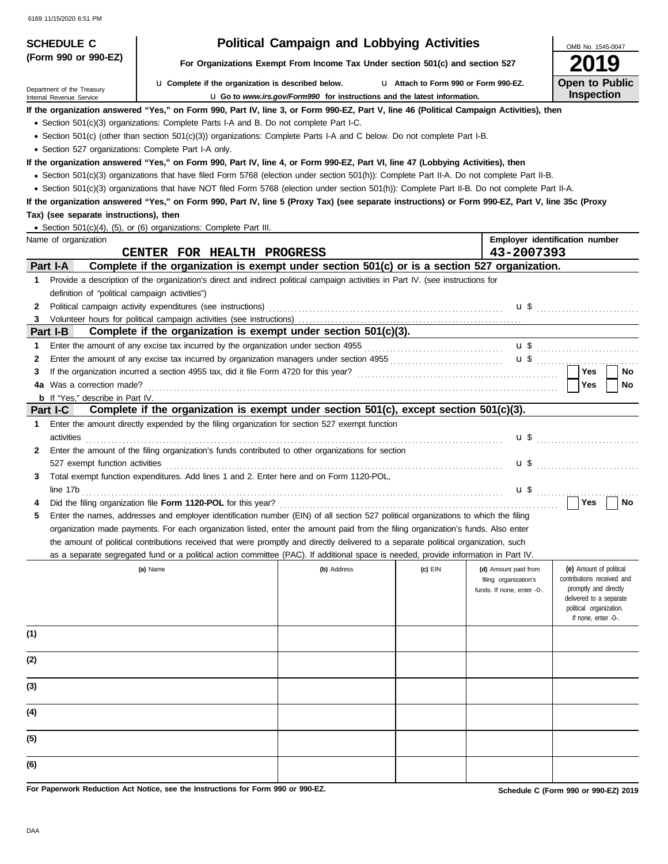| <b>SCHEDULE C</b>                                                                                     |                                                                                                                                                                                                                                                                                                | <b>Political Campaign and Lobbying Activities</b>                               |                                       |                                                                             | OMB No. 1545-0047                                                                                                                                           |  |  |  |
|-------------------------------------------------------------------------------------------------------|------------------------------------------------------------------------------------------------------------------------------------------------------------------------------------------------------------------------------------------------------------------------------------------------|---------------------------------------------------------------------------------|---------------------------------------|-----------------------------------------------------------------------------|-------------------------------------------------------------------------------------------------------------------------------------------------------------|--|--|--|
| (Form 990 or 990-EZ)<br>For Organizations Exempt From Income Tax Under section 501(c) and section 527 |                                                                                                                                                                                                                                                                                                |                                                                                 |                                       |                                                                             |                                                                                                                                                             |  |  |  |
| Department of the Treasury<br>Internal Revenue Service                                                | <b>u</b> Complete if the organization is described below.                                                                                                                                                                                                                                      | <b>u</b> Go to www.irs.gov/Form990 for instructions and the latest information. | L1 Attach to Form 990 or Form 990-EZ. |                                                                             | Open to Public<br><b>Inspection</b>                                                                                                                         |  |  |  |
|                                                                                                       | If the organization answered "Yes," on Form 990, Part IV, line 3, or Form 990-EZ, Part V, line 46 (Political Campaign Activities), then                                                                                                                                                        |                                                                                 |                                       |                                                                             |                                                                                                                                                             |  |  |  |
|                                                                                                       | • Section 501(c)(3) organizations: Complete Parts I-A and B. Do not complete Part I-C.                                                                                                                                                                                                         |                                                                                 |                                       |                                                                             |                                                                                                                                                             |  |  |  |
|                                                                                                       | • Section 501(c) (other than section 501(c)(3)) organizations: Complete Parts I-A and C below. Do not complete Part I-B.                                                                                                                                                                       |                                                                                 |                                       |                                                                             |                                                                                                                                                             |  |  |  |
| • Section 527 organizations: Complete Part I-A only.                                                  |                                                                                                                                                                                                                                                                                                |                                                                                 |                                       |                                                                             |                                                                                                                                                             |  |  |  |
|                                                                                                       | If the organization answered "Yes," on Form 990, Part IV, line 4, or Form 990-EZ, Part VI, line 47 (Lobbying Activities), then                                                                                                                                                                 |                                                                                 |                                       |                                                                             |                                                                                                                                                             |  |  |  |
|                                                                                                       | • Section 501(c)(3) organizations that have filed Form 5768 (election under section 501(h)): Complete Part II-A. Do not complete Part II-B.<br>• Section 501(c)(3) organizations that have NOT filed Form 5768 (election under section 501(h)): Complete Part II-B. Do not complete Part II-A. |                                                                                 |                                       |                                                                             |                                                                                                                                                             |  |  |  |
|                                                                                                       |                                                                                                                                                                                                                                                                                                |                                                                                 |                                       |                                                                             |                                                                                                                                                             |  |  |  |
|                                                                                                       | If the organization answered "Yes," on Form 990, Part IV, line 5 (Proxy Tax) (see separate instructions) or Form 990-EZ, Part V, line 35c (Proxy                                                                                                                                               |                                                                                 |                                       |                                                                             |                                                                                                                                                             |  |  |  |
| Tax) (see separate instructions), then                                                                |                                                                                                                                                                                                                                                                                                |                                                                                 |                                       |                                                                             |                                                                                                                                                             |  |  |  |
|                                                                                                       | • Section 501(c)(4), (5), or (6) organizations: Complete Part III.                                                                                                                                                                                                                             |                                                                                 |                                       |                                                                             |                                                                                                                                                             |  |  |  |
| Name of organization                                                                                  |                                                                                                                                                                                                                                                                                                |                                                                                 |                                       |                                                                             | Employer identification number                                                                                                                              |  |  |  |
|                                                                                                       | CENTER FOR HEALTH PROGRESS                                                                                                                                                                                                                                                                     |                                                                                 |                                       | 43-2007393                                                                  |                                                                                                                                                             |  |  |  |
| Part I-A                                                                                              | Complete if the organization is exempt under section 501(c) or is a section 527 organization.                                                                                                                                                                                                  |                                                                                 |                                       |                                                                             |                                                                                                                                                             |  |  |  |
| 1.                                                                                                    | Provide a description of the organization's direct and indirect political campaign activities in Part IV. (see instructions for                                                                                                                                                                |                                                                                 |                                       |                                                                             |                                                                                                                                                             |  |  |  |
| definition of "political campaign activities")                                                        |                                                                                                                                                                                                                                                                                                |                                                                                 |                                       |                                                                             |                                                                                                                                                             |  |  |  |
| 2                                                                                                     | Political campaign activity expenditures (see instructions)                                                                                                                                                                                                                                    |                                                                                 |                                       |                                                                             |                                                                                                                                                             |  |  |  |
| 3                                                                                                     |                                                                                                                                                                                                                                                                                                |                                                                                 |                                       |                                                                             |                                                                                                                                                             |  |  |  |
| Part I-B                                                                                              | Complete if the organization is exempt under section 501(c)(3).                                                                                                                                                                                                                                |                                                                                 |                                       |                                                                             |                                                                                                                                                             |  |  |  |
| 1                                                                                                     |                                                                                                                                                                                                                                                                                                |                                                                                 |                                       |                                                                             | $\mathbf{u}$ \$ $\ldots$ $\ldots$ $\ldots$ $\ldots$ $\ldots$                                                                                                |  |  |  |
| 2                                                                                                     | Enter the amount of any excise tax incurred by organization managers under section 4955 [[[[[[[[[[[[[[[[[[[[[[                                                                                                                                                                                 |                                                                                 |                                       |                                                                             |                                                                                                                                                             |  |  |  |
| 3                                                                                                     |                                                                                                                                                                                                                                                                                                |                                                                                 |                                       |                                                                             | <b>Yes</b><br>No                                                                                                                                            |  |  |  |
| Was a correction made?<br>4a                                                                          |                                                                                                                                                                                                                                                                                                |                                                                                 |                                       |                                                                             | Yes<br>No                                                                                                                                                   |  |  |  |
| <b>b</b> If "Yes," describe in Part IV.                                                               |                                                                                                                                                                                                                                                                                                |                                                                                 |                                       |                                                                             |                                                                                                                                                             |  |  |  |
| Part I-C                                                                                              | Complete if the organization is exempt under section $501(c)$ , except section $501(c)(3)$ .                                                                                                                                                                                                   |                                                                                 |                                       |                                                                             |                                                                                                                                                             |  |  |  |
| 1<br>activities                                                                                       | Enter the amount directly expended by the filing organization for section 527 exempt function                                                                                                                                                                                                  |                                                                                 |                                       |                                                                             |                                                                                                                                                             |  |  |  |
| 2                                                                                                     | Enter the amount of the filing organization's funds contributed to other organizations for section                                                                                                                                                                                             |                                                                                 |                                       |                                                                             |                                                                                                                                                             |  |  |  |
| 527 exempt function activities                                                                        |                                                                                                                                                                                                                                                                                                |                                                                                 |                                       | $\mathbf{u} \mathbf{\pmb{\mathsf{s}}}$                                      |                                                                                                                                                             |  |  |  |
| 3<br>line 17b                                                                                         | Total exempt function expenditures. Add lines 1 and 2. Enter here and on Form 1120-POL.                                                                                                                                                                                                        |                                                                                 |                                       |                                                                             |                                                                                                                                                             |  |  |  |
|                                                                                                       | Did the filing organization file Form 1120-POL for this year?                                                                                                                                                                                                                                  |                                                                                 |                                       | $\mathbf{u} \mathbf{\pmb{\mathsf{s}}}$                                      | Yes<br>No                                                                                                                                                   |  |  |  |
|                                                                                                       |                                                                                                                                                                                                                                                                                                |                                                                                 |                                       |                                                                             |                                                                                                                                                             |  |  |  |
| 5                                                                                                     | Enter the names, addresses and employer identification number (EIN) of all section 527 political organizations to which the filing                                                                                                                                                             |                                                                                 |                                       |                                                                             |                                                                                                                                                             |  |  |  |
|                                                                                                       | organization made payments. For each organization listed, enter the amount paid from the filing organization's funds. Also enter                                                                                                                                                               |                                                                                 |                                       |                                                                             |                                                                                                                                                             |  |  |  |
|                                                                                                       | the amount of political contributions received that were promptly and directly delivered to a separate political organization, such                                                                                                                                                            |                                                                                 |                                       |                                                                             |                                                                                                                                                             |  |  |  |
|                                                                                                       | as a separate segregated fund or a political action committee (PAC). If additional space is needed, provide information in Part IV.                                                                                                                                                            |                                                                                 |                                       |                                                                             |                                                                                                                                                             |  |  |  |
|                                                                                                       | (a) Name                                                                                                                                                                                                                                                                                       | (b) Address                                                                     | (c) EIN                               | (d) Amount paid from<br>filing organization's<br>funds. If none, enter -0-. | (e) Amount of political<br>contributions received and<br>promptly and directly<br>delivered to a separate<br>political organization.<br>If none, enter -0-. |  |  |  |
| (1)                                                                                                   |                                                                                                                                                                                                                                                                                                |                                                                                 |                                       |                                                                             |                                                                                                                                                             |  |  |  |
| (2)                                                                                                   |                                                                                                                                                                                                                                                                                                |                                                                                 |                                       |                                                                             |                                                                                                                                                             |  |  |  |
| (3)                                                                                                   |                                                                                                                                                                                                                                                                                                |                                                                                 |                                       |                                                                             |                                                                                                                                                             |  |  |  |
| (4)                                                                                                   |                                                                                                                                                                                                                                                                                                |                                                                                 |                                       |                                                                             |                                                                                                                                                             |  |  |  |
| (5)                                                                                                   |                                                                                                                                                                                                                                                                                                |                                                                                 |                                       |                                                                             |                                                                                                                                                             |  |  |  |
| (6)                                                                                                   |                                                                                                                                                                                                                                                                                                |                                                                                 |                                       |                                                                             |                                                                                                                                                             |  |  |  |

**For Paperwork Reduction Act Notice, see the Instructions for Form 990 or 990-EZ.**

**Schedule C (Form 990 or 990-EZ) 2019**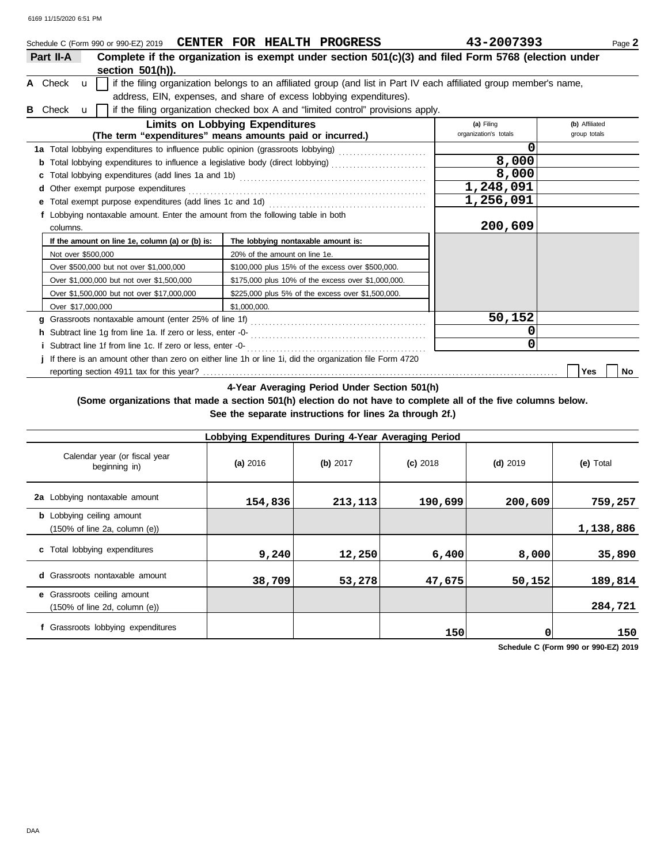| Schedule C (Form 990 or 990-EZ) 2019 CENTER FOR HEALTH PROGRESS                 |                                                                                                                     | 43-2007393            | Page 2         |
|---------------------------------------------------------------------------------|---------------------------------------------------------------------------------------------------------------------|-----------------------|----------------|
| Part II-A                                                                       | Complete if the organization is exempt under section 501(c)(3) and filed Form 5768 (election under                  |                       |                |
| section $501(h)$ ).                                                             |                                                                                                                     |                       |                |
| A Check<br>$\mathbf{u}$                                                         | if the filing organization belongs to an affiliated group (and list in Part IV each affiliated group member's name, |                       |                |
|                                                                                 | address, EIN, expenses, and share of excess lobbying expenditures).                                                 |                       |                |
| <b>B</b> Check<br>$\mathbf{u}$                                                  | if the filing organization checked box A and "limited control" provisions apply.                                    |                       |                |
|                                                                                 | <b>Limits on Lobbying Expenditures</b>                                                                              | (a) Filing            | (b) Affiliated |
|                                                                                 | (The term "expenditures" means amounts paid or incurred.)                                                           | organization's totals | group totals   |
|                                                                                 | 1a Total lobbying expenditures to influence public opinion (grassroots lobbying) [[[[[[[[[[[[[[[[[[[[[[[[[[[[       | O                     |                |
|                                                                                 |                                                                                                                     | 8,000                 |                |
|                                                                                 |                                                                                                                     | 8,000                 |                |
| Other exempt purpose expenditures                                               |                                                                                                                     | 1,248,091             |                |
| <b>e</b> Total exempt purpose expenditures (add lines 1c and 1d)                |                                                                                                                     | 1,256,091             |                |
| f Lobbying nontaxable amount. Enter the amount from the following table in both |                                                                                                                     |                       |                |
| columns.                                                                        |                                                                                                                     | 200,609               |                |
| If the amount on line 1e, column (a) or (b) is:                                 | The lobbying nontaxable amount is:                                                                                  |                       |                |
| Not over \$500,000                                                              | 20% of the amount on line 1e.                                                                                       |                       |                |
| Over \$500,000 but not over \$1,000,000                                         | \$100,000 plus 15% of the excess over \$500,000.                                                                    |                       |                |
| Over \$1,000,000 but not over \$1,500,000                                       | \$175,000 plus 10% of the excess over \$1,000,000.                                                                  |                       |                |
| Over \$1,500,000 but not over \$17,000,000                                      | \$225,000 plus 5% of the excess over \$1,500,000.                                                                   |                       |                |
| Over \$17,000,000                                                               | \$1,000,000.                                                                                                        |                       |                |
|                                                                                 |                                                                                                                     | 50,152                |                |
|                                                                                 |                                                                                                                     |                       |                |
|                                                                                 |                                                                                                                     | 0                     |                |
|                                                                                 | j If there is an amount other than zero on either line 1h or line 1i, did the organization file Form 4720           |                       |                |
|                                                                                 |                                                                                                                     |                       | Yes<br>No      |

**4-Year Averaging Period Under Section 501(h)**

## **(Some organizations that made a section 501(h) election do not have to complete all of the five columns below. See the separate instructions for lines 2a through 2f.)**

| Lobbying Expenditures During 4-Year Averaging Period                                   |          |          |            |            |           |  |  |
|----------------------------------------------------------------------------------------|----------|----------|------------|------------|-----------|--|--|
| Calendar year (or fiscal year<br>beginning in)                                         | (a) 2016 | (b) 2017 | $(c)$ 2018 | $(d)$ 2019 | (e) Total |  |  |
| 2a Lobbying nontaxable amount                                                          | 154,836  | 213, 113 | 190,699    | 200,609    | 759,257   |  |  |
| <b>b</b> Lobbying ceiling amount<br>$(150\% \text{ of line } 2a, \text{ column } (e))$ |          |          |            |            | 1,138,886 |  |  |
| c Total lobbying expenditures                                                          | 9,240    | 12,250   | 6,400      | 8,000      | 35,890    |  |  |
| <b>d</b> Grassroots nontaxable amount                                                  | 38,709   | 53,278   | 47,675     | 50,152     | 189,814   |  |  |
| e Grassroots ceiling amount<br>$(150\% \text{ of line } 2d, \text{ column } (e))$      |          |          |            |            | 284,721   |  |  |
| f Grassroots lobbying expenditures                                                     |          |          | 150        |            | 150       |  |  |

**Schedule C (Form 990 or 990-EZ) 2019**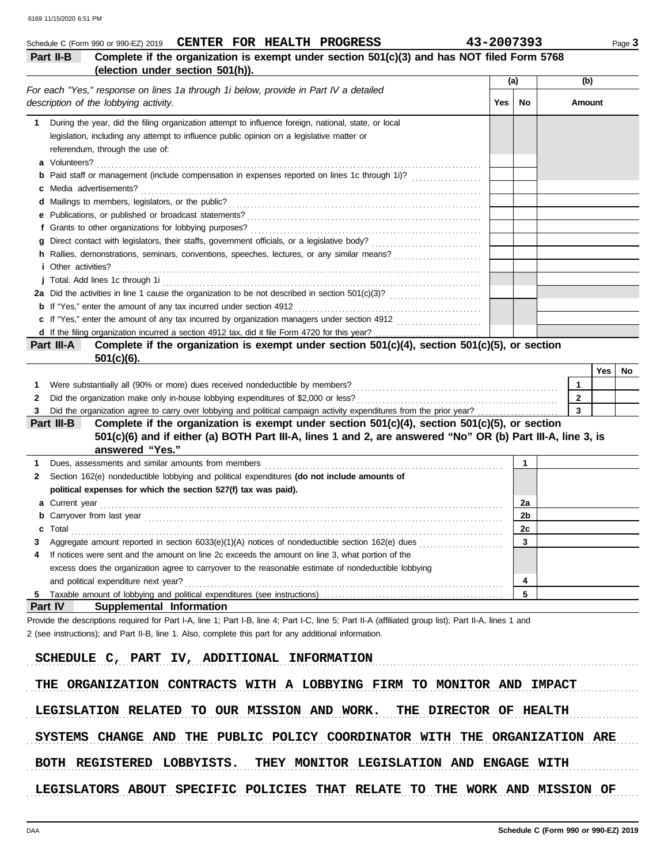|    | <b>CENTER FOR HEALTH PROGRESS</b><br>Schedule C (Form 990 or 990-EZ) 2019<br>Complete if the organization is exempt under section 501(c)(3) and has NOT filed Form 5768<br>Part II-B<br>(election under section 501(h)).                                       | 43-2007393 |                |               |                         |     | Page 3 |
|----|----------------------------------------------------------------------------------------------------------------------------------------------------------------------------------------------------------------------------------------------------------------|------------|----------------|---------------|-------------------------|-----|--------|
|    |                                                                                                                                                                                                                                                                | (a)        |                |               | (b)                     |     |        |
|    | For each "Yes," response on lines 1a through 1i below, provide in Part IV a detailed                                                                                                                                                                           |            |                |               |                         |     |        |
|    | description of the lobbying activity.                                                                                                                                                                                                                          | Yes        | No.            |               | Amount                  |     |        |
| 1. | During the year, did the filing organization attempt to influence foreign, national, state, or local                                                                                                                                                           |            |                |               |                         |     |        |
|    | legislation, including any attempt to influence public opinion on a legislative matter or                                                                                                                                                                      |            |                |               |                         |     |        |
|    | referendum, through the use of:                                                                                                                                                                                                                                |            |                |               |                         |     |        |
|    | a Volunteers?                                                                                                                                                                                                                                                  |            |                |               |                         |     |        |
|    | <b>b</b> Paid staff or management (include compensation in expenses reported on lines 1c through 1i)?                                                                                                                                                          |            |                |               |                         |     |        |
|    | c Media advertisements?                                                                                                                                                                                                                                        |            |                |               |                         |     |        |
|    |                                                                                                                                                                                                                                                                |            |                |               |                         |     |        |
|    | e Publications, or published or broadcast statements?                                                                                                                                                                                                          |            |                |               |                         |     |        |
|    | f Grants to other organizations for lobbying purposes?                                                                                                                                                                                                         |            |                |               |                         |     |        |
|    | g Direct contact with legislators, their staffs, government officials, or a legislative body?                                                                                                                                                                  |            |                |               |                         |     |        |
|    | h Rallies, demonstrations, seminars, conventions, speeches, lectures, or any similar means?                                                                                                                                                                    |            |                |               |                         |     |        |
|    | <i>i</i> Other activities?                                                                                                                                                                                                                                     |            |                |               |                         |     |        |
|    | j Total. Add lines 1c through 1i                                                                                                                                                                                                                               |            |                |               |                         |     |        |
|    |                                                                                                                                                                                                                                                                |            |                |               |                         |     |        |
|    | <b>b</b> If "Yes," enter the amount of any tax incurred under section 4912                                                                                                                                                                                     |            |                |               |                         |     |        |
|    | c If "Yes," enter the amount of any tax incurred by organization managers under section 4912                                                                                                                                                                   |            |                |               |                         |     |        |
|    |                                                                                                                                                                                                                                                                |            |                |               |                         |     |        |
|    | Complete if the organization is exempt under section 501(c)(4), section 501(c)(5), or section<br>Part III-A<br>$501(c)(6)$ .                                                                                                                                   |            |                |               |                         |     |        |
|    |                                                                                                                                                                                                                                                                |            |                |               |                         | Yes | No     |
| 1. | Were substantially all (90% or more) dues received nondeductible by members?                                                                                                                                                                                   |            |                |               | 1                       |     |        |
| 2  | Did the organization make only in-house lobbying expenditures of \$2,000 or less?                                                                                                                                                                              |            |                |               | $\mathbf{2}$            |     |        |
|    |                                                                                                                                                                                                                                                                |            |                |               | $\overline{\mathbf{3}}$ |     |        |
|    | Complete if the organization is exempt under section $501(c)(4)$ , section $501(c)(5)$ , or section<br>Part III-B<br>501(c)(6) and if either (a) BOTH Part III-A, lines 1 and 2, are answered "No" OR (b) Part III-A, line 3, is<br>answered "Yes."            |            |                |               |                         |     |        |
| 1  | Dues, assessments and similar amounts from members                                                                                                                                                                                                             |            | 1              |               |                         |     |        |
| 2  | Section 162(e) nondeductible lobbying and political expenditures (do not include amounts of                                                                                                                                                                    |            |                |               |                         |     |        |
|    | political expenses for which the section 527(f) tax was paid).                                                                                                                                                                                                 |            |                |               |                         |     |        |
| a  | Current year                                                                                                                                                                                                                                                   |            | 2a             |               |                         |     |        |
|    | <b>b</b> Carryover from last year                                                                                                                                                                                                                              |            | 2 <sub>b</sub> |               |                         |     |        |
| c  | Total                                                                                                                                                                                                                                                          |            | 2c             |               |                         |     |        |
| 3  | Aggregate amount reported in section 6033(e)(1)(A) notices of nondeductible section 162(e) dues                                                                                                                                                                |            | 3              |               |                         |     |        |
| 4  | If notices were sent and the amount on line 2c exceeds the amount on line 3, what portion of the                                                                                                                                                               |            |                |               |                         |     |        |
|    | excess does the organization agree to carryover to the reasonable estimate of nondeductible lobbying                                                                                                                                                           |            |                |               |                         |     |        |
|    | and political expenditure next year?                                                                                                                                                                                                                           |            | 4              |               |                         |     |        |
| 5  |                                                                                                                                                                                                                                                                |            | 5              |               |                         |     |        |
|    | <b>Part IV</b><br>Supplemental Information                                                                                                                                                                                                                     |            |                |               |                         |     |        |
|    | Provide the descriptions required for Part I-A, line 1; Part I-B, line 4; Part I-C, line 5; Part II-A (affiliated group list); Part II-A, lines 1 and<br>2 (see instructions); and Part II-B, line 1. Also, complete this part for any additional information. |            |                |               |                         |     |        |
|    | SCHEDULE C, PART IV, ADDITIONAL INFORMATION                                                                                                                                                                                                                    |            |                |               |                         |     |        |
|    | ORGANIZATION CONTRACTS WITH A LOBBYING FIRM TO MONITOR AND<br>THE                                                                                                                                                                                              |            |                | <b>IMPACT</b> |                         |     |        |
|    | LEGISLATION RELATED TO OUR MISSION AND WORK.<br>THE DIRECTOR OF HEALTH                                                                                                                                                                                         |            |                |               |                         |     |        |
|    | SYSTEMS<br>CHANGE AND<br>THE PUBLIC POLICY COORDINATOR WITH THE ORGANIZATION ARE                                                                                                                                                                               |            |                |               |                         |     |        |
|    | <b>REGISTERED</b><br>LOBBYISTS.<br>THEY MONITOR LEGISLATION AND ENGAGE WITH<br><b>BOTH</b>                                                                                                                                                                     |            |                |               |                         |     |        |

LEGISLATORS ABOUT SPECIFIC POLICIES THAT RELATE TO THE WORK AND MISSION OF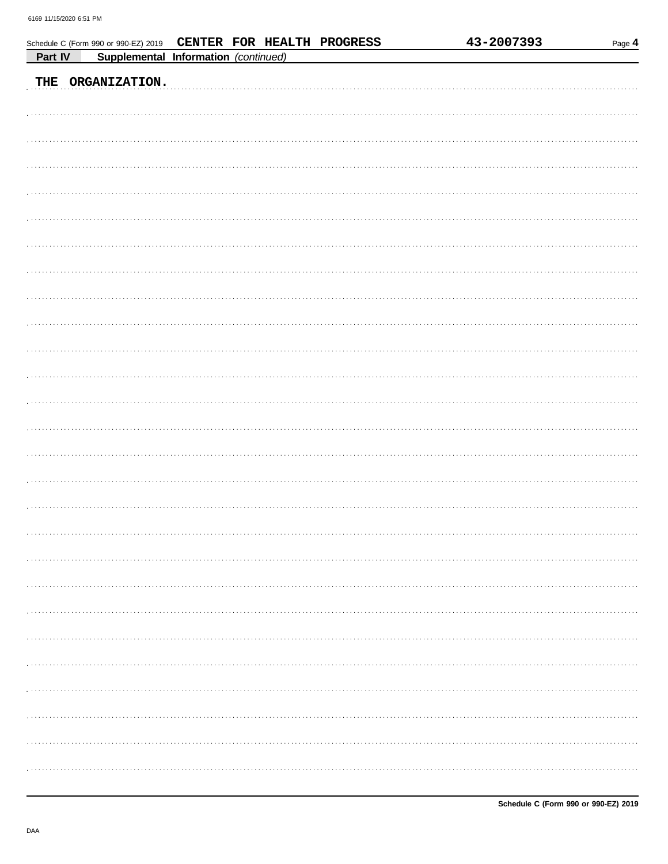| Schedule C (Form 990 or 990-EZ) 2019            | CENTER FOR HEALTH PROGRESS | 43-2007393 | Page 4 |
|-------------------------------------------------|----------------------------|------------|--------|
| Supplemental Information (continued)<br>Part IV |                            |            |        |
| ORGANIZATION.<br>THE                            |                            |            |        |
|                                                 |                            |            |        |
|                                                 |                            |            |        |
|                                                 |                            |            |        |
|                                                 |                            |            |        |
|                                                 |                            |            |        |
|                                                 |                            |            |        |
|                                                 |                            |            |        |
|                                                 |                            |            |        |
|                                                 |                            |            |        |
|                                                 |                            |            |        |
|                                                 |                            |            |        |
|                                                 |                            |            |        |
|                                                 |                            |            |        |
|                                                 |                            |            |        |
|                                                 |                            |            |        |
|                                                 |                            |            |        |
|                                                 |                            |            |        |
|                                                 |                            |            |        |
|                                                 |                            |            |        |
|                                                 |                            |            |        |
|                                                 |                            |            |        |
|                                                 |                            |            |        |
|                                                 |                            |            |        |
|                                                 |                            |            |        |
|                                                 |                            |            |        |
|                                                 |                            |            |        |
|                                                 |                            |            |        |
|                                                 |                            |            |        |
|                                                 |                            |            |        |
|                                                 |                            |            |        |
|                                                 |                            |            |        |
|                                                 |                            |            |        |
|                                                 |                            |            |        |
|                                                 |                            |            |        |
|                                                 |                            |            |        |
|                                                 |                            |            |        |
|                                                 |                            |            |        |
|                                                 |                            |            |        |
|                                                 |                            |            |        |
|                                                 |                            |            |        |
|                                                 |                            |            |        |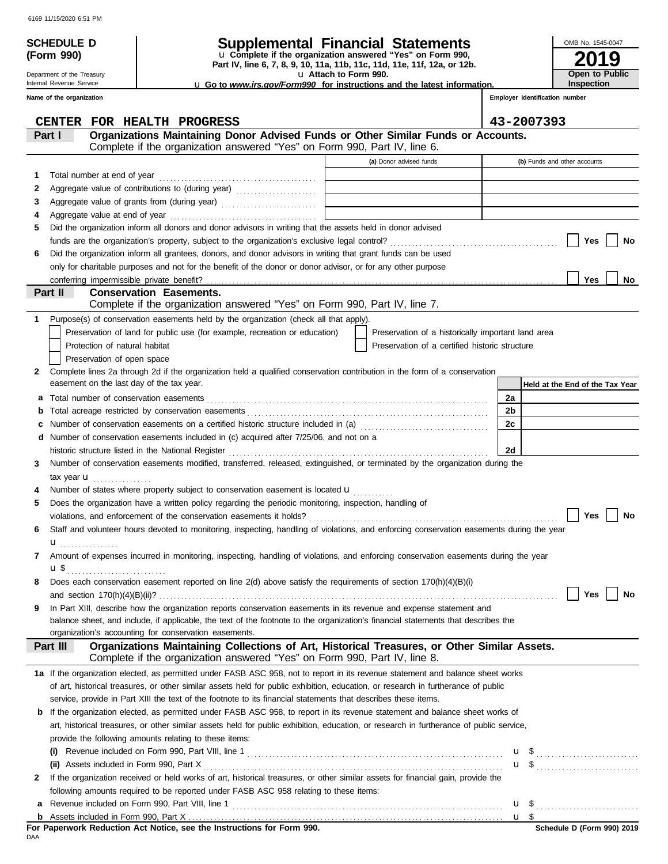Department of the Treasury Internal Revenue Service

**(Form 990)**

# **SCHEDULE D Supplemental Financial Statements**

**Part IV, line 6, 7, 8, 9, 10, 11a, 11b, 11c, 11d, 11e, 11f, 12a, or 12b.** u **Complete if the organization answered "Yes" on Form 990,**

u **Attach to Form 990.** 

u **Go to** *www.irs.gov/Form990* **for instructions and the latest information.**

**2019 Open to Public Inspection**

OMB No. 1545-0047

**Employer identification number**

|        | Name of the organization |                                                                                                                                                                            |                                                    |    | Employer identification number  |
|--------|--------------------------|----------------------------------------------------------------------------------------------------------------------------------------------------------------------------|----------------------------------------------------|----|---------------------------------|
|        |                          | CENTER FOR HEALTH PROGRESS                                                                                                                                                 |                                                    |    | 43-2007393                      |
|        | Part I                   | Organizations Maintaining Donor Advised Funds or Other Similar Funds or Accounts.                                                                                          |                                                    |    |                                 |
|        |                          | Complete if the organization answered "Yes" on Form 990, Part IV, line 6.                                                                                                  |                                                    |    |                                 |
|        |                          |                                                                                                                                                                            | (a) Donor advised funds                            |    | (b) Funds and other accounts    |
| 1      |                          | Total number at end of year                                                                                                                                                |                                                    |    |                                 |
| 2      |                          | Aggregate value of contributions to (during year) [10] Aggregate value of contributions to (during year)                                                                   |                                                    |    |                                 |
| З      |                          |                                                                                                                                                                            |                                                    |    |                                 |
| 4      |                          |                                                                                                                                                                            |                                                    |    |                                 |
| 5      |                          | Did the organization inform all donors and donor advisors in writing that the assets held in donor advised                                                                 |                                                    |    |                                 |
|        |                          |                                                                                                                                                                            |                                                    |    | Yes<br>No                       |
| 6      |                          | Did the organization inform all grantees, donors, and donor advisors in writing that grant funds can be used                                                               |                                                    |    |                                 |
|        |                          | only for charitable purposes and not for the benefit of the donor or donor advisor, or for any other purpose                                                               |                                                    |    |                                 |
|        | Part II                  | <b>Conservation Easements.</b>                                                                                                                                             |                                                    |    | Yes<br><b>No</b>                |
|        |                          | Complete if the organization answered "Yes" on Form 990, Part IV, line 7.                                                                                                  |                                                    |    |                                 |
| 1      |                          | Purpose(s) of conservation easements held by the organization (check all that apply).                                                                                      |                                                    |    |                                 |
|        |                          | Preservation of land for public use (for example, recreation or education)                                                                                                 | Preservation of a historically important land area |    |                                 |
|        |                          | Protection of natural habitat                                                                                                                                              | Preservation of a certified historic structure     |    |                                 |
|        |                          | Preservation of open space                                                                                                                                                 |                                                    |    |                                 |
| 2      |                          | Complete lines 2a through 2d if the organization held a qualified conservation contribution in the form of a conservation                                                  |                                                    |    |                                 |
|        |                          | easement on the last day of the tax year.                                                                                                                                  |                                                    |    | Held at the End of the Tax Year |
| а      |                          |                                                                                                                                                                            |                                                    | 2a |                                 |
| b      |                          |                                                                                                                                                                            |                                                    | 2b |                                 |
| с      |                          | Number of conservation easements on a certified historic structure included in (a) [11] Number of conservation easements on a certified historic structure included in (a) |                                                    | 2с |                                 |
| d      |                          | Number of conservation easements included in (c) acquired after 7/25/06, and not on a                                                                                      |                                                    |    |                                 |
|        |                          | historic structure listed in the National Register                                                                                                                         |                                                    | 2d |                                 |
| 3      |                          | Number of conservation easements modified, transferred, released, extinguished, or terminated by the organization during the                                               |                                                    |    |                                 |
|        |                          | tax year $\mathbf{u}$<br>Number of states where property subject to conservation easement is located <b>u</b>                                                              |                                                    |    |                                 |
| 4<br>5 |                          | Does the organization have a written policy regarding the periodic monitoring, inspection, handling of                                                                     |                                                    |    |                                 |
|        |                          |                                                                                                                                                                            |                                                    |    | Yes<br>No                       |
| 6      |                          | Staff and volunteer hours devoted to monitoring, inspecting, handling of violations, and enforcing conservation easements during the year                                  |                                                    |    |                                 |
|        | u                        |                                                                                                                                                                            |                                                    |    |                                 |
| 7      |                          | Amount of expenses incurred in monitoring, inspecting, handling of violations, and enforcing conservation easements during the year                                        |                                                    |    |                                 |
|        |                          | $\mathbf{u}$ \$                                                                                                                                                            |                                                    |    |                                 |
|        |                          | Does each conservation easement reported on line 2(d) above satisfy the requirements of section 170(h)(4)(B)(i)                                                            |                                                    |    |                                 |
|        |                          |                                                                                                                                                                            |                                                    |    | Yes<br>No                       |
| 9      |                          | In Part XIII, describe how the organization reports conservation easements in its revenue and expense statement and                                                        |                                                    |    |                                 |
|        |                          | balance sheet, and include, if applicable, the text of the footnote to the organization's financial statements that describes the                                          |                                                    |    |                                 |
|        |                          | organization's accounting for conservation easements.<br>Organizations Maintaining Collections of Art, Historical Treasures, or Other Similar Assets.                      |                                                    |    |                                 |
|        | Part III                 | Complete if the organization answered "Yes" on Form 990, Part IV, line 8.                                                                                                  |                                                    |    |                                 |
|        |                          | 1a If the organization elected, as permitted under FASB ASC 958, not to report in its revenue statement and balance sheet works                                            |                                                    |    |                                 |
|        |                          | of art, historical treasures, or other similar assets held for public exhibition, education, or research in furtherance of public                                          |                                                    |    |                                 |
|        |                          | service, provide in Part XIII the text of the footnote to its financial statements that describes these items.                                                             |                                                    |    |                                 |
| b      |                          | If the organization elected, as permitted under FASB ASC 958, to report in its revenue statement and balance sheet works of                                                |                                                    |    |                                 |
|        |                          | art, historical treasures, or other similar assets held for public exhibition, education, or research in furtherance of public service,                                    |                                                    |    |                                 |
|        |                          | provide the following amounts relating to these items:                                                                                                                     |                                                    |    |                                 |
|        | (i)                      |                                                                                                                                                                            |                                                    |    | $\mathbf{u}$ \$                 |
|        |                          |                                                                                                                                                                            |                                                    |    |                                 |
| 2      |                          | If the organization received or held works of art, historical treasures, or other similar assets for financial gain, provide the                                           |                                                    |    |                                 |
|        |                          | following amounts required to be reported under FASB ASC 958 relating to these items:                                                                                      |                                                    |    |                                 |
| а      |                          |                                                                                                                                                                            |                                                    |    | u <sub>s</sub>                  |
|        |                          |                                                                                                                                                                            |                                                    |    | u <sub>s</sub>                  |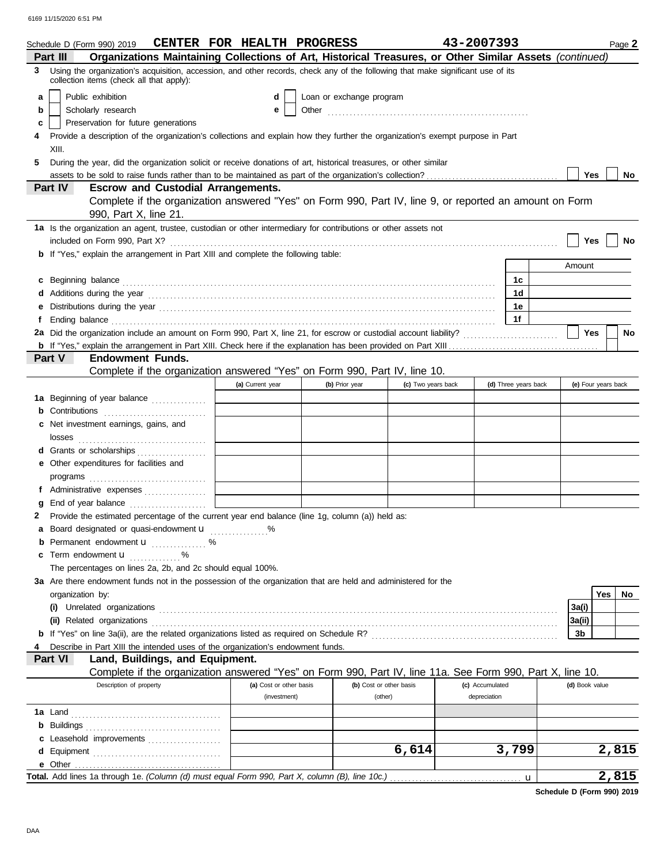|                    | Schedule D (Form 990) 2019                                                                                                                                                                                                          |  |  | CENTER FOR HEALTH PROGRESS |  |                          |                    | 43-2007393                                                                                                 |                      | Page 2                                                                                                  |
|--------------------|-------------------------------------------------------------------------------------------------------------------------------------------------------------------------------------------------------------------------------------|--|--|----------------------------|--|--------------------------|--------------------|------------------------------------------------------------------------------------------------------------|----------------------|---------------------------------------------------------------------------------------------------------|
| Part III           |                                                                                                                                                                                                                                     |  |  |                            |  |                          |                    |                                                                                                            |                      | Organizations Maintaining Collections of Art, Historical Treasures, or Other Similar Assets (continued) |
| 3                  | Using the organization's acquisition, accession, and other records, check any of the following that make significant use of its<br>collection items (check all that apply):                                                         |  |  |                            |  |                          |                    |                                                                                                            |                      |                                                                                                         |
| a                  | Public exhibition                                                                                                                                                                                                                   |  |  | d                          |  | Loan or exchange program |                    |                                                                                                            |                      |                                                                                                         |
| b                  | Scholarly research                                                                                                                                                                                                                  |  |  | е                          |  |                          |                    |                                                                                                            |                      |                                                                                                         |
|                    | Preservation for future generations                                                                                                                                                                                                 |  |  |                            |  |                          |                    |                                                                                                            |                      |                                                                                                         |
| c                  | Provide a description of the organization's collections and explain how they further the organization's exempt purpose in Part                                                                                                      |  |  |                            |  |                          |                    |                                                                                                            |                      |                                                                                                         |
| XIII.              |                                                                                                                                                                                                                                     |  |  |                            |  |                          |                    |                                                                                                            |                      |                                                                                                         |
| 5                  | During the year, did the organization solicit or receive donations of art, historical treasures, or other similar                                                                                                                   |  |  |                            |  |                          |                    |                                                                                                            |                      |                                                                                                         |
|                    | assets to be sold to raise funds rather than to be maintained as part of the organization's collection?                                                                                                                             |  |  |                            |  |                          |                    |                                                                                                            |                      | <b>Yes</b><br>No.                                                                                       |
| Part IV            | <b>Escrow and Custodial Arrangements.</b>                                                                                                                                                                                           |  |  |                            |  |                          |                    |                                                                                                            |                      |                                                                                                         |
|                    | 990, Part X, line 21.                                                                                                                                                                                                               |  |  |                            |  |                          |                    | Complete if the organization answered "Yes" on Form 990, Part IV, line 9, or reported an amount on Form    |                      |                                                                                                         |
|                    | 1a Is the organization an agent, trustee, custodian or other intermediary for contributions or other assets not                                                                                                                     |  |  |                            |  |                          |                    |                                                                                                            |                      |                                                                                                         |
|                    | included on Form 990, Part X?                                                                                                                                                                                                       |  |  |                            |  |                          |                    |                                                                                                            |                      | Yes<br>No                                                                                               |
|                    | <b>b</b> If "Yes," explain the arrangement in Part XIII and complete the following table:                                                                                                                                           |  |  |                            |  |                          |                    |                                                                                                            |                      |                                                                                                         |
|                    |                                                                                                                                                                                                                                     |  |  |                            |  |                          |                    |                                                                                                            |                      | Amount                                                                                                  |
| C                  | Beginning balance                                                                                                                                                                                                                   |  |  |                            |  |                          |                    |                                                                                                            | 1c                   |                                                                                                         |
|                    | Additions during the year contained and according to the year contained and according the year contained and according the year contained and according the year contained and according to the state of the state of the stat      |  |  |                            |  |                          |                    |                                                                                                            | 1d                   |                                                                                                         |
|                    |                                                                                                                                                                                                                                     |  |  |                            |  |                          |                    |                                                                                                            | 1е                   |                                                                                                         |
|                    | Ending balance <b>constructs</b> and constructs and constructs and constructs and constructs and constructs and constructs and constructs and constructs and constructs and constructs and constructs and constructs and constructs |  |  |                            |  |                          |                    |                                                                                                            | 1f                   |                                                                                                         |
|                    | 2a Did the organization include an amount on Form 990, Part X, line 21, for escrow or custodial account liability?                                                                                                                  |  |  |                            |  |                          |                    |                                                                                                            |                      | Yes<br>No                                                                                               |
|                    |                                                                                                                                                                                                                                     |  |  |                            |  |                          |                    |                                                                                                            |                      |                                                                                                         |
| Part V             | <b>Endowment Funds.</b>                                                                                                                                                                                                             |  |  |                            |  |                          |                    |                                                                                                            |                      |                                                                                                         |
|                    | Complete if the organization answered "Yes" on Form 990, Part IV, line 10.                                                                                                                                                          |  |  |                            |  |                          |                    |                                                                                                            |                      |                                                                                                         |
|                    |                                                                                                                                                                                                                                     |  |  | (a) Current year           |  | (b) Prior year           | (c) Two years back |                                                                                                            | (d) Three years back | (e) Four years back                                                                                     |
|                    | 1a Beginning of year balance                                                                                                                                                                                                        |  |  |                            |  |                          |                    |                                                                                                            |                      |                                                                                                         |
|                    | Contributions <b>CONTRIBUTE:</b>                                                                                                                                                                                                    |  |  |                            |  |                          |                    |                                                                                                            |                      |                                                                                                         |
|                    | Net investment earnings, gains, and                                                                                                                                                                                                 |  |  |                            |  |                          |                    |                                                                                                            |                      |                                                                                                         |
| losses             |                                                                                                                                                                                                                                     |  |  |                            |  |                          |                    |                                                                                                            |                      |                                                                                                         |
|                    | Grants or scholarships                                                                                                                                                                                                              |  |  |                            |  |                          |                    |                                                                                                            |                      |                                                                                                         |
| d                  | Other expenditures for facilities and                                                                                                                                                                                               |  |  |                            |  |                          |                    |                                                                                                            |                      |                                                                                                         |
|                    |                                                                                                                                                                                                                                     |  |  |                            |  |                          |                    |                                                                                                            |                      |                                                                                                         |
|                    | programs                                                                                                                                                                                                                            |  |  |                            |  |                          |                    |                                                                                                            |                      |                                                                                                         |
|                    |                                                                                                                                                                                                                                     |  |  |                            |  |                          |                    |                                                                                                            |                      |                                                                                                         |
|                    | End of year balance                                                                                                                                                                                                                 |  |  |                            |  |                          |                    |                                                                                                            |                      |                                                                                                         |
|                    | Provide the estimated percentage of the current year end balance (line 1g, column (a)) held as:                                                                                                                                     |  |  |                            |  |                          |                    |                                                                                                            |                      |                                                                                                         |
|                    | Board designated or quasi-endowment <b>u</b> %                                                                                                                                                                                      |  |  |                            |  |                          |                    |                                                                                                            |                      |                                                                                                         |
| b                  | Permanent endowment <b>u</b>                                                                                                                                                                                                        |  |  |                            |  |                          |                    |                                                                                                            |                      |                                                                                                         |
| c                  | Term endowment <b>u</b>                                                                                                                                                                                                             |  |  |                            |  |                          |                    |                                                                                                            |                      |                                                                                                         |
|                    | The percentages on lines 2a, 2b, and 2c should equal 100%.                                                                                                                                                                          |  |  |                            |  |                          |                    |                                                                                                            |                      |                                                                                                         |
|                    | 3a Are there endowment funds not in the possession of the organization that are held and administered for the                                                                                                                       |  |  |                            |  |                          |                    |                                                                                                            |                      |                                                                                                         |
|                    | organization by:                                                                                                                                                                                                                    |  |  |                            |  |                          |                    |                                                                                                            |                      | Yes<br>No                                                                                               |
|                    |                                                                                                                                                                                                                                     |  |  |                            |  |                          |                    |                                                                                                            |                      | 3a(i)                                                                                                   |
|                    | (ii) Related organizations                                                                                                                                                                                                          |  |  |                            |  |                          |                    |                                                                                                            |                      | 3a(ii)                                                                                                  |
|                    |                                                                                                                                                                                                                                     |  |  |                            |  |                          |                    |                                                                                                            |                      | 3b                                                                                                      |
|                    | Describe in Part XIII the intended uses of the organization's endowment funds.                                                                                                                                                      |  |  |                            |  |                          |                    |                                                                                                            |                      |                                                                                                         |
| Part VI            | Land, Buildings, and Equipment.                                                                                                                                                                                                     |  |  |                            |  |                          |                    |                                                                                                            |                      |                                                                                                         |
|                    |                                                                                                                                                                                                                                     |  |  |                            |  |                          |                    | Complete if the organization answered "Yes" on Form 990, Part IV, line 11a. See Form 990, Part X, line 10. |                      |                                                                                                         |
|                    | Description of property                                                                                                                                                                                                             |  |  | (a) Cost or other basis    |  | (b) Cost or other basis  |                    | (c) Accumulated                                                                                            |                      | (d) Book value                                                                                          |
|                    |                                                                                                                                                                                                                                     |  |  | (investment)               |  | (other)                  |                    | depreciation                                                                                               |                      |                                                                                                         |
| <b>1a</b> Land     |                                                                                                                                                                                                                                     |  |  |                            |  |                          |                    |                                                                                                            |                      |                                                                                                         |
| <b>b</b> Buildings |                                                                                                                                                                                                                                     |  |  |                            |  |                          |                    |                                                                                                            |                      |                                                                                                         |
|                    | Leasehold improvements                                                                                                                                                                                                              |  |  |                            |  |                          |                    |                                                                                                            |                      |                                                                                                         |
| d                  |                                                                                                                                                                                                                                     |  |  |                            |  |                          | 6,614              |                                                                                                            | 3,799                | 2,815                                                                                                   |
|                    |                                                                                                                                                                                                                                     |  |  |                            |  |                          |                    |                                                                                                            |                      |                                                                                                         |
|                    |                                                                                                                                                                                                                                     |  |  |                            |  |                          |                    |                                                                                                            |                      | 2,815                                                                                                   |

**Schedule D (Form 990) 2019**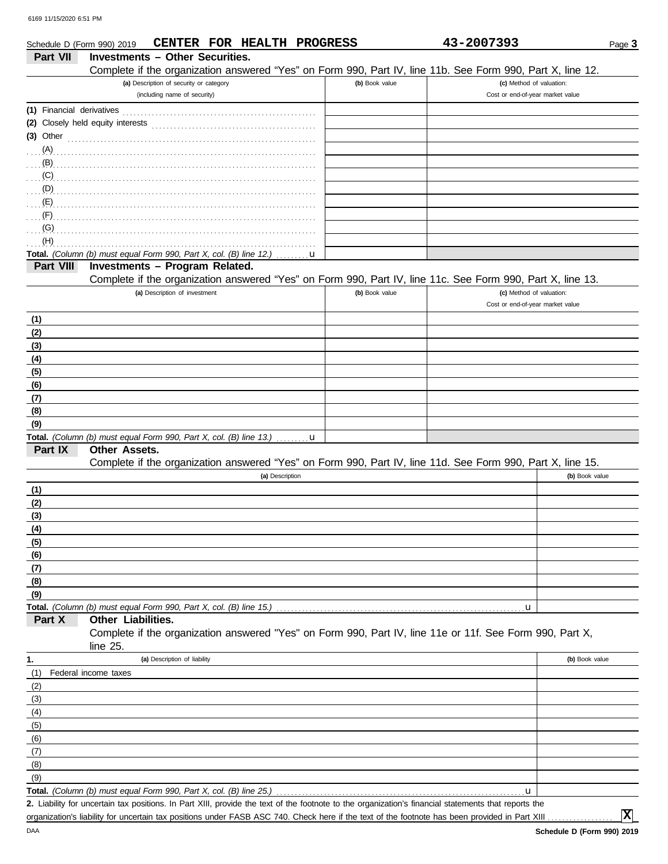| Schedule D (Form 990) 2019 | CENTER FOR HEALTH PROGRESS                                                                                                                           |                | 43-2007393                       | Page 3         |
|----------------------------|------------------------------------------------------------------------------------------------------------------------------------------------------|----------------|----------------------------------|----------------|
| <b>Part VII</b>            | <b>Investments - Other Securities.</b>                                                                                                               |                |                                  |                |
|                            | Complete if the organization answered "Yes" on Form 990, Part IV, line 11b. See Form 990, Part X, line 12.                                           |                |                                  |                |
|                            | (a) Description of security or category                                                                                                              | (b) Book value | (c) Method of valuation:         |                |
|                            | (including name of security)                                                                                                                         |                | Cost or end-of-year market value |                |
|                            |                                                                                                                                                      |                |                                  |                |
|                            |                                                                                                                                                      |                |                                  |                |
| $(3)$ Other                |                                                                                                                                                      |                |                                  |                |
| $(A)$ .                    |                                                                                                                                                      |                |                                  |                |
| (B)                        |                                                                                                                                                      |                |                                  |                |
| (C)                        |                                                                                                                                                      |                |                                  |                |
| (D)                        |                                                                                                                                                      |                |                                  |                |
| (E)                        |                                                                                                                                                      |                |                                  |                |
| (F)                        |                                                                                                                                                      |                |                                  |                |
| (G)                        |                                                                                                                                                      |                |                                  |                |
| (H)                        |                                                                                                                                                      |                |                                  |                |
|                            | Total. (Column (b) must equal Form 990, Part X, col. (B) line 12.)<br>u                                                                              |                |                                  |                |
| Part VIII                  | Investments - Program Related.                                                                                                                       |                |                                  |                |
|                            | Complete if the organization answered "Yes" on Form 990, Part IV, line 11c. See Form 990, Part X, line 13.                                           |                |                                  |                |
|                            | (a) Description of investment                                                                                                                        | (b) Book value | (c) Method of valuation:         |                |
|                            |                                                                                                                                                      |                | Cost or end-of-year market value |                |
| (1)                        |                                                                                                                                                      |                |                                  |                |
| (2)                        |                                                                                                                                                      |                |                                  |                |
| (3)                        |                                                                                                                                                      |                |                                  |                |
| (4)                        |                                                                                                                                                      |                |                                  |                |
| (5)                        |                                                                                                                                                      |                |                                  |                |
| (6)                        |                                                                                                                                                      |                |                                  |                |
| (7)                        |                                                                                                                                                      |                |                                  |                |
| (8)                        |                                                                                                                                                      |                |                                  |                |
| (9)                        |                                                                                                                                                      |                |                                  |                |
|                            | Total. (Column (b) must equal Form 990, Part X, col. (B) line 13.) $\dots \dots \mathbf{u}$                                                          |                |                                  |                |
| Part IX                    | <b>Other Assets.</b>                                                                                                                                 |                |                                  |                |
|                            | Complete if the organization answered "Yes" on Form 990, Part IV, line 11d. See Form 990, Part X, line 15.                                           |                |                                  |                |
|                            | (a) Description                                                                                                                                      |                |                                  | (b) Book value |
| (1)                        |                                                                                                                                                      |                |                                  |                |
| (2)                        |                                                                                                                                                      |                |                                  |                |
| (3)                        |                                                                                                                                                      |                |                                  |                |
| (4)                        |                                                                                                                                                      |                |                                  |                |
| (5)                        |                                                                                                                                                      |                |                                  |                |
| (6)                        |                                                                                                                                                      |                |                                  |                |
| (7)                        |                                                                                                                                                      |                |                                  |                |
| (8)                        |                                                                                                                                                      |                |                                  |                |
| (9)                        |                                                                                                                                                      |                |                                  |                |
|                            | Total. (Column (b) must equal Form 990, Part X, col. (B) line 15.)                                                                                   |                | u                                |                |
| Part X                     | Other Liabilities.                                                                                                                                   |                |                                  |                |
|                            | Complete if the organization answered "Yes" on Form 990, Part IV, line 11e or 11f. See Form 990, Part X,<br>line 25.                                 |                |                                  |                |
| 1.                         | (a) Description of liability                                                                                                                         |                |                                  | (b) Book value |
| (1)                        | Federal income taxes                                                                                                                                 |                |                                  |                |
| (2)                        |                                                                                                                                                      |                |                                  |                |
| (3)                        |                                                                                                                                                      |                |                                  |                |
| (4)                        |                                                                                                                                                      |                |                                  |                |
| (5)                        |                                                                                                                                                      |                |                                  |                |
| (6)                        |                                                                                                                                                      |                |                                  |                |
| (7)                        |                                                                                                                                                      |                |                                  |                |
| (8)                        |                                                                                                                                                      |                |                                  |                |
| (9)                        |                                                                                                                                                      |                |                                  |                |
|                            | Total. (Column (b) must equal Form 990, Part X, col. (B) line 25.)                                                                                   |                | u                                |                |
|                            | 2. Liability for uncertain tax positions. In Part XIII, provide the text of the footnote to the organization's financial statements that reports the |                |                                  |                |

organization's liability for uncertain tax positions under FASB ASC 740. Check here if the text of the footnote has been provided in Part XIII

**X**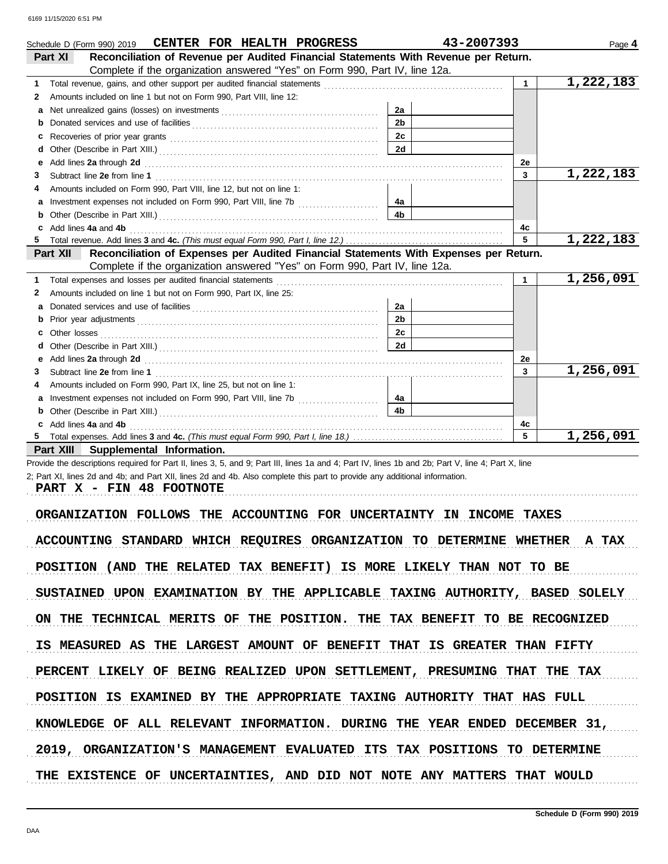|          | Schedule D (Form 990) 2019 CENTER FOR HEALTH PROGRESS                                                                                                                                                                          |                | 43-2007393   | Page 4    |
|----------|--------------------------------------------------------------------------------------------------------------------------------------------------------------------------------------------------------------------------------|----------------|--------------|-----------|
| Part XI  | Reconciliation of Revenue per Audited Financial Statements With Revenue per Return.                                                                                                                                            |                |              |           |
|          | Complete if the organization answered "Yes" on Form 990, Part IV, line 12a.                                                                                                                                                    |                |              |           |
| 1.       |                                                                                                                                                                                                                                |                | $\mathbf{1}$ | 1,222,183 |
| 2        | Amounts included on line 1 but not on Form 990, Part VIII, line 12:                                                                                                                                                            |                |              |           |
| a        |                                                                                                                                                                                                                                | 2a             |              |           |
| b        |                                                                                                                                                                                                                                | 2 <sub>b</sub> |              |           |
| c        |                                                                                                                                                                                                                                | 2c             |              |           |
| d        |                                                                                                                                                                                                                                | 2d             |              |           |
| е        | Add lines 2a through 2d [11] Add [12] Add lines 2a through 2d [12] Add lines 2a through 2d [12] Add lines 2a through 2d [12] Add and the strategy and the strategy and the strategy and strategy and strategy and strategy and |                | 2e           |           |
| 3        |                                                                                                                                                                                                                                |                | 3            | 1,222,183 |
|          | Amounts included on Form 990, Part VIII, line 12, but not on line 1:                                                                                                                                                           |                |              |           |
| а        |                                                                                                                                                                                                                                | 4a             |              |           |
| b        |                                                                                                                                                                                                                                | 4 <sub>b</sub> |              |           |
| c        | Add lines 4a and 4b                                                                                                                                                                                                            |                | 4c           |           |
|          |                                                                                                                                                                                                                                |                | 5            | 1,222,183 |
| Part XII | Reconciliation of Expenses per Audited Financial Statements With Expenses per Return.                                                                                                                                          |                |              |           |
|          | Complete if the organization answered "Yes" on Form 990, Part IV, line 12a.                                                                                                                                                    |                |              |           |
| 1.       | Total expenses and losses per audited financial statements                                                                                                                                                                     |                | $\mathbf{1}$ | 1,256,091 |
| 2        | Amounts included on line 1 but not on Form 990, Part IX, line 25:                                                                                                                                                              |                |              |           |
| a        |                                                                                                                                                                                                                                | 2a             |              |           |
| b        |                                                                                                                                                                                                                                | 2 <sub>b</sub> |              |           |
| c        |                                                                                                                                                                                                                                | 2c             |              |           |
| d        |                                                                                                                                                                                                                                | 2d             |              |           |
| е        | Add lines 2a through 2d [11] Add [12] Add lines 2a through 2d [12] Add lines 2a through 2d [12] Add lines 2a through 2d [12] Add and Addu                                                                                      |                | 2e           |           |
| 3        |                                                                                                                                                                                                                                |                | 3            | 1,256,091 |
|          | Amounts included on Form 990, Part IX, line 25, but not on line 1:                                                                                                                                                             |                |              |           |
| a        |                                                                                                                                                                                                                                | 4a             |              |           |
| b        |                                                                                                                                                                                                                                | 4b             |              |           |
|          | Add lines 4a and 4b                                                                                                                                                                                                            |                | 4c           |           |
| 5        |                                                                                                                                                                                                                                |                | 5            | 1,256,091 |
|          | Part XIII Supplemental Information.                                                                                                                                                                                            |                |              |           |
|          | Provide the descriptions required for Part II, lines 3, 5, and 9; Part III, lines 1a and 4; Part IV, lines 1b and 2b; Part V, line 4; Part X, line                                                                             |                |              |           |
|          | 2; Part XI, lines 2d and 4b; and Part XII, lines 2d and 4b. Also complete this part to provide any additional information.                                                                                                     |                |              |           |
|          | PART X - FIN 48 FOOTNOTE                                                                                                                                                                                                       |                |              |           |
|          |                                                                                                                                                                                                                                |                |              |           |
|          | ORGANIZATION FOLLOWS THE ACCOUNTING FOR UNCERTAINTY IN INCOME                                                                                                                                                                  |                | TAXES        |           |

ACCOUNTING STANDARD WHICH REQUIRES ORGANIZATION TO DETERMINE WHETHER A TAX POSITION (AND THE RELATED TAX BENEFIT) IS MORE LIKELY THAN NOT TO BE SUSTAINED UPON EXAMINATION BY THE APPLICABLE TAXING AUTHORITY, BASED SOLELY ON THE TECHNICAL MERITS OF THE POSITION. THE TAX BENEFIT TO BE RECOGNIZED IS MEASURED AS THE LARGEST AMOUNT OF BENEFIT THAT IS GREATER THAN FIFTY KNOWLEDGE OF ALL RELEVANT INFORMATION. DURING THE YEAR ENDED DECEMBER 31, PERCENT LIKELY OF BEING REALIZED UPON SETTLEMENT, PRESUMING THAT THE TAX POSITION IS EXAMINED BY THE APPROPRIATE TAXING AUTHORITY THAT HAS FULL 2019, ORGANIZATION'S MANAGEMENT EVALUATED ITS TAX POSITIONS TO DETERMINE THE EXISTENCE OF UNCERTAINTIES, AND DID NOT NOTE ANY MATTERS THAT WOULD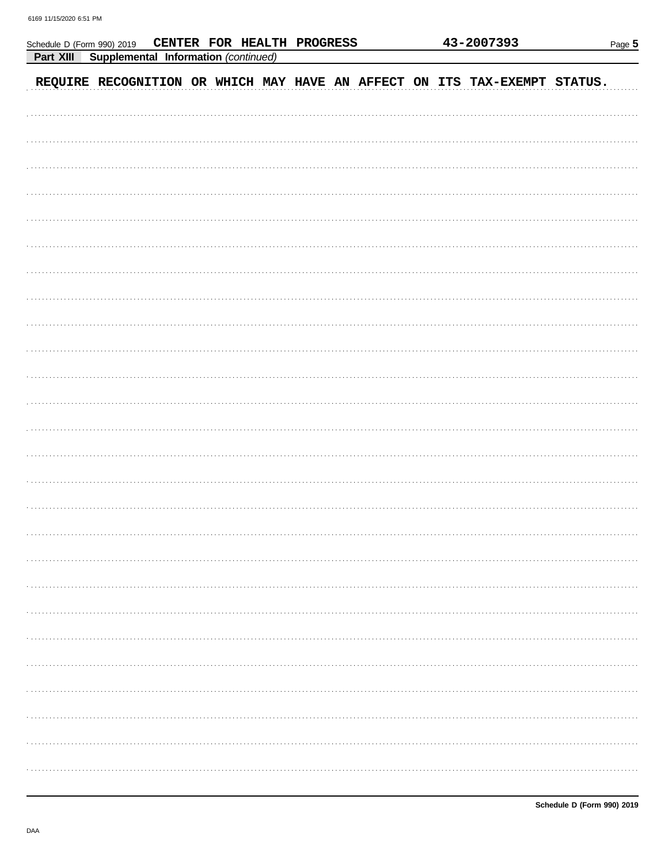|           | Schedule D (Form 990) 2019           |  | CENTER FOR HEALTH PROGRESS |  | 43-2007393                                                                | Page 5 |
|-----------|--------------------------------------|--|----------------------------|--|---------------------------------------------------------------------------|--------|
| Part XIII | Supplemental Information (continued) |  |                            |  |                                                                           |        |
|           |                                      |  |                            |  | REQUIRE RECOGNITION OR WHICH MAY HAVE AN AFFECT ON ITS TAX-EXEMPT STATUS. |        |
|           |                                      |  |                            |  |                                                                           |        |
|           |                                      |  |                            |  |                                                                           |        |
|           |                                      |  |                            |  |                                                                           |        |
|           |                                      |  |                            |  |                                                                           |        |
|           |                                      |  |                            |  |                                                                           |        |
|           |                                      |  |                            |  |                                                                           |        |
|           |                                      |  |                            |  |                                                                           |        |
|           |                                      |  |                            |  |                                                                           |        |
|           |                                      |  |                            |  |                                                                           |        |
|           |                                      |  |                            |  |                                                                           |        |
|           |                                      |  |                            |  |                                                                           |        |
|           |                                      |  |                            |  |                                                                           |        |
|           |                                      |  |                            |  |                                                                           |        |
|           |                                      |  |                            |  |                                                                           |        |
|           |                                      |  |                            |  |                                                                           |        |
|           |                                      |  |                            |  |                                                                           |        |
|           |                                      |  |                            |  |                                                                           |        |
|           |                                      |  |                            |  |                                                                           |        |
|           |                                      |  |                            |  |                                                                           |        |
|           |                                      |  |                            |  |                                                                           |        |
|           |                                      |  |                            |  |                                                                           |        |
|           |                                      |  |                            |  |                                                                           |        |
|           |                                      |  |                            |  |                                                                           |        |
|           |                                      |  |                            |  |                                                                           |        |
|           |                                      |  |                            |  |                                                                           |        |
|           |                                      |  |                            |  |                                                                           |        |

CENTER FOR HEALTH PROGRESS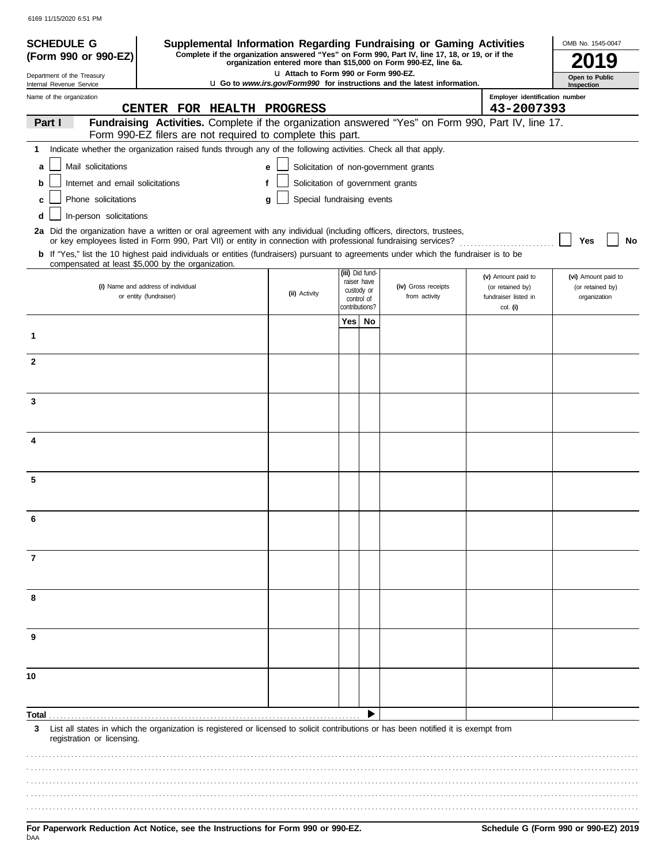| <b>SCHEDULE G</b><br>(Form 990 or 990-EZ)              | Supplemental Information Regarding Fundraising or Gaming Activities                                                                                                                               |                                        |                              |             | Complete if the organization answered "Yes" on Form 990, Part IV, line 17, 18, or 19, or if the |  |                                          | OMB No. 1545-0047            |
|--------------------------------------------------------|---------------------------------------------------------------------------------------------------------------------------------------------------------------------------------------------------|----------------------------------------|------------------------------|-------------|-------------------------------------------------------------------------------------------------|--|------------------------------------------|------------------------------|
|                                                        |                                                                                                                                                                                                   |                                        |                              |             | organization entered more than \$15,000 on Form 990-EZ, line 6a.                                |  |                                          |                              |
| Department of the Treasury<br>Internal Revenue Service |                                                                                                                                                                                                   | La Attach to Form 990 or Form 990-EZ.  |                              |             | <b>u</b> Go to <i>www.irs.gov/Form990</i> for instructions and the latest information.          |  |                                          | Open to Public<br>Inspection |
| Name of the organization                               |                                                                                                                                                                                                   |                                        |                              |             |                                                                                                 |  | Employer identification number           |                              |
|                                                        | CENTER FOR HEALTH PROGRESS<br>Fundraising Activities. Complete if the organization answered "Yes" on Form 990, Part IV, line 17.                                                                  |                                        |                              |             |                                                                                                 |  | 43-2007393                               |                              |
| Part I                                                 | Form 990-EZ filers are not required to complete this part.                                                                                                                                        |                                        |                              |             |                                                                                                 |  |                                          |                              |
| 1                                                      | Indicate whether the organization raised funds through any of the following activities. Check all that apply.                                                                                     |                                        |                              |             |                                                                                                 |  |                                          |                              |
| Mail solicitations<br>a                                |                                                                                                                                                                                                   | е                                      |                              |             | Solicitation of non-government grants                                                           |  |                                          |                              |
| Internet and email solicitations<br>b                  |                                                                                                                                                                                                   | Solicitation of government grants<br>f |                              |             |                                                                                                 |  |                                          |                              |
| Phone solicitations<br>c                               |                                                                                                                                                                                                   | Special fundraising events<br>g        |                              |             |                                                                                                 |  |                                          |                              |
| In-person solicitations<br>d                           |                                                                                                                                                                                                   |                                        |                              |             |                                                                                                 |  |                                          |                              |
|                                                        | 2a Did the organization have a written or oral agreement with any individual (including officers, directors, trustees,                                                                            |                                        |                              |             |                                                                                                 |  |                                          |                              |
|                                                        | or key employees listed in Form 990, Part VII) or entity in connection with professional fundraising services?                                                                                    |                                        |                              |             |                                                                                                 |  |                                          | Yes<br>No                    |
|                                                        | <b>b</b> If "Yes," list the 10 highest paid individuals or entities (fundraisers) pursuant to agreements under which the fundraiser is to be<br>compensated at least \$5,000 by the organization. |                                        |                              |             |                                                                                                 |  |                                          |                              |
|                                                        |                                                                                                                                                                                                   |                                        | (iii) Did fund-              |             |                                                                                                 |  | (v) Amount paid to                       | (vi) Amount paid to          |
|                                                        | (i) Name and address of individual<br>or entity (fundraiser)                                                                                                                                      | (ii) Activity                          | custody or                   | raiser have | (iv) Gross receipts                                                                             |  | (or retained by)<br>fundraiser listed in | (or retained by)             |
|                                                        |                                                                                                                                                                                                   |                                        | control of<br>contributions? |             | from activity                                                                                   |  | col. (i)                                 | organization                 |
|                                                        |                                                                                                                                                                                                   |                                        | Yes   No                     |             |                                                                                                 |  |                                          |                              |
| 1                                                      |                                                                                                                                                                                                   |                                        |                              |             |                                                                                                 |  |                                          |                              |
|                                                        |                                                                                                                                                                                                   |                                        |                              |             |                                                                                                 |  |                                          |                              |
| $\overline{2}$                                         |                                                                                                                                                                                                   |                                        |                              |             |                                                                                                 |  |                                          |                              |
|                                                        |                                                                                                                                                                                                   |                                        |                              |             |                                                                                                 |  |                                          |                              |
| 3                                                      |                                                                                                                                                                                                   |                                        |                              |             |                                                                                                 |  |                                          |                              |
|                                                        |                                                                                                                                                                                                   |                                        |                              |             |                                                                                                 |  |                                          |                              |
|                                                        |                                                                                                                                                                                                   |                                        |                              |             |                                                                                                 |  |                                          |                              |
| 4                                                      |                                                                                                                                                                                                   |                                        |                              |             |                                                                                                 |  |                                          |                              |
|                                                        |                                                                                                                                                                                                   |                                        |                              |             |                                                                                                 |  |                                          |                              |
| 5                                                      |                                                                                                                                                                                                   |                                        |                              |             |                                                                                                 |  |                                          |                              |
|                                                        |                                                                                                                                                                                                   |                                        |                              |             |                                                                                                 |  |                                          |                              |
|                                                        |                                                                                                                                                                                                   |                                        |                              |             |                                                                                                 |  |                                          |                              |
|                                                        |                                                                                                                                                                                                   |                                        |                              |             |                                                                                                 |  |                                          |                              |
|                                                        |                                                                                                                                                                                                   |                                        |                              |             |                                                                                                 |  |                                          |                              |
| 7                                                      |                                                                                                                                                                                                   |                                        |                              |             |                                                                                                 |  |                                          |                              |
|                                                        |                                                                                                                                                                                                   |                                        |                              |             |                                                                                                 |  |                                          |                              |
| 8                                                      |                                                                                                                                                                                                   |                                        |                              |             |                                                                                                 |  |                                          |                              |
|                                                        |                                                                                                                                                                                                   |                                        |                              |             |                                                                                                 |  |                                          |                              |
|                                                        |                                                                                                                                                                                                   |                                        |                              |             |                                                                                                 |  |                                          |                              |
| 9                                                      |                                                                                                                                                                                                   |                                        |                              |             |                                                                                                 |  |                                          |                              |
|                                                        |                                                                                                                                                                                                   |                                        |                              |             |                                                                                                 |  |                                          |                              |
| 10                                                     |                                                                                                                                                                                                   |                                        |                              |             |                                                                                                 |  |                                          |                              |
|                                                        |                                                                                                                                                                                                   |                                        |                              |             |                                                                                                 |  |                                          |                              |
|                                                        |                                                                                                                                                                                                   |                                        |                              |             |                                                                                                 |  |                                          |                              |
|                                                        |                                                                                                                                                                                                   |                                        |                              | ▶           |                                                                                                 |  |                                          |                              |
| 3<br>registration or licensing.                        | List all states in which the organization is registered or licensed to solicit contributions or has been notified it is exempt from                                                               |                                        |                              |             |                                                                                                 |  |                                          |                              |
|                                                        |                                                                                                                                                                                                   |                                        |                              |             |                                                                                                 |  |                                          |                              |
|                                                        |                                                                                                                                                                                                   |                                        |                              |             |                                                                                                 |  |                                          |                              |
|                                                        |                                                                                                                                                                                                   |                                        |                              |             |                                                                                                 |  |                                          |                              |
|                                                        |                                                                                                                                                                                                   |                                        |                              |             |                                                                                                 |  |                                          |                              |
|                                                        |                                                                                                                                                                                                   |                                        |                              |             |                                                                                                 |  |                                          |                              |
|                                                        |                                                                                                                                                                                                   |                                        |                              |             |                                                                                                 |  |                                          |                              |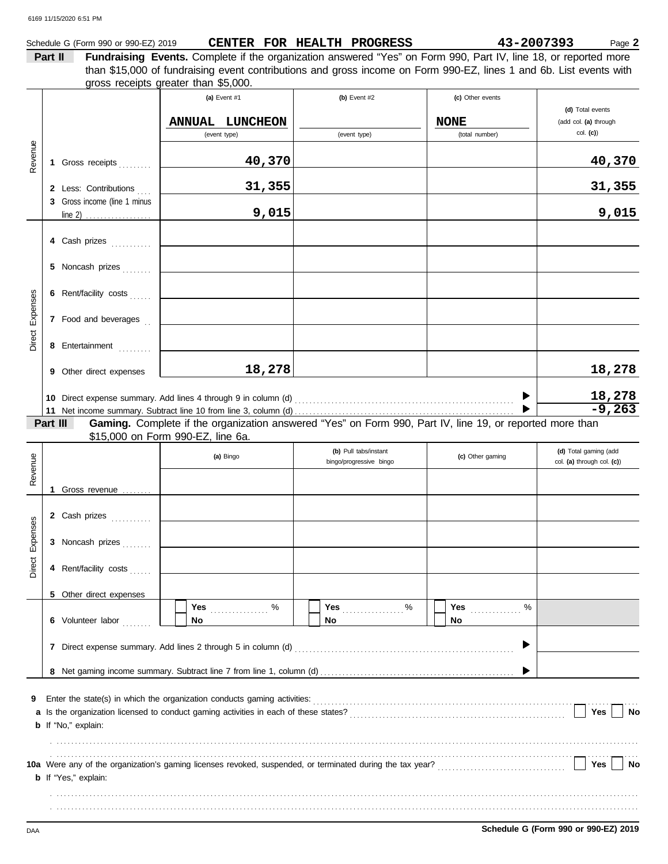|                    |                                            | gross receipts greater than \$5,000.<br>(a) Event #1<br><b>ANNUAL LUNCHEON</b><br>(event type)                                                | (b) Event $#2$<br>(event type)                   | (c) Other events<br><b>NONE</b><br>(total number) | (d) Total events<br>(add col. (a) through<br>col. (c) |
|--------------------|--------------------------------------------|-----------------------------------------------------------------------------------------------------------------------------------------------|--------------------------------------------------|---------------------------------------------------|-------------------------------------------------------|
| Revenue            | 1 Gross receipts                           | 40,370                                                                                                                                        |                                                  |                                                   | 40,370                                                |
|                    | 2 Less: Contributions                      | 31,355                                                                                                                                        |                                                  |                                                   | 31,355                                                |
|                    | 3 Gross income (line 1 minus               | 9,015                                                                                                                                         |                                                  |                                                   | 9,015                                                 |
|                    | 4 Cash prizes                              |                                                                                                                                               |                                                  |                                                   |                                                       |
|                    | 5 Noncash prizes                           |                                                                                                                                               |                                                  |                                                   |                                                       |
|                    | Rent/facility costs<br>6                   |                                                                                                                                               |                                                  |                                                   |                                                       |
| Expenses           | 7 Food and beverages                       |                                                                                                                                               |                                                  |                                                   |                                                       |
|                    |                                            |                                                                                                                                               |                                                  |                                                   |                                                       |
|                    |                                            |                                                                                                                                               |                                                  |                                                   |                                                       |
| Direct             | 8 Entertainment<br>9 Other direct expenses | 18,278                                                                                                                                        |                                                  |                                                   |                                                       |
|                    |                                            |                                                                                                                                               |                                                  |                                                   |                                                       |
|                    |                                            |                                                                                                                                               |                                                  |                                                   |                                                       |
|                    | Part III                                   | Gaming. Complete if the organization answered "Yes" on Form 990, Part IV, line 19, or reported more than<br>\$15,000 on Form 990-EZ, line 6a. |                                                  |                                                   |                                                       |
|                    |                                            | (a) Bingo                                                                                                                                     | (b) Pull tabs/instant<br>bingo/progressive bingo | (c) Other gaming                                  | (d) Total gaming (add<br>col. (a) through col. (c))   |
| Revenue            |                                            |                                                                                                                                               |                                                  |                                                   | 18,278<br>18,278<br>$-9,263$                          |
|                    | 1 Gross revenue                            |                                                                                                                                               |                                                  |                                                   |                                                       |
|                    | 2 Cash prizes                              |                                                                                                                                               |                                                  |                                                   |                                                       |
|                    | 3 Noncash prizes                           |                                                                                                                                               |                                                  |                                                   |                                                       |
| Expenses<br>Direct | Rent/facility costs<br>4                   |                                                                                                                                               |                                                  |                                                   |                                                       |
|                    | 5 Other direct expenses                    | $\%$                                                                                                                                          | %                                                | $\%$<br>Yes                                       |                                                       |
|                    | 6 Volunteer labor                          | <b>Yes</b> ________________<br>No                                                                                                             | <b>Yes</b><br>No                                 | No                                                |                                                       |
|                    |                                            |                                                                                                                                               |                                                  | ▶                                                 |                                                       |

**10a** Were any of the organization's gaming licenses revoked, suspended, or terminated during the tax year? . . . . . . . . . . . . . . . . . . . . . . . . . . . . . . . . . . .

. . . . . . . . . . . . . . . . . . . . . . . . . . . . . . . . . . . . . . . . . . . . . . . . . . . . . . . . . . . . . . . . . . . . . . . . . . . . . . . . . . . . . . . . . . . . . . . . . . . . . . . . . . . . . . . . . . . . . . . . . . . . . . . . . . . . . . . . . . . . . . . . . . . . . . . . . . . . . . . . . . . . . . . . . . . . . . . . . . . . . . . . . . . . . . . . . . . . . . . . . . . . . . . . . . . . . . . . . . . . . . . . . . . . . . . . . . . . . . . . . . . . . . . . . . . . . . . . . . . . . . . . . . . . . . . . . . . . . . . . . . . . . . . . . . . . . . . . . . . . . . . . . . . . . . . . . . . . . . . .

**Yes No**

**b** If "Yes," explain: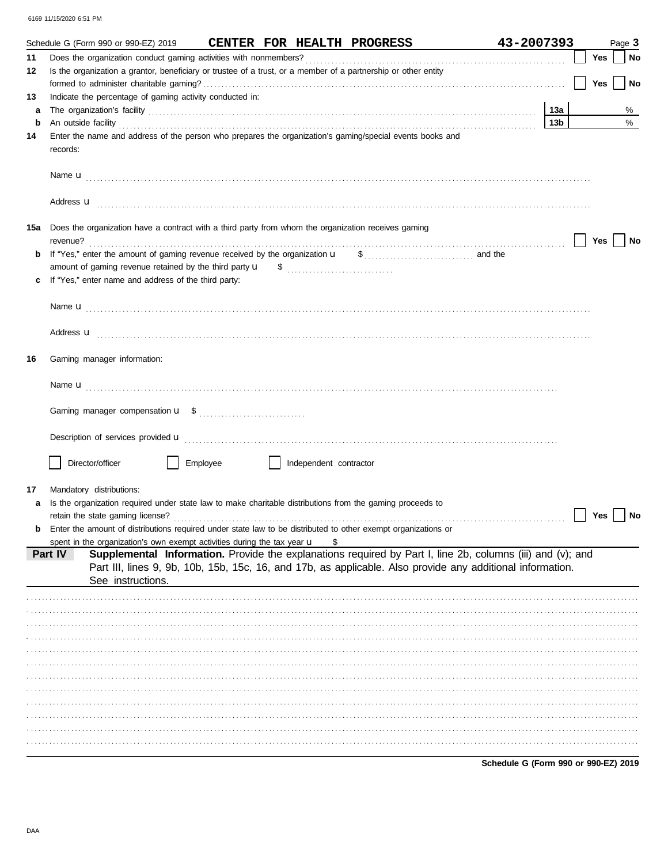|     | Schedule G (Form 990 or 990-EZ) 2019<br>CENTER FOR HEALTH PROGRESS                                                                                                                                                                   | 43-2007393      |            | Page 3 |
|-----|--------------------------------------------------------------------------------------------------------------------------------------------------------------------------------------------------------------------------------------|-----------------|------------|--------|
| 11  |                                                                                                                                                                                                                                      |                 | Yes        | No     |
| 12  | Is the organization a grantor, beneficiary or trustee of a trust, or a member of a partnership or other entity                                                                                                                       |                 |            |        |
|     |                                                                                                                                                                                                                                      |                 | <b>Yes</b> | No     |
| 13  | Indicate the percentage of gaming activity conducted in:                                                                                                                                                                             |                 |            |        |
| a   |                                                                                                                                                                                                                                      | 13а             |            | %      |
| b   | An outside facility <b>contained a set of the contract of the contract of the contract of the contract of the contract of the contract of the contract of the contract of the contract of the contract of the contract of the co</b> | 13 <sub>b</sub> |            | %      |
| 14  | Enter the name and address of the person who prepares the organization's gaming/special events books and<br>records:                                                                                                                 |                 |            |        |
|     |                                                                                                                                                                                                                                      |                 |            |        |
|     | Address <b>u</b>                                                                                                                                                                                                                     |                 |            |        |
| 15a | Does the organization have a contract with a third party from whom the organization receives gaming<br>revenue?                                                                                                                      |                 | Yes        | No     |
| b   |                                                                                                                                                                                                                                      |                 |            |        |
|     |                                                                                                                                                                                                                                      |                 |            |        |
|     | If "Yes," enter name and address of the third party:                                                                                                                                                                                 |                 |            |        |
|     |                                                                                                                                                                                                                                      |                 |            |        |
|     |                                                                                                                                                                                                                                      |                 |            |        |
|     |                                                                                                                                                                                                                                      |                 |            |        |
|     | Address <b>u</b>                                                                                                                                                                                                                     |                 |            |        |
| 16  | Gaming manager information:                                                                                                                                                                                                          |                 |            |        |
|     |                                                                                                                                                                                                                                      |                 |            |        |
|     |                                                                                                                                                                                                                                      |                 |            |        |
|     | Description of services provided <b>u</b> electron contract the contract of the contract of the contract of the contract of the contract of the contract of the contract of the contract of the contract of the contract of the con  |                 |            |        |
|     |                                                                                                                                                                                                                                      |                 |            |        |
|     | Director/officer<br>Employee<br>Independent contractor                                                                                                                                                                               |                 |            |        |
|     |                                                                                                                                                                                                                                      |                 |            |        |
| 17  | Mandatory distributions:                                                                                                                                                                                                             |                 |            |        |
|     | Is the organization required under state law to make charitable distributions from the gaming proceeds to<br>retain the state gaming license?                                                                                        |                 | Yes        | No     |
|     | Enter the amount of distributions required under state law to be distributed to other exempt organizations or                                                                                                                        |                 |            |        |
|     | spent in the organization's own exempt activities during the tax year $\mathbf u$<br>\$                                                                                                                                              |                 |            |        |
|     | Supplemental Information. Provide the explanations required by Part I, line 2b, columns (iii) and (v); and<br>Part IV<br>Part III, lines 9, 9b, 10b, 15b, 15c, 16, and 17b, as applicable. Also provide any additional information.  |                 |            |        |
|     | See instructions.                                                                                                                                                                                                                    |                 |            |        |
|     |                                                                                                                                                                                                                                      |                 |            |        |
|     |                                                                                                                                                                                                                                      |                 |            |        |
|     |                                                                                                                                                                                                                                      |                 |            |        |
|     |                                                                                                                                                                                                                                      |                 |            |        |
|     |                                                                                                                                                                                                                                      |                 |            |        |
|     |                                                                                                                                                                                                                                      |                 |            |        |
|     |                                                                                                                                                                                                                                      |                 |            |        |
|     |                                                                                                                                                                                                                                      |                 |            |        |
|     |                                                                                                                                                                                                                                      |                 |            |        |
|     |                                                                                                                                                                                                                                      |                 |            |        |
|     |                                                                                                                                                                                                                                      |                 |            |        |
|     |                                                                                                                                                                                                                                      |                 |            |        |

Schedule G (Form 990 or 990-EZ) 2019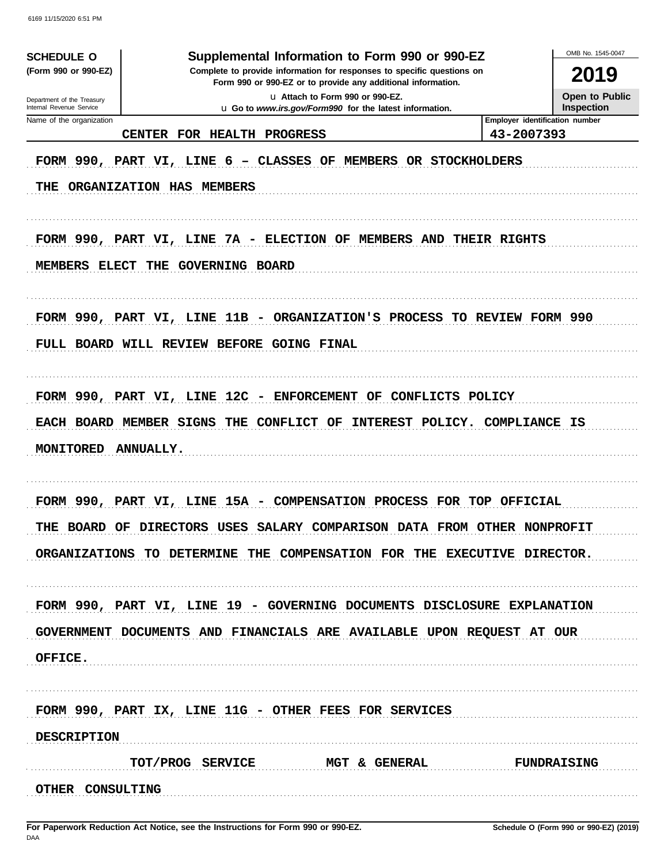| <b>SCHEDULE O</b>                                    | Supplemental Information to Form 990 or 990-EZ                                                                                                                 | OMB No. 1545-0047                                   |  |  |  |  |
|------------------------------------------------------|----------------------------------------------------------------------------------------------------------------------------------------------------------------|-----------------------------------------------------|--|--|--|--|
| (Form 990 or 990-EZ)                                 | Complete to provide information for responses to specific questions on<br>2019<br>Form 990 or 990-EZ or to provide any additional information.                 |                                                     |  |  |  |  |
| Department of the Treasury                           | u Attach to Form 990 or 990-EZ.                                                                                                                                | <b>Open to Public</b>                               |  |  |  |  |
| Internal Revenue Service<br>Name of the organization | <b>u</b> Go to <i>www.irs.gov/Form990</i> for the latest information.                                                                                          | <b>Inspection</b><br>Employer identification number |  |  |  |  |
|                                                      | FOR HEALTH PROGRESS<br>CENTER                                                                                                                                  | 43-2007393                                          |  |  |  |  |
| THE                                                  | FORM 990, PART VI, LINE 6 - CLASSES OF MEMBERS OR STOCKHOLDERS<br>ORGANIZATION HAS MEMBERS                                                                     |                                                     |  |  |  |  |
|                                                      | FORM 990, PART VI, LINE 7A - ELECTION OF MEMBERS AND THEIR RIGHTS<br>MEMBERS ELECT THE GOVERNING BOARD                                                         |                                                     |  |  |  |  |
|                                                      | FORM 990, PART VI, LINE 11B - ORGANIZATION'S PROCESS TO REVIEW FORM 990<br>FULL BOARD WILL REVIEW BEFORE GOING FINAL                                           |                                                     |  |  |  |  |
| <b>MONITORED</b>                                     | FORM 990, PART VI, LINE 12C - ENFORCEMENT OF CONFLICTS POLICY<br>EACH BOARD MEMBER SIGNS THE CONFLICT OF<br>INTEREST POLICY. COMPLIANCE IS<br><b>ANNUALLY.</b> |                                                     |  |  |  |  |
|                                                      | FORM 990, PART VI, LINE 15A - COMPENSATION PROCESS FOR TOP OFFICIAL                                                                                            |                                                     |  |  |  |  |
|                                                      | THE BOARD OF DIRECTORS USES SALARY COMPARISON DATA FROM OTHER NONPROFIT                                                                                        |                                                     |  |  |  |  |
|                                                      | ORGANIZATIONS TO DETERMINE THE COMPENSATION FOR THE EXECUTIVE DIRECTOR.                                                                                        |                                                     |  |  |  |  |
|                                                      | FORM 990, PART VI, LINE 19 - GOVERNING DOCUMENTS DISCLOSURE EXPLANATION<br>GOVERNMENT DOCUMENTS AND FINANCIALS ARE AVAILABLE UPON REQUEST AT OUR               |                                                     |  |  |  |  |
| OFFICE.                                              |                                                                                                                                                                |                                                     |  |  |  |  |
| <b>DESCRIPTION</b>                                   | FORM 990, PART IX, LINE 11G - OTHER FEES FOR SERVICES                                                                                                          |                                                     |  |  |  |  |
| OTHER CONSULTING                                     | TOT/PROG SERVICE MGT & GENERAL                                                                                                                                 | <b>FUNDRAISING</b>                                  |  |  |  |  |